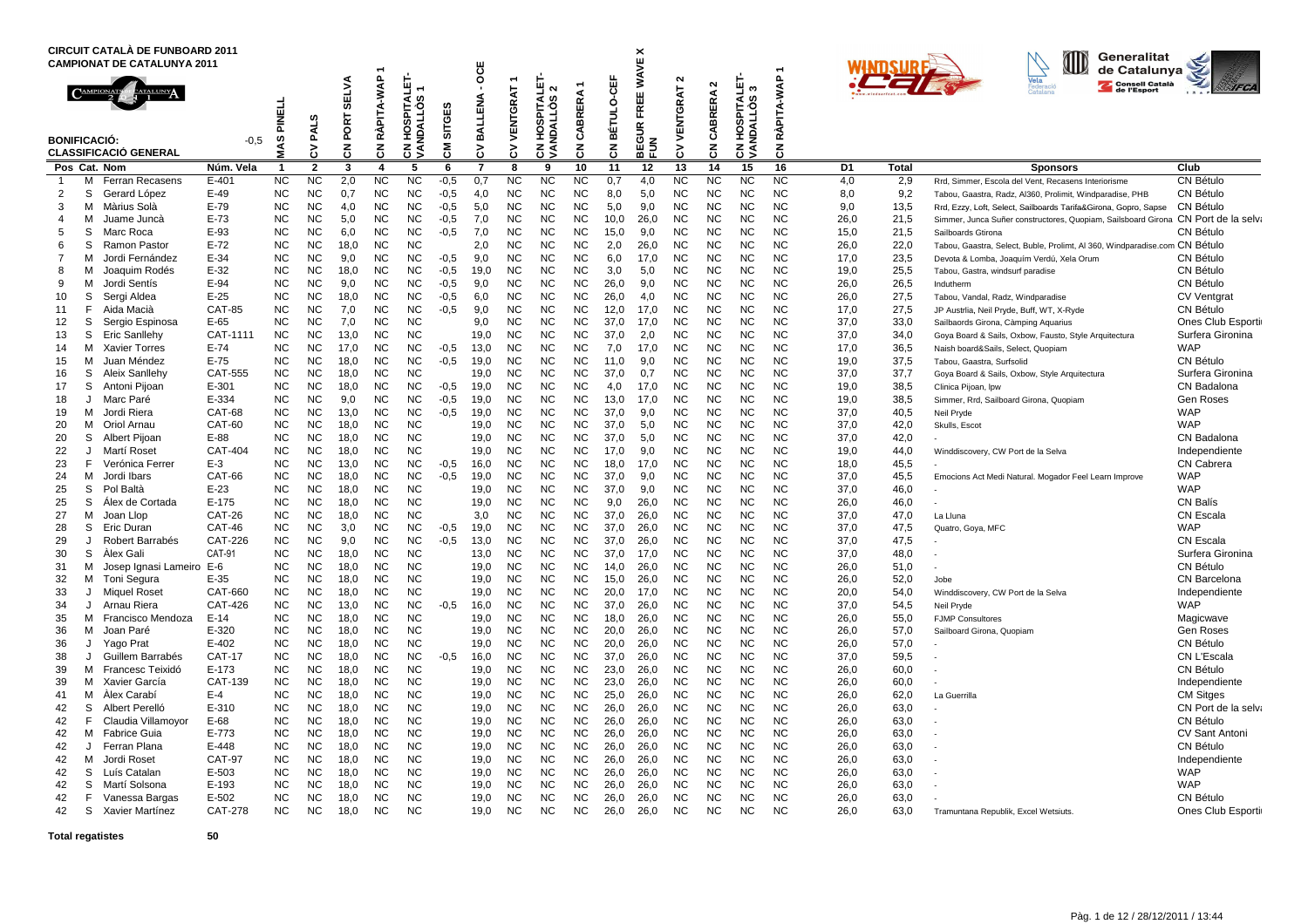|          |                     | <b>CIRCUIT CATALÀ DE FUNBOARD 2011</b><br><b>CAMPIONAT DE CATALUNYA 2011</b> |                                 |                                |                        |                        |                              |                                                                          |                  | <b>DCE</b>   |                        |                                                    |                        |                      | <b>WAVE X</b>                          |                        |                               |                                                                    |                 |              |              | ID<br>Generalitat<br>de Catalunya                                          |                               |
|----------|---------------------|------------------------------------------------------------------------------|---------------------------------|--------------------------------|------------------------|------------------------|------------------------------|--------------------------------------------------------------------------|------------------|--------------|------------------------|----------------------------------------------------|------------------------|----------------------|----------------------------------------|------------------------|-------------------------------|--------------------------------------------------------------------|-----------------|--------------|--------------|----------------------------------------------------------------------------|-------------------------------|
|          | <b>BONIFICACIÓ:</b> | <b>CLASSIFICACIÓ GENERAL</b>                                                 | $-0,5$                          | $\frac{1}{11}$<br>롵<br>ဖာ<br>⋝ | ဖာ<br><b>PAL</b><br>δ  | ELVA<br>ຶ<br>PORT<br>중 | RÀPITA-WAP<br>$\overline{5}$ | <b>PITALET</b><br>ő<br>5<br>ັທ<br>웊<br>ĝ<br>중<br>$\overline{\mathbf{S}}$ | SITGES<br>동      | BALLENA<br>3 | VENTGRAT<br>3          | PITALET<br>$\sim$<br>SQTI<br>S<br>ξ<br>옾<br>る<br>₹ | <b>BRERA</b><br>ड<br>중 | ᇥ<br>ó<br>BÉTUL<br>중 | ш<br>ш<br>준<br>$\alpha$<br>궁<br>ゃ<br>눈 | $\sim$<br>ENTGRAT<br>3 | $\sim$<br>ERA<br>g<br>చే<br>중 | <b>PITALET-</b><br>ო<br>ဖာ<br>۰O<br>∃<br>ັທ<br>∏a<br>€<br>오<br>हुड | RÀPITA-WAP<br>중 |              |              | Consell Català                                                             | <b>IFCA</b>                   |
|          |                     | Pos Cat. Nom                                                                 | Núm. Vela                       | $\overline{1}$                 | $\overline{2}$         | 3                      | $\overline{\mathbf{A}}$      | 5                                                                        | 6                | 7            | 8                      | 9                                                  | 10                     | 11                   | 12                                     | 13                     | 14                            | 15                                                                 | 16              | D1           | <b>Total</b> | <b>Sponsors</b>                                                            | Club                          |
| 1        | м                   | <b>Ferran Recasens</b>                                                       | $E - 401$                       | <b>NC</b>                      | <b>NC</b>              | 2,0                    | <b>NC</b>                    | <b>NC</b>                                                                | $-0.5$           | 0,7          | <b>NC</b>              | NC                                                 | NC.                    | 0,7                  | 4,0                                    | <b>NC</b>              | <b>NC</b>                     | <b>NC</b>                                                          | <b>NC</b>       | 4,0          | 2,9          | Rrd, Simmer, Escola del Vent, Recasens Interiorisme                        | CN Bétulo                     |
| 2        | S                   | Gerard López                                                                 | E-49                            | <b>NC</b>                      | <b>NC</b>              | 0,7                    | <b>NC</b>                    | <b>NC</b>                                                                | $-0,5$           | 4,0          | <b>NC</b>              | NC.                                                | <b>NC</b>              | 8,0                  | 5,0                                    | <b>NC</b>              | <b>NC</b>                     | <b>NC</b>                                                          | ΝC              | 8,0          | 9,2          | Tabou, Gaastra, Radz, Al360, Prolimit, Windparadise, PHB                   | CN Bétulo                     |
| 3        | м                   | Màrius Solà                                                                  | E-79                            | <b>NC</b>                      | <b>NC</b>              | 4.0                    | <b>NC</b>                    | <b>NC</b>                                                                | $-0.5$           | 5,0          | <b>NC</b>              | NC.                                                | <b>NC</b>              | 5.0                  | 9.0                                    | <b>NC</b>              | <b>NC</b>                     | <b>NC</b>                                                          | NC.             | 9.0          | 13,5         | Rrd, Ezzy, Loft, Select, Sailboards Tarifa&Girona, Gopro, Sapse            | CN Bétulo                     |
| 4        | м                   | Juame Juncà                                                                  | $E-73$                          | <b>NC</b>                      | NC                     | 5,0                    | <b>NC</b>                    | <b>NC</b>                                                                | $-0,5$           | 7,0          | <b>NC</b>              | <b>NC</b>                                          | <b>NC</b>              | 10.0                 | 26.0                                   | <b>NC</b>              | <b>NC</b>                     | <b>NC</b>                                                          | NC              | 26.0         | 21,5         | Simmer, Junca Suñer constructores, Quopiam, Sailsboard Girona              | CN Port de la selva           |
| 5        | S.                  | Marc Roca                                                                    | E-93                            | <b>NC</b>                      | ΝC                     | 6.0                    | <b>NC</b>                    | <b>NC</b>                                                                | $-0.5$           | 7.0          | <b>NC</b>              | <b>NC</b>                                          | <b>NC</b>              | 15,0                 | 9.0                                    | <b>NC</b>              | <b>NC</b>                     | <b>NC</b>                                                          | ΝC              | 15.0         | 21,5         | Sailboards Gtirona                                                         | CN Bétulo                     |
| 6        | S                   | <b>Ramon Pastor</b>                                                          | $E-72$                          | <b>NC</b>                      | NC                     | 18.0                   | <b>NC</b>                    | <b>NC</b>                                                                |                  | 2.0          | <b>NC</b>              | <b>NC</b>                                          | <b>NC</b>              | 2,0                  | 26.0                                   | <b>NC</b>              | <b>NC</b>                     | <b>NC</b>                                                          | NC              | 26.0         | 22.0         | Tabou, Gaastra, Select, Buble, Prolimt, Al 360, Windparadise.com CN Bétulo |                               |
| 7        | M                   | Jordi Fernández                                                              | $E-34$<br>$E-32$                | <b>NC</b><br><b>NC</b>         | <b>NC</b><br><b>NC</b> | 9,0                    | <b>NC</b><br><b>NC</b>       | <b>NC</b><br><b>NC</b>                                                   | $-0,5$           | 9,0          | <b>NC</b><br><b>NC</b> | <b>NC</b><br><b>NC</b>                             | <b>NC</b><br><b>NC</b> | 6,0<br>3,0           | 17,0<br>5,0                            | <b>NC</b><br><b>NC</b> | <b>NC</b><br><b>NC</b>        | <b>NC</b><br><b>NC</b>                                             | NC<br><b>NC</b> | 17,0         | 23,5<br>25,5 | Devota & Lomba, Joaquím Verdú, Xela Orum                                   | CN Bétulo<br>CN Bétulo        |
| 8<br>9   | M<br>м              | Joaquim Rodés<br>Jordi Sentís                                                | E-94                            | <b>NC</b>                      | NC                     | 18,0<br>9.0            | <b>NC</b>                    | <b>NC</b>                                                                | $-0,5$<br>$-0.5$ | 19,0<br>9.0  | <b>NC</b>              | NC                                                 | <b>NC</b>              | 26.0                 | 9.0                                    | <b>NC</b>              | <b>NC</b>                     | <b>NC</b>                                                          | NC              | 19,0<br>26.0 | 26.5         | Tabou, Gastra, windsurf paradise<br>Indutherm                              | CN Bétulo                     |
| 10       | S                   | Sergi Aldea                                                                  | $E-25$                          | <b>NC</b>                      | <b>NC</b>              | 18,0                   | <b>NC</b>                    | <b>NC</b>                                                                | $-0.5$           | 6,0          | <b>NC</b>              | <b>NC</b>                                          | <b>NC</b>              | 26,0                 | 4.0                                    | <b>NC</b>              | <b>NC</b>                     | <b>NC</b>                                                          | <b>NC</b>       | 26,0         | 27,5         | Tabou, Vandal, Radz, Windparadise                                          | <b>CV Ventgrat</b>            |
| 11       | F                   | Aida Macià                                                                   | <b>CAT-85</b>                   | <b>NC</b>                      | <b>NC</b>              | 7,0                    | <b>NC</b>                    | <b>NC</b>                                                                | $-0.5$           | 9,0          | <b>NC</b>              | <b>NC</b>                                          | <b>NC</b>              | 12,0                 | 17.0                                   | <b>NC</b>              | <b>NC</b>                     | <b>NC</b>                                                          | <b>NC</b>       | 17.0         | 27,5         | JP Austrlia, Neil Pryde, Buff, WT, X-Ryde                                  | CN Bétulo                     |
| 12       | S                   | Sergio Espinosa                                                              | $E-65$                          | <b>NC</b>                      | <b>NC</b>              | 7.0                    | <b>NC</b>                    | <b>NC</b>                                                                |                  | 9.0          | <b>NC</b>              | <b>NC</b>                                          | <b>NC</b>              | 37.0                 | 17.0                                   | <b>NC</b>              | <b>NC</b>                     | <b>NC</b>                                                          | <b>NC</b>       | 37.0         | 33,0         | Sailbaords Girona, Càmping Aquarius                                        | <b>Ones Club Esporti</b>      |
| 13       | S                   | <b>Eric Sanllehy</b>                                                         | CAT-1111                        | <b>NC</b>                      | <b>NC</b>              | 13,0                   | <b>NC</b>                    | <b>NC</b>                                                                |                  | 19,0         | <b>NC</b>              | <b>NC</b>                                          | <b>NC</b>              | 37,0                 | 2,0                                    | <b>NC</b>              | <b>NC</b>                     | <b>NC</b>                                                          | <b>NC</b>       | 37,0         | 34,0         | Goya Board & Sails, Oxbow, Fausto, Style Arquitectura                      | Surfera Gironina              |
| 14       | М                   | Xavier Torres                                                                | $E-74$                          | <b>NC</b>                      | <b>NC</b>              | 17.0                   | <b>NC</b>                    | <b>NC</b>                                                                | $-0,5$           | 13,0         | <b>NC</b>              | <b>NC</b>                                          | <b>NC</b>              | 7,0                  | 17,0                                   | <b>NC</b>              | <b>NC</b>                     | <b>NC</b>                                                          | <b>NC</b>       | 17.0         | 36,5         | Naish board&Sails, Select, Quopiam                                         | <b>WAP</b>                    |
| 15       | м                   | Juan Méndez                                                                  | E-75                            | <b>NC</b>                      | NC                     | 18.0                   | <b>NC</b>                    | <b>NC</b>                                                                | $-0.5$           | 19.0         | <b>NC</b>              | NC.                                                | <b>NC</b>              | 11.0                 | 9.0                                    | <b>NC</b>              | <b>NC</b>                     | <b>NC</b>                                                          | NC              | 19.0         | 37,5         | Tabou, Gaastra, Surfsolid                                                  | CN Bétulo                     |
| 16       | S                   | Aleix Sanllehy                                                               | <b>CAT-555</b>                  | <b>NC</b>                      | ΝC                     | 18,0                   | <b>NC</b>                    | <b>NC</b>                                                                |                  | 19,0         | <b>NC</b>              | <b>NC</b>                                          | <b>NC</b>              | 37,0                 | 0,7                                    | <b>NC</b>              | <b>NC</b>                     | <b>NC</b>                                                          | NC              | 37,0         | 37,7         | Goya Board & Sails, Oxbow, Style Arquitectura                              | Surfera Gironina              |
| 17       | S                   | Antoni Pijoan                                                                | E-301                           | <b>NC</b>                      | ΝC                     | 18.0                   | <b>NC</b>                    | <b>NC</b>                                                                | $-0,5$           | 19,0         | <b>NC</b>              | NC.                                                | <b>NC</b>              | 4,0                  | 17,0                                   | <b>NC</b>              | <b>NC</b>                     | <b>NC</b>                                                          | ΝC              | 19.0         | 38,5         | Clinica Pijoan, Ipw                                                        | CN Badalona                   |
| 18       | IJ                  | Marc Paré                                                                    | E-334                           | <b>NC</b>                      | ΝC                     | 9.0                    | <b>NC</b>                    | <b>NC</b>                                                                | $-0.5$           | 19,0         | <b>NC</b>              | NC.                                                | <b>NC</b>              | 13,0                 | 17.0                                   | <b>NC</b>              | <b>NC</b>                     | <b>NC</b>                                                          | NC              | 19.0         | 38,5         | Simmer, Rrd, Sailboard Girona, Quopiam                                     | <b>Gen Roses</b>              |
| 19       | м                   | Jordi Riera                                                                  | CAT-68                          | <b>NC</b>                      | ΝC                     | 13,0                   | <b>NC</b>                    | <b>NC</b>                                                                | $-0.5$           | 19,0         | N <sub>C</sub>         | NC.                                                | <b>NC</b>              | 37,0                 | 9,0                                    | <b>NC</b>              | <b>NC</b>                     | <b>NC</b>                                                          | <b>NC</b>       | 37,0         | 40,5         | Neil Pryde                                                                 | <b>WAP</b>                    |
| 20       | м                   | Oriol Arnau                                                                  | CAT-60                          | <b>NC</b>                      | NC                     | 18,0                   | <b>NC</b>                    | <b>NC</b>                                                                |                  | 19,0         | <b>NC</b>              | <b>NC</b>                                          | <b>NC</b>              | 37,0                 | 5.0                                    | <b>NC</b>              | <b>NC</b>                     | <b>NC</b>                                                          | NC              | 37,0         | 42,0         | Skulls, Escot                                                              | <b>WAP</b>                    |
| 20       | S                   | Albert Pijoan                                                                | E-88                            | <b>NC</b>                      | <b>NC</b>              | 18.0                   | <b>NC</b>                    | <b>NC</b>                                                                |                  | 19.0         | <b>NC</b>              | NC.                                                | <b>NC</b>              | 37.0                 | 5.0                                    | <b>NC</b>              | <b>NC</b>                     | <b>NC</b>                                                          | NC              | 37.0         | 42,0         |                                                                            | CN Badalona                   |
| 22       | $\cdot$             | Martí Roset                                                                  | CAT-404                         | <b>NC</b>                      | ΝC                     | 18,0                   | <b>NC</b>                    | <b>NC</b>                                                                |                  | 19,0         | N <sub>C</sub>         | NC.                                                | <b>NC</b>              | 17,0                 | 9,0                                    | <b>NC</b>              | <b>NC</b>                     | <b>NC</b>                                                          | <b>NC</b>       | 19,0         | 44,0         | Winddiscovery, CW Port de la Selva                                         | Independiente                 |
| 23       | F                   | Verónica Ferrer                                                              | $E-3$                           | <b>NC</b>                      | NC                     | 13.0                   | <b>NC</b>                    | <b>NC</b>                                                                | $-0.5$           | 16,0         | <b>NC</b>              | NC.                                                | <b>NC</b>              | 18,0                 | 17.0                                   | <b>NC</b>              | <b>NC</b>                     | <b>NC</b>                                                          | NC              | 18.0         | 45,5         |                                                                            | <b>CN Cabrera</b>             |
| 24       | м                   | Jordi Ibars                                                                  | CAT-66                          | <b>NC</b>                      | ΝC                     | 18.0                   | <b>NC</b>                    | <b>NC</b>                                                                | $-0.5$           | 19,0         | <b>NC</b>              | <b>NC</b>                                          | <b>NC</b>              | 37.0                 | 9.0                                    | <b>NC</b>              | <b>NC</b>                     | <b>NC</b>                                                          | ΝC              | 37.0         | 45,5         | Emocions Act Medi Natural. Mogador Feel Learn Improve                      | <b>WAP</b>                    |
| 25       | S                   | Pol Baltà                                                                    | $E-23$                          | <b>NC</b>                      | <b>NC</b>              | 18,0                   | <b>NC</b>                    | <b>NC</b>                                                                |                  | 19,0         | <b>NC</b>              | <b>NC</b>                                          | <b>NC</b>              | 37,0                 | 9,0                                    | <b>NC</b>              | <b>NC</b>                     | <b>NC</b>                                                          | NC              | 37,0         | 46,0         |                                                                            | <b>WAP</b>                    |
| 25       | S                   | Alex de Cortada                                                              | $E-175$                         | <b>NC</b>                      | <b>NC</b>              | 18,0                   | <b>NC</b>                    | <b>NC</b>                                                                |                  | 19,0         | <b>NC</b>              | <b>NC</b>                                          | <b>NC</b>              | 9,0                  | 26,0                                   | <b>NC</b>              | <b>NC</b>                     | <b>NC</b>                                                          | <b>NC</b>       | 26,0         | 46,0         |                                                                            | <b>CN Balís</b>               |
| 27       | м                   | Joan Llop                                                                    | CAT-26                          | <b>NC</b>                      | NC                     | 18.0                   | <b>NC</b>                    | <b>NC</b>                                                                |                  | 3.0          | <b>NC</b>              | <b>NC</b>                                          | <b>NC</b>              | 37.0                 | 26.0                                   | <b>NC</b>              | <b>NC</b>                     | <b>NC</b>                                                          | <b>NC</b>       | 37.0         | 47,0         | La Lluna                                                                   | <b>CN Escala</b>              |
| 28       | S                   | <b>Eric Duran</b>                                                            | <b>CAT-46</b>                   | <b>NC</b>                      | NC                     | 3.0                    | <b>NC</b>                    | <b>NC</b>                                                                | $-0.5$           | 19.0         | <b>NC</b>              | NC                                                 | <b>NC</b>              | 37.0                 | 26.0                                   | <b>NC</b>              | <b>NC</b>                     | <b>NC</b>                                                          | <b>NC</b>       | 37.0         | 47,5         | Quatro, Goya, MFC                                                          | <b>WAP</b>                    |
| 29       | J<br>S              | Robert Barrabés<br>Alex Gali                                                 | <b>CAT-226</b><br><b>CAT-91</b> | <b>NC</b><br><b>NC</b>         | <b>NC</b><br>NC        | 9,0<br>18.0            | <b>NC</b><br><b>NC</b>       | <b>NC</b><br><b>NC</b>                                                   | $-0,5$           | 13,0         | <b>NC</b>              | <b>NC</b><br>NC.                                   | <b>NC</b><br><b>NC</b> | 37,0<br>37,0         | 26,0<br>17.0                           | <b>NC</b><br><b>NC</b> | <b>NC</b><br><b>NC</b>        | <b>NC</b><br><b>NC</b>                                             | <b>NC</b><br>NC | 37,0<br>37,0 | 47,5<br>48,0 |                                                                            | <b>CN Escala</b>              |
| 30<br>31 | M                   | Josep Ignasi Lameiro                                                         | $E-6$                           | <b>NC</b>                      | NC                     | 18.0                   | <b>NC</b>                    | <b>NC</b>                                                                |                  | 13,0<br>19.0 | <b>NC</b><br><b>NC</b> | NC.                                                | <b>NC</b>              | 14.0                 | 26.0                                   | <b>NC</b>              | <b>NC</b>                     | <b>NC</b>                                                          | NC              | 26.0         | 51,0         |                                                                            | Surfera Gironina<br>CN Bétulo |
| 32       | М                   | Toni Segura                                                                  | $E-35$                          | <b>NC</b>                      | NC                     | 18,0                   | <b>NC</b>                    | <b>NC</b>                                                                |                  | 19,0         | <b>NC</b>              | NC.                                                | <b>NC</b>              | 15,0                 | 26,0                                   | <b>NC</b>              | <b>NC</b>                     | <b>NC</b>                                                          | NC              | 26,0         | 52,0         | Jobe                                                                       | CN Barcelona                  |
| 33       | J                   | <b>Miquel Roset</b>                                                          | CAT-660                         | <b>NC</b>                      | <b>NC</b>              | 18,0                   | <b>NC</b>                    | <b>NC</b>                                                                |                  | 19,0         | <b>NC</b>              | <b>NC</b>                                          | <b>NC</b>              | 20,0                 | 17.0                                   | <b>NC</b>              | <b>NC</b>                     | <b>NC</b>                                                          | NC              | 20,0         | 54,0         | Winddiscovery, CW Port de la Selva                                         | Independiente                 |
| 34       | J                   | Arnau Riera                                                                  | CAT-426                         | <b>NC</b>                      | <b>NC</b>              | 13.0                   | <b>NC</b>                    | <b>NC</b>                                                                | $-0.5$           | 16.0         | <b>NC</b>              | NC                                                 | <b>NC</b>              | 37.0                 | 26.0                                   | <b>NC</b>              | <b>NC</b>                     | <b>NC</b>                                                          | NC              | 37.0         | 54,5         | Neil Pryde                                                                 | <b>WAP</b>                    |
| 35       | м                   | Francisco Mendoza                                                            | $E-14$                          | <b>NC</b>                      | NC                     | 18,0                   | <b>NC</b>                    | <b>NC</b>                                                                |                  | 19,0         | <b>NC</b>              | NC                                                 | <b>NC</b>              | 18,0                 | 26,0                                   | <b>NC</b>              | <b>NC</b>                     | <b>NC</b>                                                          | NC              | 26,0         | 55,0         | <b>FJMP Consultores</b>                                                    | Magicwave                     |
| 36       | м                   | Joan Paré                                                                    | E-320                           | <b>NC</b>                      | ΝC                     | 18.0                   | <b>NC</b>                    | <b>NC</b>                                                                |                  | 19,0         | <b>NC</b>              | NC                                                 | NC.                    | 20.0                 | 26,0                                   | NC.                    | NC                            | <b>NC</b>                                                          | ΝC              | 26.0         | 57,0         | Sailboard Girona, Quopiam                                                  | <b>Gen Roses</b>              |
| 36       | J                   | Yago Prat                                                                    | $E - 402$                       | <b>NC</b>                      | <b>NC</b>              | 18.0                   | <b>NC</b>                    | <b>NC</b>                                                                |                  | 19,0         | N <sub>C</sub>         | NC.                                                | <b>NC</b>              | 20.0                 | 26.0                                   | <b>NC</b>              | <b>NC</b>                     | <b>NC</b>                                                          | NC              | 26.0         | 57.0         |                                                                            | CN Bétulo                     |
| 38       | $\cdot$             | Guillem Barrabés                                                             | <b>CAT-17</b>                   | <b>NC</b>                      | <b>NC</b>              | 18.0                   | <b>NC</b>                    | <b>NC</b>                                                                | $-0.5$           | 16,0         | <b>NC</b>              | NC.                                                | <b>NC</b>              | 37.0                 | 26.0                                   | <b>NC</b>              | <b>NC</b>                     | <b>NC</b>                                                          | NC              | 37.0         | 59,5         |                                                                            | CN L'Escala                   |
| 39       | м                   | Francesc Teixidó                                                             | E-173                           | <b>NC</b>                      | ΝC                     | 18.0                   | <b>NC</b>                    | <b>NC</b>                                                                |                  | 19,0         | <b>NC</b>              | NC                                                 | <b>NC</b>              | 23,0                 | 26.0                                   | <b>NC</b>              | <b>NC</b>                     | <b>NC</b>                                                          | ΝC              | 26.0         | 60,0         |                                                                            | <b>CN Bétulo</b>              |
| 39       | м                   | Xavier García                                                                | <b>CAT-139</b>                  | <b>NC</b>                      | NC                     | 18.0                   | <b>NC</b>                    | <b>NC</b>                                                                |                  | 19.0         | <b>NC</b>              | <b>NC</b>                                          | <b>NC</b>              | 23.0                 | 26.0                                   | <b>NC</b>              | <b>NC</b>                     | NC                                                                 | NC              | 26.0         | 60,0         |                                                                            | Independiente                 |
| 41       | м                   | Alex Carabí                                                                  | $E-4$                           | <b>NC</b>                      | <b>NC</b>              | 18,0                   | <b>NC</b>                    | <b>NC</b>                                                                |                  | 19,0         | <b>NC</b>              | <b>NC</b>                                          | <b>NC</b>              | 25,0                 | 26,0                                   | <b>NC</b>              | <b>NC</b>                     | <b>NC</b>                                                          | <b>NC</b>       | 26,0         | 62,0         | La Guerrilla                                                               | <b>CM Sitges</b>              |
| 42       | S                   | Albert Perelló                                                               | $E-310$                         | <b>NC</b>                      | <b>NC</b>              | 18,0                   | <b>NC</b>                    | <b>NC</b>                                                                |                  | 19,0         | <b>NC</b>              | <b>NC</b>                                          | <b>NC</b>              | 26,0                 | 26,0                                   | <b>NC</b>              | <b>NC</b>                     | <b>NC</b>                                                          | <b>NC</b>       | 26,0         | 63,0         |                                                                            | CN Port de la selva           |
| 42       | F                   | Claudia Villamovor                                                           | E-68                            | <b>NC</b>                      | NC                     | 18.0                   | <b>NC</b>                    | <b>NC</b>                                                                |                  | 19,0         | <b>NC</b>              | NC                                                 | <b>NC</b>              | 26.0                 | 26.0                                   | <b>NC</b>              | <b>NC</b>                     | <b>NC</b>                                                          | <b>NC</b>       | 26.0         | 63,0         |                                                                            | CN Bétulo                     |
| 42       | М                   | <b>Fabrice Guia</b>                                                          | E-773                           | <b>NC</b>                      | <b>NC</b>              | 18,0                   | <b>NC</b>                    | <b>NC</b>                                                                |                  | 19,0         | <b>NC</b>              | <b>NC</b>                                          | <b>NC</b>              | 26,0                 | 26,0                                   | <b>NC</b>              | <b>NC</b>                     | <b>NC</b>                                                          | <b>NC</b>       | 26,0         | 63,0         |                                                                            | <b>CV Sant Antoni</b>         |
| 42       | J                   | Ferran Plana                                                                 | E-448                           | <b>NC</b>                      | <b>NC</b>              | 18,0                   | <b>NC</b>                    | <b>NC</b>                                                                |                  | 19,0         | <b>NC</b>              | <b>NC</b>                                          | <b>NC</b>              | 26,0                 | 26,0                                   | <b>NC</b>              | <b>NC</b>                     | <b>NC</b>                                                          | <b>NC</b>       | 26,0         | 63,0         |                                                                            | CN Bétulo                     |
| 42       | м                   | Jordi Roset                                                                  | <b>CAT-97</b>                   | <b>NC</b>                      | <b>NC</b>              | 18.0                   | <b>NC</b>                    | <b>NC</b>                                                                |                  | 19.0         | <b>NC</b>              | <b>NC</b>                                          | <b>NC</b>              | 26.0                 | 26.0                                   | <b>NC</b>              | <b>NC</b>                     | <b>NC</b>                                                          | <b>NC</b>       | 26.0         | 63,0         |                                                                            | Independiente                 |
| 42       | S                   | Luís Catalan                                                                 | $E-503$                         | <b>NC</b>                      | <b>NC</b>              | 18,0                   | <b>NC</b>                    | <b>NC</b>                                                                |                  | 19,0         | <b>NC</b>              | <b>NC</b>                                          | <b>NC</b>              | 26,0                 | 26,0                                   | <b>NC</b>              | <b>NC</b>                     | <b>NC</b>                                                          | <b>NC</b>       | 26,0         | 63,0         |                                                                            | <b>WAP</b>                    |
| 42       | S                   | Martí Solsona                                                                | E-193                           | <b>NC</b>                      | NC                     | 18,0                   | <b>NC</b>                    | <b>NC</b>                                                                |                  | 19,0         | <b>NC</b>              | <b>NC</b>                                          | <b>NC</b>              | 26,0                 | 26,0                                   | <b>NC</b>              | <b>NC</b>                     | <b>NC</b>                                                          | <b>NC</b>       | 26,0         | 63,0         |                                                                            | <b>WAP</b>                    |
| 42       | F.                  | Vanessa Bargas                                                               | $E-502$                         | <b>NC</b>                      | ΝC                     | 18,0                   | <b>NC</b>                    | <b>NC</b>                                                                |                  | 19,0         | <b>NC</b>              | NC.                                                | NC.                    | 26,0                 | 26,0                                   | <b>NC</b>              | NC                            | ΝC                                                                 | NC              | 26,0         | 63,0         |                                                                            | CN Bétulo                     |
| 42       | S                   | Xavier Martínez                                                              | <b>CAT-278</b>                  | <b>NC</b>                      | ΝC                     | 18,0                   | <b>NC</b>                    | <b>NC</b>                                                                |                  | 19,0         | <b>NC</b>              | NC                                                 | <b>NC</b>              | 26,0                 | 26,0                                   | <b>NC</b>              | <b>NC</b>                     | <b>NC</b>                                                          | NC              | 26,0         | 63,0         | Tramuntana Republik, Excel Wetsiuts.                                       | Ones Club Esporti             |

**<sup>50</sup>**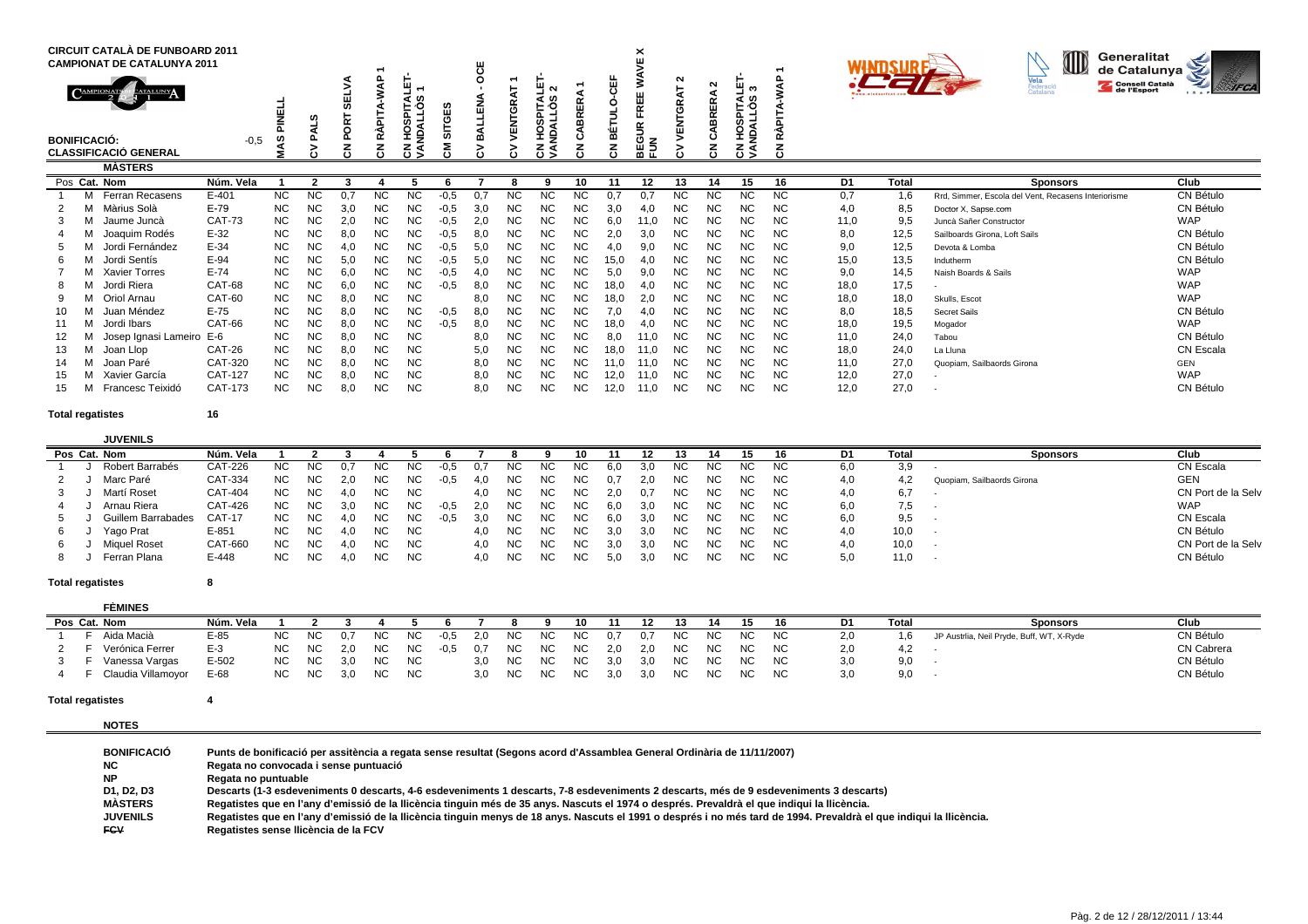|                     |   | <b>CIRCUIT CATALÀ DE FUNBOARD 2011</b><br><b>CAMPIONAT DE CATALUNYA 2011</b> |                |           |           |                                       |                  |                                                    |                            |                  |                         |                                               |             |                           | ×<br>Ч                                   |           |                             |                                        |           |      |              | Generalitat<br>IID<br>de Catalunya                  | ఆ             |
|---------------------|---|------------------------------------------------------------------------------|----------------|-----------|-----------|---------------------------------------|------------------|----------------------------------------------------|----------------------------|------------------|-------------------------|-----------------------------------------------|-------------|---------------------------|------------------------------------------|-----------|-----------------------------|----------------------------------------|-----------|------|--------------|-----------------------------------------------------|---------------|
| <b>BONIFICACIÓ:</b> |   | <b>CATALUNY</b><br><b>CLASSIFICACIÓ GENERAL</b>                              | $-0.5$         |           | ŕ١        | ₩<br><b>DRT</b><br>õ<br>z<br>$\cdots$ | ≸<br>RÁPITA<br>중 | Ч<br>ဖာ<br>⋖<br>۰Ο<br>SPIT,<br>◄<br>ğ<br>£<br>ह डु | ш<br>O<br>m<br>$^{\prime}$ | ö<br>z<br>픸<br>≃ | Б<br>Ğ<br>уш<br>У<br>č١ | $\sim$<br>ທ<br>۰Ο<br><b>NDALL</b><br>$\Omega$ | ≃<br>面<br>뚦 | 岀<br>$\ddot{\phantom{1}}$ | ш<br>$\widetilde{\mathbb{E}}$<br>OΖ<br>꼶 | ິ         | ີ<br><b>BRERA</b><br>ن<br>る | யுக<br>∢ ຜ<br>ە⊶<br>연국<br>ğ<br>z<br>3S | œ<br>Ω    |      |              | Vela<br>Consell Català<br>Federació<br>Catalana     | <b>WAIFCA</b> |
|                     |   | <b>MÀSTERS</b>                                                               |                |           |           |                                       |                  |                                                    |                            |                  |                         |                                               |             |                           |                                          |           |                             |                                        |           |      |              |                                                     |               |
|                     |   | Pos Cat. Nom                                                                 | Núm. Vela      |           | ຳ         | 3                                     |                  |                                                    |                            |                  | 8                       | 9                                             | 10          | 11                        | 12                                       | 13        | 14                          | 15                                     | 16        | D1   | <b>Total</b> | <b>Sponsors</b>                                     | Club          |
|                     |   | <b>Ferran Recasens</b>                                                       | $E-401$        | <b>NC</b> | <b>NC</b> | 0.7                                   | <b>NC</b>        | ΝC                                                 | $-0,5$                     | 0.7              |                         | NC.                                           | NC.         |                           |                                          | ΝC        | ΝC                          | <b>NC</b>                              | <b>NC</b> | 0,7  | 1,6          | Rrd. Simmer. Escola del Vent. Recasens Interiorisme | CN Bétulo     |
|                     |   | Màrius Solà                                                                  | $E-79$         | <b>NC</b> | <b>NC</b> | 3,0                                   | <b>NC</b>        | NС                                                 | $-0.5$                     | 3.0              | NC.                     | <b>NC</b>                                     | <b>NC</b>   | 3.0                       | 4.0                                      | NC        | NС                          | <b>NC</b>                              | <b>NC</b> | 4.0  | 8,5          | Doctor X, Sapse.com                                 | CN Bétulo     |
|                     |   | Jaume Juncà                                                                  | <b>CAT-73</b>  | <b>NC</b> | <b>NC</b> | 2,0                                   | <b>NC</b>        | ΝC                                                 | $-0,5$                     | 2,0              | NC.                     | <b>NC</b>                                     | <b>NC</b>   | 6.0                       | 11,0                                     | NC        | NC                          | NC.                                    | <b>NC</b> | 11,0 | 9,5          | Juncà Sañer Constructor                             | <b>WAP</b>    |
|                     |   | Joaquim Rodés                                                                | $E-32$         | <b>NC</b> | <b>NC</b> | 8,0                                   | <b>NC</b>        | ΝC                                                 | $-0,5$                     | 8,0              | NC.                     | NC                                            | <b>NC</b>   | 2,0                       | 3,0                                      | <b>NC</b> | ΝC                          | <b>NC</b>                              | <b>NC</b> | 8,0  | 12,5         | Sailboards Girona, Loft Sails                       | CN Bétulo     |
|                     |   | Jordi Fernández                                                              | $E-34$         | <b>NC</b> | <b>NC</b> | 4,0                                   | <b>NC</b>        | ΝC                                                 | $-0,5$                     | 5,0              | NC.                     | <b>NC</b>                                     | <b>NC</b>   | 4,0                       | 9,0                                      | NC        | NC                          | ΝC                                     | <b>NC</b> | 9,0  | 12,5         | Devota & Lomba                                      | CN Bétulo     |
|                     |   | Jordi Sentís                                                                 | $E-94$         | <b>NC</b> | <b>NC</b> | 5,0                                   | <b>NC</b>        | ΝC                                                 | $-0,5$                     | 5,0              | NC.                     | NC                                            | <b>NC</b>   | 15,0                      | 4,0                                      | NC        | NC                          | <b>NC</b>                              | NC.       | 15,0 | 13,5         | Indutherm                                           | CN Bétulo     |
|                     |   | Xavier Torres                                                                | $E-74$         | <b>NC</b> | <b>NC</b> | 6,0                                   | <b>NC</b>        | ΝC                                                 | $-0,5$                     | 4,0              | NC.                     | <b>NC</b>                                     | <b>NC</b>   | 5.0                       | 9,0                                      | <b>NC</b> | NC                          | <b>NC</b>                              | <b>NC</b> | 9,0  | 14,5         | Naish Boards & Sails                                | <b>WAP</b>    |
|                     |   | Jordi Riera                                                                  | CAT-68         | <b>NC</b> | <b>NC</b> | 6,0                                   | <b>NC</b>        | ΝC                                                 | $-0,5$                     | 8,0              | NC.                     | NC.                                           | <b>NC</b>   | 18,0                      | 4,0                                      | <b>NC</b> | NC                          | NС                                     | <b>NC</b> | 18,0 | 17,5         |                                                     | <b>WAP</b>    |
|                     |   | Oriol Arnau                                                                  | CAT-60         | <b>NC</b> | <b>NC</b> | 8,0                                   | <b>NC</b>        | ΝC                                                 |                            | 8,0              | NC.                     | <b>NC</b>                                     | <b>NC</b>   | 18,0                      | 2,0                                      | NC        | ΝC                          | <b>NC</b>                              | <b>NC</b> | 18,0 | 18,0         | Skulls, Escot                                       | <b>WAP</b>    |
|                     |   | Juan Méndez                                                                  | $E-75$         | <b>NC</b> | <b>NC</b> | 8,0                                   | <b>NC</b>        | NC                                                 | $-0,5$                     | 8,0              | NC.                     | N <sub>C</sub>                                | <b>NC</b>   | 7,0                       | 4,0                                      | <b>NC</b> | NC                          | NC.                                    | NC.       | 8,0  | 18,5         | Secret Sails                                        | CN Bétulo     |
|                     |   | Jordi Ibars                                                                  | CAT-66         | <b>NC</b> | <b>NC</b> | 8,0                                   | <b>NC</b>        | ΝC                                                 | $-0,5$                     | 8,0              | NC.                     | <b>NC</b>                                     | <b>NC</b>   | 18,0                      | 4,0                                      | <b>NC</b> | NC                          | <b>NC</b>                              | <b>NC</b> | 18,0 | 19,5         | Mogador                                             | <b>WAP</b>    |
|                     |   | Josep Ignasi Lameiro E-6                                                     |                | <b>NC</b> | <b>NC</b> | 8,0                                   | <b>NC</b>        | ΝC                                                 |                            | 8,0              | NC.                     | NC                                            | <b>NC</b>   | 8,0                       | 11,0                                     | NC        | NC                          | NC.                                    | <b>NC</b> | 11,0 | 24,0         | Tabou                                               | CN Bétulo     |
| 13                  |   | Joan Llop                                                                    | CAT-26         | <b>NC</b> | <b>NC</b> | 8,0                                   | <b>NC</b>        | ΝC                                                 |                            | 5,0              | NC.                     | <b>NC</b>                                     | <b>NC</b>   | 18,0                      | 11,0                                     | <b>NC</b> | NC                          | <b>NC</b>                              | ΝC        | 18,0 | 24,0         | La Lluna                                            | CN Escala     |
| 14                  | м | Joan Paré                                                                    | CAT-320        | <b>NC</b> | <b>NC</b> | 8,0                                   | <b>NC</b>        | ΝC                                                 |                            | 8,0              | <b>NC</b>               | <b>NC</b>                                     | <b>NC</b>   | 11,0                      | 11,0                                     | <b>NC</b> | ΝC                          | <b>NC</b>                              | <b>NC</b> | 11,0 | 27,0         | Quopiam, Sailbaords Girona                          | <b>GEN</b>    |
|                     | м | Xavier García                                                                | <b>CAT-127</b> | <b>NC</b> | <b>NC</b> | 8,0                                   | <b>NC</b>        | ΝC                                                 |                            | 8,0              | NC.                     | NC                                            | <b>NC</b>   | 12,0                      | 11,0                                     | <b>NC</b> | NC                          | <b>NC</b>                              | <b>NC</b> | 12,0 | 27,0         |                                                     | <b>WAP</b>    |
| 15                  |   | Francesc Teixidó                                                             | CAT-173        | <b>NC</b> | NC.       | 8,0                                   | NC               | ΝC                                                 |                            | 8,0              | ΝC                      | NC                                            | NС          | 12,0                      | 11,0                                     | ΝC        | ΝC                          | ΝC                                     | NC.       | 12,0 | 27,0         |                                                     | CN Bétulo     |

# **JUVENILS**

**<sup>16</sup>**

|  | <b>JUVLIVILY</b>   |           |           |     |     |     |           |      |      |     |     |           |     |     |     |     |     |           |     |      |                            |                    |
|--|--------------------|-----------|-----------|-----|-----|-----|-----------|------|------|-----|-----|-----------|-----|-----|-----|-----|-----|-----------|-----|------|----------------------------|--------------------|
|  | Pos Cat. Nom       | Núm. Vela |           |     |     |     |           |      |      |     |     |           |     |     |     |     |     |           |     | Tota | <b>Sponsors</b>            | Club               |
|  | Robert Barrabés    | CAT-226   | NC.       | NC. | 0.7 | NC. | NC.       | -U.5 | 0.7  | NC. | ΝC  | ΝC        | 6.0 |     | NC  | NC. | NC  | NC.       | 6,0 | 3,9  |                            | CN Escala          |
|  | Marc Paré          | CAT-334   | <b>NC</b> | NC. | 2.0 | NC. | NC.       |      | 4.0  | NC. | NC. | NC.       | 0.7 | 2.0 | NC. | NC. | NC. | <b>NC</b> | 4.0 | 4.2  | Quopiam, Sailbaords Girona | <b>GEN</b>         |
|  | Martí Roset        | CAT-404   | <b>NC</b> | NC. | 4,0 | ΝC  | NC        |      | 4.0  | NC. | NC. | NC.       | 2.0 | 0.7 | NC. | NC. | NC. | NC.       | 4,0 | 6,7  |                            | CN Port de la Selv |
|  | Arnau Riera        | CAT-426   | <b>NC</b> | NC. | 3.0 | ΝC  | NC.       | -0.5 | -2.0 | NC. | NC. | NC.       | 6.0 | 3.0 | NC. | NC. | NC. | <b>NC</b> | 6,0 | 7.5  |                            | <b>WAP</b>         |
|  | Guillem Barrabades | CAT-17    | NC.       | NC. |     | NC. | NC.       | -0,5 | 3.0  | NC. | NC. | NC.       | 6.0 | 3.0 | NC. | NC. | NC. | <b>NC</b> | 6.0 | 9,5  |                            | CN Escala          |
|  | Yago Prat          | $E - 851$ | <b>NC</b> | NC. | 4.0 | NC  | <b>NC</b> |      | 4.0  | NC. | NC. | NС        | 3.0 | 3.0 | NC. | NC. | NC. | NC.       | 4.0 | 10,0 | . .                        | CN Bétulo          |
|  | Miguel Roset       | CAT-660   | <b>NC</b> | NC. | 4.0 | NC. | NC.       |      | 4.0  | NC. | NC. | <b>NC</b> | 3.0 | 3.0 | NC. | NC. | NC. | <b>NC</b> | 4.0 | 10,0 |                            | CN Port de la Selv |
|  | Ferran Plana       | E-448     | NC        | NC. |     | NC. | <b>NC</b> |      | 4.0  | NC. | NC. | NС        | 5.0 | 3.0 | NC. | NC. | NC. | NC.       |     | 11,0 | $\sim$                     | CN Bétulo          |
|  |                    |           |           |     |     |     |           |      |      |     |     |           |     |     |     |     |     |           |     |      |                            |                    |

### **Total regatistes<sup>8</sup>**

| <b>FÈMINES</b>       |           |     |           |     |     |           |        |     |     |     |     |     |     |           |     |      |       |     |       |                                           |            |
|----------------------|-----------|-----|-----------|-----|-----|-----------|--------|-----|-----|-----|-----|-----|-----|-----------|-----|------|-------|-----|-------|-------------------------------------------|------------|
| Pos Cat. Nom         | Núm. Vela |     |           |     |     |           |        |     |     |     | 10. |     |     |           |     | 15   |       | D1  | Total | <b>Sponsors</b>                           | Club       |
| F Aida Macià         | $E-85$    | NC. | NC        | 0.7 | NC. | <b>NC</b> | $-0,5$ | 2.0 | NC. | NC. | NC. | 0.7 |     | NC        | NC. | NC . | NC.   | 2,0 |       | JP Austrlia, Neil Pryde, Buff, WT, X-Ryde | CN Bétulo  |
| Verónica Ferrer      | $E-3$     | NC. | NC        | 2.0 | NC. | NC        | -0.5   | 0.7 | NC. | NC. | NC. | 2.0 | 2.0 | NC.       | NC. | NC . | NC    | 2,0 | 4.Z   |                                           | CN Cabrera |
| Vanessa Vargas       | $E-502$   | NC. | <b>NC</b> | 3.0 | NC. | <b>NC</b> |        | 3.0 | NC. | NC. | NC. | 3.0 | 3.0 | <b>NC</b> | NC. |      | NC NC | 3,0 | 9,0   |                                           | CN Bétulo  |
| F Claudia Villamoyor | E-68      | NC. | NC.       | 3.0 | NC. | NC        |        | 3.0 | NC. | NC. | NC  | 3.0 | 3.0 | NC.       | NC. | NC . | NC    | 3,0 | 9,0   |                                           | CN Bétulo  |

### **Total regatistes<sup>4</sup>**

**NOTES**

| <b>BONIFICACIÓ</b> | Punts de bonificació per assitència a regata sense resultat (Segons acord d'Assamblea General Ordinària de 11/11/2007)                                              |
|--------------------|---------------------------------------------------------------------------------------------------------------------------------------------------------------------|
| <b>NC</b>          | Regata no convocada i sense puntuació                                                                                                                               |
| <b>NP</b>          | Regata no puntuable                                                                                                                                                 |
| D1. D2. D3         | Descarts (1-3 esdeveniments 0 descarts, 4-6 esdeveniments 1 descarts, 7-8 esdeveniments 2 descarts, més de 9 esdeveniments 3 descarts)                              |
| <b>MASTERS</b>     | Regatistes que en l'any d'emissió de la llicència tinguin més de 35 anys. Nascuts el 1974 o després. Prevaldrà el que indigui la llicència.                         |
| <b>JUVENILS</b>    | Regatistes que en l'any d'emissió de la llicència tinguin menys de 18 anys. Nascuts el 1991 o després i no més tard de 1994. Prevaldrà el que indiqui la llicència. |
| <b>FCV</b>         | Regatistes sense Ilicència de la FCV                                                                                                                                |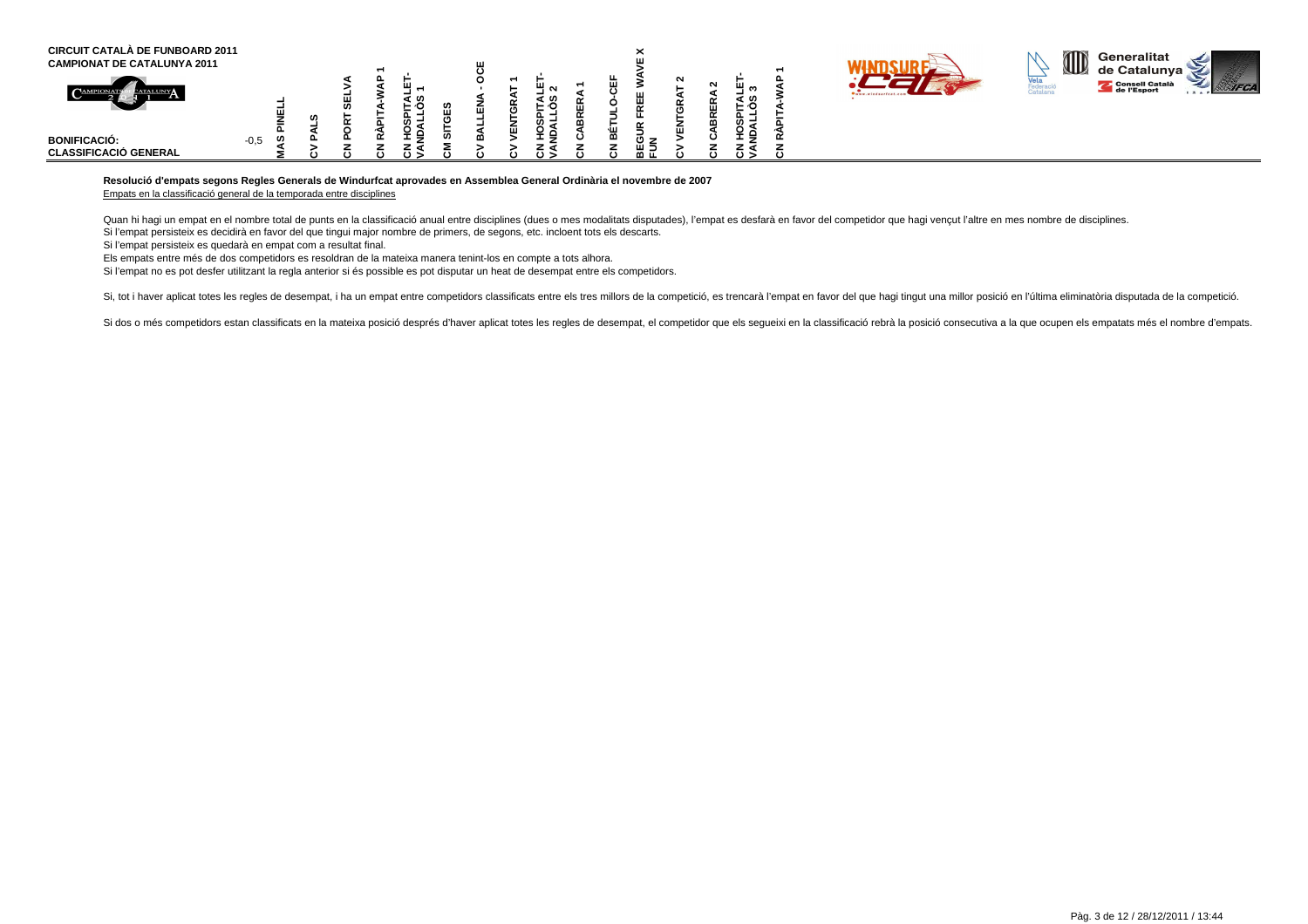| <b>CIRCUIT CATALÀ DE FUNBOARD 2011</b><br><b>CAMPIONAT DE CATALUNYA 2011</b> |             |  |          |                  |   |   |                     |   |    | ⌒         |             |        |                              |  | I | Generalitat<br>de Catalunya <sup>r</sup> | ~ |
|------------------------------------------------------------------------------|-------------|--|----------|------------------|---|---|---------------------|---|----|-----------|-------------|--------|------------------------------|--|---|------------------------------------------|---|
|                                                                              |             |  |          |                  | 冚 | - | <u>.</u>            | ш |    | ш<br>ш    | $\sim$<br>m | ட<br>ш | ш<br>ຕ<br>┙<br>: ဟ<br>6∙ –   |  |   | Consell Català<br>de l'Esport            |   |
| <b>BONIFICACIÓ:</b><br><b>CLASSIFICACIÓ GENERAL</b>                          | w<br>$-0,5$ |  | $\cdots$ | ¥ e<br>z d<br>റട |   |   | ທ –<br>ີ<br>$\circ$ | മ | ۰ш | ш =<br>മഥ | ш           |        | ഗ−<br>ັ້<br>호 낮<br>∠⊲<br>د ں |  |   |                                          |   |

## **Resolució d'empats segons Regles Generals de Windurfcat aprovades en Assemblea General Ordinària el novembre de 2007**

Empats en la classificació general de la temporada entre disciplines

Quan hi hagi un empat en el nombre total de punts en la classificació anual entre disciplines (dues o mes modalitats disputades), l'empat es desfarà en favor del competidor que hagi vencut l'altre en mes nombre de discipli Si l'empat persisteix es decidirà en favor del que tingui major nombre de primers, de segons, etc. incloent tots els descarts.

Si l'empat persisteix es quedarà en empat com a resultat final.

Els empats entre més de dos competidors es resoldran de la mateixa manera tenint-los en compte a tots alhora.

Si l'empat no es pot desfer utilitzant la regla anterior si és possible es pot disputar un heat de desempat entre els competidors.

Si, tot i haver aplicat totes les regles de desempat, i ha un empat entre competidors classificats entre els tres millors de la competició, es trencarà l'empat en favor del que hagi tingut una millor posició en l'última el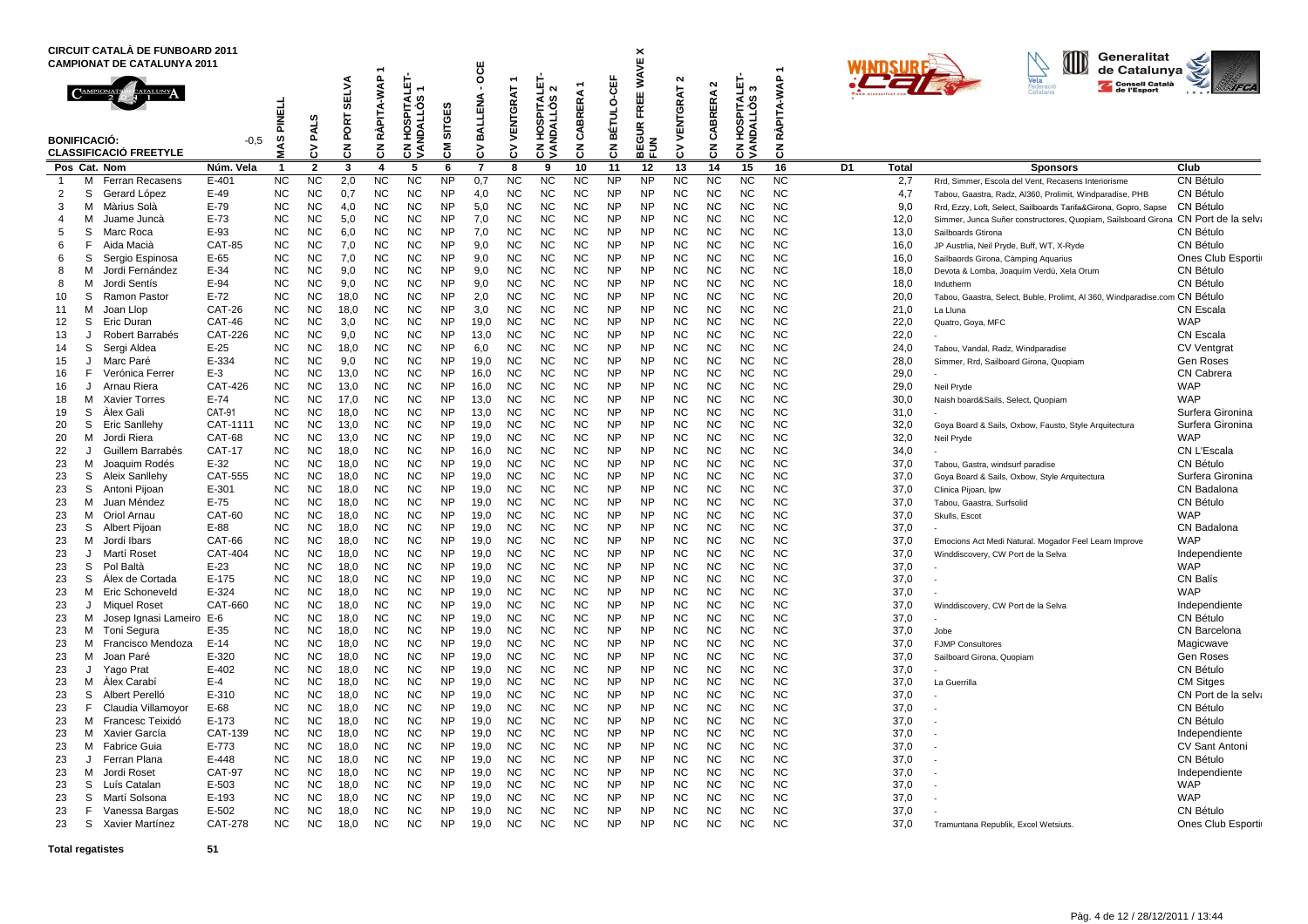|                     |        | <b>CIRCUIT CATALA DE FUNBOARD 2011</b><br><b>CAMPIONAT DE CATALUNYA 2011</b> |                          |                        |                             |                        |                        |                                           |                        | OCE          |                        |                                                                  |                       |                        | ×                                                                      |                         |                                   |                                            | $\overline{\phantom{0}}$ |    |              | Generalitat<br>de Catalunya                                                                                                 |                                |
|---------------------|--------|------------------------------------------------------------------------------|--------------------------|------------------------|-----------------------------|------------------------|------------------------|-------------------------------------------|------------------------|--------------|------------------------|------------------------------------------------------------------|-----------------------|------------------------|------------------------------------------------------------------------|-------------------------|-----------------------------------|--------------------------------------------|--------------------------|----|--------------|-----------------------------------------------------------------------------------------------------------------------------|--------------------------------|
|                     |        | <b>BONIFICACIÓ:</b><br><b>CLASSIFICACIÓ FREETYLE</b>                         | -0.5                     | 급<br>릍<br>w            | ဖာ<br>PAL <sup>'</sup><br>3 | ELVA<br>ø<br>PORT<br>중 | PITA-WAP<br>₹<br>중     | SPITALET<br>S<br>QTIV<br>웊<br>g<br>중<br>⋖ | SITGES<br>ξ            | BALLENA<br>3 | VENTGRAT<br>3          | <b>PITALE</b><br>$\sim$<br>ဖာ<br>o<br>ュ<br>m<br>오<br>£<br>중<br>ξ | ERA<br>BRI<br>చే<br>3 | BÉTULO-CEF<br>중        | <b>WAVE</b><br><b>FREE</b><br>$\propto$<br>EGUI<br>$\frac{2}{10}$<br>⋒ | $\sim$<br>VENTGRAT<br>δ | $\sim$<br><b>BRERA</b><br>చే<br>중 | Щ<br>ო<br>I HOSPITALI<br>NDALLOS 3<br>टुड् | RÀPITA-WAP<br>중          |    |              | Vela<br>Consell Català<br>de l'Esport                                                                                       | <b>AFCA</b>                    |
|                     |        | Pos Cat. Nom                                                                 | Núm. Vela                | -1                     | $\overline{2}$              | 3                      | 4                      | 5                                         | 6                      | 7            | 8                      | 9                                                                | 10                    | 11                     | 12                                                                     | 13                      | 14                                | 15                                         | 16                       | D1 | Total        | <b>Sponsors</b>                                                                                                             | Club                           |
| $\overline{1}$      | м      | Ferran Recasens                                                              | $E-401$                  | <b>NC</b>              | <b>NC</b>                   | 2,0                    | <b>NC</b>              | <b>NC</b>                                 | <b>NP</b><br><b>NP</b> | 0,7          | <b>NC</b>              | <b>NC</b><br><b>NC</b>                                           | <b>NC</b><br>NC       | <b>NP</b>              | <b>NP</b><br><b>NP</b>                                                 | <b>NC</b>               | <b>NC</b>                         | <b>NC</b>                                  | <b>NC</b><br><b>NC</b>   |    | 2,7          | Rrd, Simmer, Escola del Vent, Recasens Interiorisme                                                                         | CN Bétulo                      |
| $\overline{2}$<br>3 | S<br>м | Gerard López<br>Màrius Solà                                                  | E-49<br>E-79             | <b>NC</b><br><b>NC</b> | <b>NC</b><br><b>NC</b>      | 0.7<br>4,0             | <b>NC</b><br><b>NC</b> | <b>NC</b><br><b>NC</b>                    | <b>NP</b>              | 4,0<br>5,0   | <b>NC</b><br><b>NC</b> | <b>NC</b>                                                        | <b>NC</b>             | <b>NP</b><br><b>NP</b> | <b>NP</b>                                                              | <b>NC</b><br><b>NC</b>  | <b>NC</b><br><b>NC</b>            | <b>NC</b><br>NC.                           | <b>NC</b>                |    | 4,7<br>9,0   | Tabou, Gaastra, Radz, Al360, Prolimit, Windparadise, PHB<br>Rrd, Ezzy, Loft, Select, Sailboards Tarifa&Girona, Gopro, Sapse | CN Bétulo<br>CN Bétulo         |
| 4                   | м      | Juame Juncà                                                                  | $E-73$                   | <b>NC</b>              | <b>NC</b>                   | 5,0                    | <b>NC</b>              | <b>NC</b>                                 | <b>NP</b>              | 7,0          | <b>NC</b>              | <b>NC</b>                                                        | NC                    | <b>NP</b>              | <b>NP</b>                                                              | <b>NC</b>               | <b>NC</b>                         | <b>NC</b>                                  | <b>NC</b>                |    | 12,0         | Simmer, Junca Suñer constructores, Quopiam, Sailsboard Girona CN Port de la selva                                           |                                |
| 5                   | S      | Marc Roca                                                                    | E-93                     | NC                     | <b>NC</b>                   | 6,0                    | NC                     | NC                                        | <b>NP</b>              | 7,0          | NС                     | NC                                                               | ΝC                    | <b>NP</b>              | <b>NP</b>                                                              | <b>NC</b>               | <b>NC</b>                         | <b>NC</b>                                  | <b>NC</b>                |    | 13,0         | Sailboards Gtirona                                                                                                          | CN Bétulo                      |
| 6                   | F      | Aida Macià                                                                   | <b>CAT-85</b>            | <b>NC</b>              | <b>NC</b>                   | 7,0                    | <b>NC</b>              | <b>NC</b>                                 | <b>NP</b>              | 9,0          | <b>NC</b>              | <b>NC</b>                                                        | NC                    | <b>NP</b>              | <b>NP</b>                                                              | <b>NC</b>               | <b>NC</b>                         | <b>NC</b>                                  | <b>NC</b>                |    | 16,0         | JP Austrlia, Neil Pryde, Buff, WT, X-Ryde                                                                                   | CN Bétulo                      |
| 6                   | S      | Sergio Espinosa                                                              | E-65                     | <b>NC</b>              | <b>NC</b>                   | 7,0                    | NC                     | NC                                        | <b>NP</b>              | 9,0          | NС                     | <b>NC</b>                                                        | <b>NC</b>             | <b>NP</b>              | <b>NP</b>                                                              | <b>NC</b>               | <b>NC</b>                         | <b>NC</b>                                  | <b>NC</b>                |    | 16,0         | Sailbaords Girona, Càmping Aquarius                                                                                         | Ones Club Esporti              |
| 8                   | м      | Jordi Fernández                                                              | E-34                     | NC                     | NC                          | 9,0                    | <b>NC</b>              | <b>NC</b>                                 | <b>NP</b>              | 9,0          | <b>NC</b>              | NC                                                               | NC                    | <b>NP</b>              | <b>NP</b>                                                              | <b>NC</b>               | <b>NC</b>                         | <b>NC</b>                                  | <b>NC</b>                |    | 18,0         | Devota & Lomba, Joaquím Verdú, Xela Orum                                                                                    | CN Bétulo                      |
| 8                   | м      | Jordi Sentís                                                                 | E-94                     | <b>NC</b>              | <b>NC</b>                   | 9,0                    | <b>NC</b>              | <b>NC</b>                                 | <b>NP</b>              | 9,0          | <b>NC</b>              | <b>NC</b>                                                        | NC                    | <b>NP</b>              | <b>NP</b>                                                              | <b>NC</b>               | <b>NC</b>                         | <b>NC</b>                                  | <b>NC</b>                |    | 18,0         | Indutherm                                                                                                                   | CN Bétulo                      |
| 10                  | S      | Ramon Pastor                                                                 | $E-72$                   | NC                     | NC                          | 18,0                   | NC                     | NC                                        | <b>NP</b>              | 2,0          | NС                     | <b>NC</b>                                                        | ΝC                    | <b>NP</b>              | <b>NP</b>                                                              | <b>NC</b>               | <b>NC</b>                         | <b>NC</b>                                  | <b>NC</b>                |    | 20,0         | Tabou, Gaastra, Select, Buble, Prolimt, Al 360, Windparadise.com CN Bétulo                                                  |                                |
| 11                  | М      | Joan Llop                                                                    | <b>CAT-26</b>            | <b>NC</b>              | <b>NC</b>                   | 18,0                   | <b>NC</b>              | <b>NC</b>                                 | <b>NP</b>              | 3,0          | <b>NC</b>              | <b>NC</b>                                                        | NC                    | <b>NP</b>              | <b>NP</b><br><b>NP</b>                                                 | <b>NC</b>               | <b>NC</b>                         | <b>NC</b>                                  | <b>NC</b>                |    | 21,0         | La Lluna                                                                                                                    | <b>CN Escala</b><br><b>WAP</b> |
| 12<br>13            | S<br>J | Eric Duran<br>Robert Barrabés                                                | CAT-46<br><b>CAT-226</b> | NC<br><b>NC</b>        | <b>NC</b><br>NC             | 3,0<br>9,0             | NC<br>NC               | <b>NC</b><br>NC                           | <b>NP</b><br><b>NP</b> | 19,0<br>13,0 | <b>NC</b><br>NС        | NC<br>NC                                                         | NC<br>NC              | <b>NP</b><br><b>NP</b> | <b>NP</b>                                                              | <b>NC</b><br><b>NC</b>  | <b>NC</b><br><b>NC</b>            | <b>NC</b><br><b>NC</b>                     | <b>NC</b><br><b>NC</b>   |    | 22,0<br>22,0 | Quatro, Goya, MFC                                                                                                           | <b>CN Escala</b>               |
| 14                  | S      | Sergi Aldea                                                                  | $E-25$                   | <b>NC</b>              | <b>NC</b>                   | 18,0                   | NC                     | <b>NC</b>                                 | <b>NP</b>              | 6,0          | <b>NC</b>              | <b>NC</b>                                                        | <b>NC</b>             | <b>NP</b>              | <b>NP</b>                                                              | <b>NC</b>               | <b>NC</b>                         | <b>NC</b>                                  | <b>NC</b>                |    | 24,0         | Tabou, Vandal, Radz, Windparadise                                                                                           | CV Ventgrat                    |
| 15                  | J      | Marc Paré                                                                    | E-334                    | <b>NC</b>              | <b>NC</b>                   | 9,0                    | NC                     | <b>NC</b>                                 | <b>NP</b>              | 19,0         | <b>NC</b>              | <b>NC</b>                                                        | NC                    | <b>NP</b>              | <b>NP</b>                                                              | <b>NC</b>               | <b>NC</b>                         | <b>NC</b>                                  | <b>NC</b>                |    | 28,0         | Simmer, Rrd, Sailboard Girona, Quopiam                                                                                      | <b>Gen Roses</b>               |
| 16                  | F      | Verónica Ferrer                                                              | E-3                      | NC                     | <b>NC</b>                   | 13,0                   | NC                     | <b>NC</b>                                 | <b>NP</b>              | 16,0         | <b>NC</b>              | NC                                                               | NC                    | <b>NP</b>              | <b>NP</b>                                                              | <b>NC</b>               | <b>NC</b>                         | <b>NC</b>                                  | <b>NC</b>                |    | 29,0         |                                                                                                                             | CN Cabrera                     |
| 16                  | J      | Arnau Riera                                                                  | CAT-426                  | <b>NC</b>              | <b>NC</b>                   | 13,0                   | NC                     | <b>NC</b>                                 | <b>NP</b>              | 16,0         | <b>NC</b>              | <b>NC</b>                                                        | NC                    | <b>NP</b>              | <b>NP</b>                                                              | <b>NC</b>               | <b>NC</b>                         | <b>NC</b>                                  | <b>NC</b>                |    | 29,0         | Neil Pryde                                                                                                                  | <b>WAP</b>                     |
| 18                  | м      | Xavier Torres                                                                | $E-74$                   | <b>NC</b>              | NC                          | 17.0                   | NC                     | <b>NC</b>                                 | <b>NP</b>              | 13,0         | <b>NC</b>              | <b>NC</b>                                                        | ΝC                    | <b>NP</b>              | <b>NP</b>                                                              | <b>NC</b>               | <b>NC</b>                         | <b>NC</b>                                  | <b>NC</b>                |    | 30,0         | Naish board&Sails, Select, Quopiam                                                                                          | <b>WAP</b>                     |
| 19                  | S      | Alex Gali                                                                    | CAT-91                   | <b>NC</b>              | <b>NC</b>                   | 18,0                   | <b>NC</b>              | <b>NC</b>                                 | <b>NP</b>              | 13,0         | <b>NC</b>              | <b>NC</b>                                                        | <b>NC</b>             | <b>NP</b>              | <b>NP</b>                                                              | <b>NC</b>               | <b>NC</b>                         | <b>NC</b>                                  | <b>NC</b>                |    | 31,0         |                                                                                                                             | Surfera Gironina               |
| 20                  | S      | Eric Sanllehy                                                                | CAT-1111                 | NC                     | NC                          | 13,0                   | NC                     | <b>NC</b>                                 | <b>NP</b>              | 19,0         | <b>NC</b>              | <b>NC</b>                                                        | NC                    | <b>NP</b>              | <b>NP</b>                                                              | <b>NC</b>               | <b>NC</b>                         | <b>NC</b>                                  | <b>NC</b>                |    | 32,0         | Goya Board & Sails, Oxbow, Fausto, Style Arquitectura                                                                       | Surfera Gironina               |
| 20                  | м      | Jordi Riera                                                                  | CAT-68                   | <b>NC</b>              | NC                          | 13,0                   | <b>NC</b>              | <b>NC</b>                                 | <b>NP</b>              | 19,0         | <b>NC</b>              | <b>NC</b>                                                        | NC                    | <b>NP</b>              | <b>NP</b>                                                              | <b>NC</b>               | <b>NC</b>                         | <b>NC</b>                                  | <b>NC</b>                |    | 32,0         | Neil Pryde                                                                                                                  | <b>WAP</b>                     |
| 22                  | J      | Guillem Barrabés                                                             | <b>CAT-17</b>            | NC                     | <b>NC</b>                   | 18,0                   | NC                     | <b>NC</b>                                 | <b>NP</b>              | 16,0         | <b>NC</b>              | <b>NC</b>                                                        | <b>NC</b>             | <b>NP</b>              | <b>NP</b>                                                              | <b>NC</b>               | <b>NC</b>                         | <b>NC</b>                                  | <b>NC</b>                |    | 34,0         |                                                                                                                             | CN L'Escala<br>CN Bétulo       |
| 23<br>23            | м<br>S | Joaquim Rodés<br>Aleix Sanllehy                                              | E-32<br><b>CAT-555</b>   | <b>NC</b><br><b>NC</b> | NC<br><b>NC</b>             | 18.0<br>18,0           | <b>NC</b><br>NC        | <b>NC</b><br><b>NC</b>                    | <b>NP</b><br><b>NP</b> | 19.0<br>19,0 | <b>NC</b><br><b>NC</b> | <b>NC</b><br><b>NC</b>                                           | NC<br><b>NC</b>       | <b>NP</b><br><b>NP</b> | <b>NP</b><br><b>NP</b>                                                 | <b>NC</b><br><b>NC</b>  | <b>NC</b><br><b>NC</b>            | <b>NC</b><br><b>NC</b>                     | <b>NC</b><br><b>NC</b>   |    | 37,0<br>37,0 | Tabou, Gastra, windsurf paradise                                                                                            | Surfera Gironina               |
| 23                  |        | S Antoni Pijoan                                                              | E-301                    | <b>NC</b>              | <b>NC</b>                   | 18,0                   | <b>NC</b>              | <b>NC</b>                                 | <b>NP</b>              | 19,0         | <b>NC</b>              | <b>NC</b>                                                        | NC                    | <b>NP</b>              | <b>NP</b>                                                              | <b>NC</b>               | <b>NC</b>                         | <b>NC</b>                                  | <b>NC</b>                |    | 37,0         | Goya Board & Sails, Oxbow, Style Arquitectura<br>Clinica Pijoan, Ipw                                                        | CN Badalona                    |
| 23                  | м      | Juan Méndez                                                                  | E-75                     | NC                     | <b>NC</b>                   | 18,0                   | NC                     | NC                                        | <b>NP</b>              | 19,0         | <b>NC</b>              | NC                                                               | <b>NC</b>             | <b>NP</b>              | <b>NP</b>                                                              | NC                      | NC                                | <b>NC</b>                                  | <b>NC</b>                |    | 37,0         | Tabou, Gaastra, Surfsolid                                                                                                   | CN Bétulo                      |
| 23                  | м      | Oriol Arnau                                                                  | CAT-60                   | <b>NC</b>              | <b>NC</b>                   | 18,0                   | <b>NC</b>              | <b>NC</b>                                 | <b>NP</b>              | 19,0         | <b>NC</b>              | <b>NC</b>                                                        | NC                    | <b>NP</b>              | <b>NP</b>                                                              | <b>NC</b>               | <b>NC</b>                         | <b>NC</b>                                  | <b>NC</b>                |    | 37,0         | Skulls, Escot                                                                                                               | <b>WAP</b>                     |
| 23                  | S      | Albert Pijoan                                                                | E-88                     | NC                     | NC                          | 18,0                   | NC                     | <b>NC</b>                                 | <b>NP</b>              | 19,0         | <b>NC</b>              | NC                                                               | NC                    | <b>NP</b>              | <b>NP</b>                                                              | NC                      | <b>NC</b>                         | <b>NC</b>                                  | <b>NC</b>                |    | 37,0         |                                                                                                                             | CN Badalona                    |
| 23                  | M      | Jordi Ibars                                                                  | CAT-66                   | NC                     | NC                          | 18,0                   | <b>NC</b>              | <b>NC</b>                                 | <b>NP</b>              | 19,0         | <b>NC</b>              | NC                                                               | NC                    | <b>NP</b>              | <b>NP</b>                                                              | <b>NC</b>               | <b>NC</b>                         | <b>NC</b>                                  | <b>NC</b>                |    | 37,0         | Emocions Act Medi Natural. Mogador Feel Learn Improve                                                                       | <b>WAP</b>                     |
| 23                  | J      | Martí Roset                                                                  | <b>CAT-404</b>           | <b>NC</b>              | <b>NC</b>                   | 18,0                   | NC                     | <b>NC</b>                                 | <b>NP</b>              | 19,0         | <b>NC</b>              | <b>NC</b>                                                        | <b>NC</b>             | <b>NP</b>              | <b>NP</b>                                                              | <b>NC</b>               | <b>NC</b>                         | <b>NC</b>                                  | <b>NC</b>                |    | 37,0         | Winddiscovery, CW Port de la Selva                                                                                          | Independiente                  |
| 23                  | S      | Pol Baltà                                                                    | $E-23$                   | <b>NC</b>              | NC                          | 18,0                   | NC                     | <b>NC</b>                                 | <b>NP</b>              | 19,0         | <b>NC</b>              | <b>NC</b>                                                        | NC                    | <b>NP</b>              | <b>NP</b>                                                              | <b>NC</b>               | <b>NC</b>                         | <b>NC</b>                                  | <b>NC</b>                |    | 37,0         |                                                                                                                             | <b>WAP</b>                     |
| 23                  | S      | Alex de Cortada                                                              | E-175                    | NC                     | <b>NC</b>                   | 18,0                   | NC                     | <b>NC</b>                                 | <b>NP</b>              | 19,0         | <b>NC</b>              | <b>NC</b>                                                        | <b>NC</b>             | <b>NP</b>              | <b>NP</b>                                                              | <b>NC</b>               | <b>NC</b>                         | <b>NC</b>                                  | <b>NC</b>                |    | 37,0         |                                                                                                                             | <b>CN Balís</b>                |
| 23                  |        | M Eric Schoneveld                                                            | E-324                    | NC                     | NC                          | 18,0                   | NC                     | <b>NC</b>                                 | <b>NP</b>              | 19,0         | <b>NC</b>              | <b>NC</b>                                                        | NC                    | <b>NP</b>              | <b>NP</b>                                                              | <b>NC</b>               | <b>NC</b>                         | <b>NC</b>                                  | <b>NC</b>                |    | 37,0         |                                                                                                                             | <b>WAP</b>                     |
| 23                  | J      | <b>Miquel Roset</b>                                                          | CAT-660                  | <b>NC</b><br><b>NC</b> | NC<br><b>NC</b>             | 18,0<br>18,0           | NC<br>NC               | <b>NC</b><br><b>NC</b>                    | <b>NP</b><br><b>NP</b> | 19,0<br>19,0 | <b>NC</b><br><b>NC</b> | NC<br><b>NC</b>                                                  | NC<br><b>NC</b>       | <b>NP</b><br><b>NP</b> | <b>NP</b><br><b>NP</b>                                                 | <b>NC</b><br><b>NC</b>  | <b>NC</b><br><b>NC</b>            | <b>NC</b><br><b>NC</b>                     | <b>NC</b><br><b>NC</b>   |    | 37,0         | Winddiscovery, CW Port de la Selva                                                                                          | Independiente<br>CN Bétulo     |
| 23<br>23            | м      | Josep Ignasi Lameiro E-6<br>M Toni Segura                                    | E-35                     | <b>NC</b>              | <b>NC</b>                   | 18,0                   | <b>NC</b>              | <b>NC</b>                                 | <b>NP</b>              | 19,0         | <b>NC</b>              | <b>NC</b>                                                        | NC                    | <b>NP</b>              | <b>NP</b>                                                              | <b>NC</b>               | <b>NC</b>                         | <b>NC</b>                                  | <b>NC</b>                |    | 37,0<br>37,0 | Jobe                                                                                                                        | <b>CN Barcelona</b>            |
| 23                  |        | M Francisco Mendoza                                                          | $E-14$                   | NC                     | <b>NC</b>                   | 18,0                   | NC                     | <b>NC</b>                                 | <b>NP</b>              | 19,0         | <b>NC</b>              | NC                                                               | NC                    | <b>NP</b>              | <b>NP</b>                                                              | <b>NC</b>               | <b>NC</b>                         | <b>NC</b>                                  | <b>NC</b>                |    | 37,0         | <b>FJMP Consultores</b>                                                                                                     | Magicwave                      |
| 23                  | M      | Joan Paré                                                                    | E-320                    | <b>NC</b>              | <b>NC</b>                   | 18,0                   | <b>NC</b>              | <b>NC</b>                                 | <b>NP</b>              | 19,0         | <b>NC</b>              | <b>NC</b>                                                        | NC                    | <b>NP</b>              | <b>NP</b>                                                              | <b>NC</b>               | <b>NC</b>                         | <b>NC</b>                                  | <b>NC</b>                |    | 37,0         | Sailboard Girona, Quopiam                                                                                                   | <b>Gen Roses</b>               |
| 23                  | J      | Yago Prat                                                                    | E-402                    | NC                     | NC                          | 18,0                   | NC                     | <b>NC</b>                                 | <b>NP</b>              | 19,0         | <b>NC</b>              | <b>NC</b>                                                        | ΝC                    | <b>NP</b>              | <b>NP</b>                                                              | NC                      | <b>NC</b>                         | <b>NC</b>                                  | <b>NC</b>                |    | 37,0         |                                                                                                                             | CN Bétulo                      |
| 23                  | M      | Alex Carabí                                                                  | $E-4$                    | <b>NC</b>              | <b>NC</b>                   | 18,0                   | <b>NC</b>              | <b>NC</b>                                 | <b>NP</b>              | 19,0         | <b>NC</b>              | <b>NC</b>                                                        | NC                    | <b>NP</b>              | <b>NP</b>                                                              | <b>NC</b>               | <b>NC</b>                         | <b>NC</b>                                  | <b>NC</b>                |    | 37,0         | La Guerrilla                                                                                                                | <b>CM Sitges</b>               |
| 23                  | S      | Albert Perelló                                                               | E-310                    | NC                     | NC                          | 18,0                   | NC                     | <b>NC</b>                                 | <b>NP</b>              | 19,0         | <b>NC</b>              | NC                                                               | ΝC                    | NP                     | <b>NP</b>                                                              | <b>NC</b>               | <b>NC</b>                         | <b>NC</b>                                  | <b>NC</b>                |    | 37,0         |                                                                                                                             | CN Port de la selva            |
| 23                  | F      | Claudia Villamoyor                                                           | E-68                     | NC                     | NC                          | 18,0                   | NC                     | <b>NC</b>                                 | <b>NP</b>              | 19,0         | NС                     | NC                                                               | ΝC                    | <b>NP</b>              | <b>NP</b>                                                              | <b>NC</b>               | <b>NC</b>                         | <b>NC</b>                                  | <b>NC</b>                |    | 37,0         |                                                                                                                             | CN Bétulo                      |
| 23                  |        | M Francesc Teixidó                                                           | E-173                    | NC                     | <b>NC</b>                   | 18,0                   | <b>NC</b>              | ΝC                                        | <b>NP</b>              | 19,0         | <b>NC</b>              | <b>NC</b>                                                        | NC                    | <b>NP</b>              | <b>NP</b>                                                              | <b>NC</b>               | <b>NC</b>                         | <b>NC</b>                                  | <b>NC</b>                |    | 37,0         |                                                                                                                             | CN Bétulo                      |
| 23                  | м      | Xavier García                                                                | CAT-139                  | <b>NC</b>              |                             | 18,0                   | NC.                    | NC.                                       | <b>NP</b>              | 19.0         | <b>NC</b>              | <b>NC</b>                                                        | NC.                   | <b>NP</b>              | <b>NP</b>                                                              | <b>NC</b>               | <b>NC</b>                         | <b>NC</b>                                  | NC.                      |    | 37,0         |                                                                                                                             | Independiente                  |
| 23                  |        | M Fabrice Guia                                                               | E-773                    | NC.                    | NC.                         | 18,0                   | NC.                    | NC.                                       | NP                     | 19,0         | NC.                    | <b>NC</b>                                                        | NC                    | <b>NP</b>              | <b>NP</b>                                                              | NC                      | NC.                               | NC                                         | <b>NC</b>                |    | 37,0         |                                                                                                                             | CV Sant Antoni                 |
| 23<br>23            |        | J Ferran Plana<br>M Jordi Roset                                              | E-448<br><b>CAT-97</b>   | NC.<br>NC              | <b>NC</b><br>NC             | 18,0<br>18,0           | <b>NC</b><br>NC        | <b>NC</b><br>NC                           | <b>NP</b><br>NP        | 19,0<br>19,0 | <b>NC</b><br><b>NC</b> | <b>NC</b><br>NC                                                  | <b>NC</b><br>NC       | <b>NP</b><br><b>NP</b> | <b>NP</b><br><b>NP</b>                                                 | NC<br>NC                | <b>NC</b><br><b>NC</b>            | <b>NC</b><br>NC.                           | <b>NC</b><br><b>NC</b>   |    | 37,0<br>37,0 |                                                                                                                             | CN Bétulo<br>Independiente     |
| 23                  |        | S Luís Catalan                                                               | E-503                    | NC                     | <b>NC</b>                   | 18,0                   | <b>NC</b>              | <b>NC</b>                                 | NP                     | 19,0         | <b>NC</b>              | <b>NC</b>                                                        | <b>NC</b>             | <b>NP</b>              | <b>NP</b>                                                              | <b>NC</b>               | <b>NC</b>                         | <b>NC</b>                                  | <b>NC</b>                |    | 37,0         |                                                                                                                             | WAP                            |
| 23                  |        | S Martí Solsona                                                              | E-193                    | NC.                    | NC                          | 18,0                   | NC                     | NC                                        | NP                     | 19,0         | <b>NC</b>              | NC                                                               | <b>NC</b>             | <b>NP</b>              | <b>NP</b>                                                              | NC                      | <b>NC</b>                         | <b>NC</b>                                  | <b>NC</b>                |    | 37,0         |                                                                                                                             | <b>WAP</b>                     |
| 23                  |        | F Vanessa Bargas                                                             | E-502                    | NC.                    | NC.                         | 18,0                   | <b>NC</b>              | NC                                        | NP                     | 19,0         | NC                     | <b>NC</b>                                                        | NC.                   | <b>NP</b>              | NP                                                                     | <b>NC</b>               | <b>NC</b>                         | <b>NC</b>                                  | <b>NC</b>                |    | 37,0         |                                                                                                                             | CN Bétulo                      |
| 23                  |        | S Xavier Martínez                                                            | CAT-278                  | NC                     | NC.                         | 18,0                   | NC                     | NC.                                       | NP                     | 19,0         | NC.                    | <b>NC</b>                                                        | NC.                   | NP                     | <b>NP</b>                                                              | NC                      | <b>NC</b>                         | <b>NC</b>                                  | <b>NC</b>                |    | 37,0         | Tramuntana Republik, Excel Wetsiuts                                                                                         | Ones Club Esporti              |
|                     |        | <b>Total regatistes</b>                                                      | 51                       |                        |                             |                        |                        |                                           |                        |              |                        |                                                                  |                       |                        |                                                                        |                         |                                   |                                            |                          |    |              |                                                                                                                             |                                |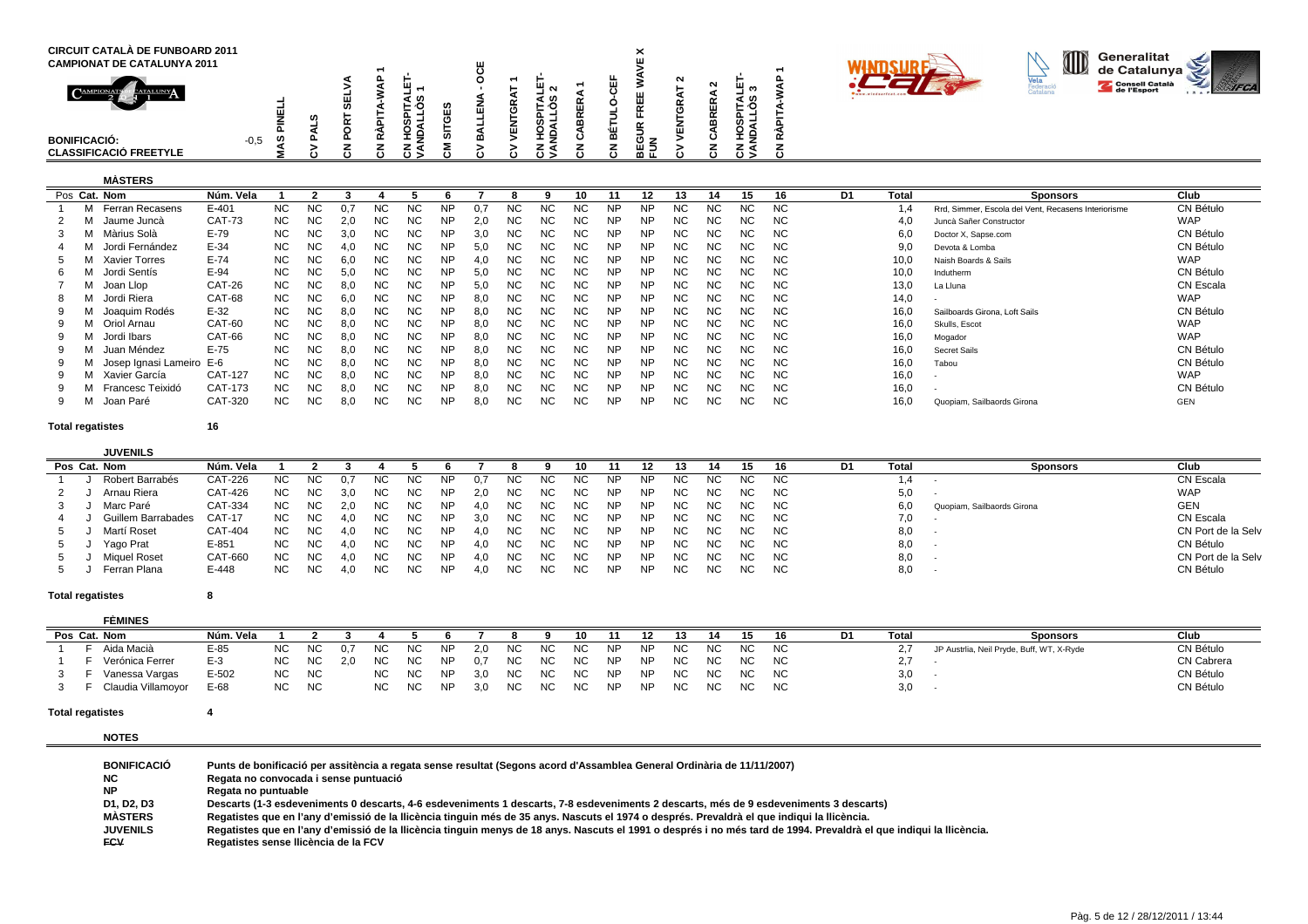| <b>CIRCUIT CATALÀ DE FUNBOARD 2011</b><br><b>CAMPIONAT DE CATALUNYA 2011</b><br>CAMPIONAT<br><b>CATALUNYA</b><br><b>BONIFICACIÓ:</b> | ဖာ<br>$-0,5$ | ທ |  | L =        |           | -  | N<br>ᆜ<br>ēω<br>. .<br>ັົ<br>ᆂᄛ |  | $\checkmark$<br>$\sim$<br>ΟZ | $\sim$<br>$\sim$ | $\overline{\phantom{a}}$<br>∸<br>$\cdots$ | ຕ<br>∢ ທ   |  |  | O | Generalitat<br>de Catalunya<br>Consell Català<br>Ce l'Esport |  |
|--------------------------------------------------------------------------------------------------------------------------------------|--------------|---|--|------------|-----------|----|---------------------------------|--|------------------------------|------------------|-------------------------------------------|------------|--|--|---|--------------------------------------------------------------|--|
| <b>CLASSIFICACIÓ FREETYLE</b>                                                                                                        |              |   |  | ∠ ∢<br>خ ن | $\lambda$ | ین | z 4<br>د ں                      |  | யு<br>血正                     |                  |                                           | z q<br>د ن |  |  |   |                                                              |  |

# **MÀSTERS**

| Pos Cat. Nom |                          | Núm. Vela     |           |           |      |           |     |           |     |           |           |     |           |           |           |    | 15  | 16  | D1 | Total | <b>Sponsors</b>                                     | Club       |
|--------------|--------------------------|---------------|-----------|-----------|------|-----------|-----|-----------|-----|-----------|-----------|-----|-----------|-----------|-----------|----|-----|-----|----|-------|-----------------------------------------------------|------------|
|              | Ferran Recasens          | E-401         | <b>NC</b> | <b>NC</b> |      | NС        | NC. | NP        | 0.7 | <b>NC</b> | NС        | NС  | NP        | NΡ        | <b>NC</b> | ΝC | NС  | NС  |    | 1.4   | Rrd, Simmer, Escola del Vent, Recasens Interiorisme | CN Bétulo  |
|              | Jaume Juncà              | <b>CAT-73</b> | <b>NC</b> | <b>NC</b> | -2.0 | NC.       | NC. | ΝP        | 2.0 | NC.       | ΝC        | ΝC  | NΡ        | NΡ        | NC.       | ΝC | NC. | NC. |    | 4.0   | Juncà Sañer Constructor                             | <b>WAP</b> |
|              | Màrius Solà              | $E-79$        | NC        | <b>NC</b> | 3.0  | NC        | NC. | <b>NP</b> | 3.0 | NC.       | NC.       | NC. | <b>NP</b> | <b>NP</b> | NC.       | ΝC | NC. | NC. |    | 6,0   | Doctor X, Sapse.com                                 | CN Bétulo  |
|              | Jordi Fernández          | $E-34$        | NC        | <b>NC</b> | 4.0  | NC.       | NC. | <b>NP</b> | 5,0 | NC        | NC        | ΝC  | <b>NP</b> | <b>NP</b> | NC.       | NC | NC. | NC. |    | 9.0   | Devota & Lomba                                      | CN Bétulo  |
|              | Xavier Torres            | $E-74$        | NC        | <b>NC</b> | 6.0  | NC.       | NC. |           | 4.0 | NC.       | <b>NC</b> | NC. | <b>NP</b> | <b>NP</b> | NC.       | ΝC | NC. | NC. |    | 10,0  | Naish Boards & Sails                                | <b>WAP</b> |
| 6.           | Jordi Sentís             | $E-94$        | NC.       | NC.       | 5.0  | NC        | NC. | <b>NP</b> | 5.0 | NC.       | <b>NC</b> | NC. | <b>NP</b> | <b>NP</b> | NC.       | ΝC | NC. | NC. |    | 10,0  | Indutherm                                           | CN Bétulo  |
|              | Joan Llop                | CAT-26        | <b>NC</b> | <b>NC</b> | 8.0  | NC        | NC. | <b>NP</b> | 5.0 | NC.       | NC.       | NC. | <b>NP</b> | NP.       | NC.       | ΝC | NC. | NC. |    | 13,0  | La Lluna                                            | CN Escala  |
|              | Jordi Riera              | CAT-68        | NC.       | <b>NC</b> | 6.0  | <b>NC</b> | NC. | <b>NP</b> | 8.0 | NC.       | ΝC        | NC. | <b>NP</b> | <b>NP</b> | NC.       | ΝC | NC. | NC. |    | 14,0  |                                                     | <b>WAP</b> |
|              | Joaquim Rodés            | $E-32$        | NC.       | <b>NC</b> | 8.C  | NC        | NC. | NP        | 8.0 | NC.       | NC        | ΝC  | NP        | NP        | NC.       | NC | NC. | NC. |    | 16,0  | Sailboards Girona, Loft Sails                       | CN Bétulo  |
|              | Oriol Arnau              | CAT-60        | <b>NC</b> | <b>NC</b> | 8.0  | <b>NC</b> | NC. | <b>NP</b> | 8,0 | NC.       | <b>NC</b> | NC. | <b>NP</b> | NP        | NC.       | ΝC | NC. | NC. |    | 16,0  | Skulls, Escot                                       | <b>WAP</b> |
|              | Jordi Ibars              | CAT-66        | <b>NC</b> | <b>NC</b> | 8.0  | NC        | NC. | <b>NP</b> | 8.0 | NC.       | <b>NC</b> | ΝC  | <b>NP</b> | NP.       | NC.       | ΝC | NC. | NC. |    | 16,0  | Mogador                                             | <b>WAP</b> |
|              | Juan Méndez              | $E-75$        | NC.       | <b>NC</b> | 8.0  | NC        | NC. | ΝP        | 8.0 | NC.       | <b>NC</b> | NC. | <b>NP</b> | <b>NP</b> | NC.       | ΝC | NC. | NC. |    | 16,0  | Secret Sails                                        | CN Bétulo  |
|              | Josep Ignasi Lameiro E-6 |               | NC.       | <b>NC</b> | 8.0  | NC        | NC. | <b>NP</b> | 8.0 | NC.       | NC.       | NC. | <b>NP</b> | <b>NP</b> | NC.       | ΝC | NC. | NC. |    | 16,0  | Tabou                                               | CN Bétulo  |
|              | Xavier García            | CAT-127       | <b>NC</b> | <b>NC</b> | 8.0  | <b>NC</b> | NC. | <b>NP</b> | 8.0 | NC.       | ΝC        | ΝC  | <b>NP</b> | <b>NP</b> | NC.       | ΝC | NC. | NC. |    | 16,0  |                                                     | <b>WAP</b> |
|              | Francesc Teixidó         | CAT-173       | <b>NC</b> | <b>NC</b> | 8,0  | NC.       | NC. | <b>NP</b> | 8.0 | NC.       | ΝC        | NC. | <b>NP</b> | NΡ        | NC.       | ΝC | NC. | NC. |    | 16,0  |                                                     | CN Bétulo  |
|              | Joan Paré                | CAT-320       | <b>NC</b> | NC.       | 8.0  | ΝC        | NC. | <b>NP</b> | 8.0 | NC.       | ΝC        | ΝC  | <b>NP</b> | NP.       | NC.       | ΝC | NC. | NC. |    | 16.0  | Quopiam, Sailbaords Girona                          | <b>GEN</b> |

**Total regatistes**

**<sup>16</sup>**

| <b>JUVENILS</b>    |                |           |           |     |           |           |           |     |           |     |     |           |     |     |     |     |      |    |       |                            |                    |
|--------------------|----------------|-----------|-----------|-----|-----------|-----------|-----------|-----|-----------|-----|-----|-----------|-----|-----|-----|-----|------|----|-------|----------------------------|--------------------|
| Pos Cat. Nom       | Núm. Vela      |           |           |     |           |           |           |     |           |     |     |           |     |     |     | 15  |      | D1 | Total | <b>Sponsors</b>            | Club               |
| Robert Barrabés    | CAT-226        | NC.       | ΝC        |     | NC        | NC.       |           |     | NC.       | NC. | NC. | NP        | NP. | NC. | NC. | NC. | NC   |    |       |                            | CN Escala          |
| Arnau Riera        | CAT-426        | <b>NC</b> | <b>NC</b> |     | NC        | NC.       | NP        | 2.0 | NC.       | NC. | NC. | NP        | NP  | NC. | NC. | NC. | NC.  |    | 5,0   |                            | <b>WAP</b>         |
| Marc Paré          | CAT-334        | <b>NC</b> | <b>NC</b> | 2.0 | <b>NC</b> | <b>NC</b> | NP        | 4.0 | NC.       | NC. | NC. | NP.       | NP  | NC. | NC. | NC. | - NC |    | 6,0   | Quopiam, Sailbaords Girona | <b>GEN</b>         |
| Guillem Barrabades | CAT-17         | <b>NC</b> | NC        |     | NC        | NC.       | ΝP        | 3.0 | NC.       | NC. | NC. | NP        | NP. | NC. | NC. | NC. | NC.  |    |       |                            | CN Escala          |
| Martí Roset        | <b>CAT-404</b> | <b>NC</b> | <b>NC</b> | 4.0 | <b>NC</b> | NC.       | <b>NP</b> | 4.0 | <b>NC</b> | NC. | NC. | <b>NP</b> | NP  | NC. | NC. | NC. | NC   |    | 8,0   |                            | CN Port de la Selv |
| Yago Prat          | $E-851$        | <b>NC</b> | NC.       |     | <b>NC</b> | NC.       | ΝP        | 4 O | ΝC        | NC. | NC. | NP        | NP. | ΝC  | NC. |     | NC.  |    | 8,0   |                            | CN Bétulo          |
| Miguel Roset       | CAT-660        | <b>NC</b> | <b>NC</b> | 4.0 | <b>NC</b> | <b>NC</b> | NΡ        | 4.0 | NC.       | NC. | NC. | NP        | NP  | NC. | NC. | NC. | NC   |    | 8,0   |                            | CN Port de la Selv |
| Ferran Plana       | E-448          | NC.       | <b>NC</b> |     | <b>NC</b> | <b>NC</b> | ΝP        | 4 O | <b>NC</b> |     | NC. | NP        | NP. | NC. | NC. | NC. | NC.  |    | 8,0   |                            | CN Bétulo          |

### **Total regatistes<sup>8</sup>**

| <b>FÈMINES</b>     |           |           |           |     |           |     |           |     |     |     |      |           |           |     |           |           |           |    |          |                                           |                   |
|--------------------|-----------|-----------|-----------|-----|-----------|-----|-----------|-----|-----|-----|------|-----------|-----------|-----|-----------|-----------|-----------|----|----------|-------------------------------------------|-------------------|
| Pos Cat. Nom       | Núm. Vela |           |           |     |           |     |           |     |     |     |      |           |           |     |           |           | 16        | D1 | Tota     | <b>Sponsors</b>                           | Club              |
| Aida Macià         | $E-85$    | NC.       | NC        | 0.7 | <b>NC</b> | NC  | <b>NP</b> | 2.0 | NC. | NC. | NC.  | <b>NP</b> | <b>NP</b> | NC. | <b>NC</b> | NC.       | NC.       |    |          | JP Austrlia, Neil Pryde, Buff, WT, X-Ryde | CN Bétulo         |
| Verónica Ferrer    | $E-3$     | NC.       | NC        |     | NC.       | NC. |           | 0.  | NC. | NC. | NC . | <b>NP</b> | <b>NP</b> | NC. | NC.       | NC.       | <b>NC</b> |    | <b>L</b> |                                           | <b>CN Cabrera</b> |
| Vanessa Vargas     | $E-502$   | NC.       | <b>NC</b> |     | <b>NC</b> | NC. | <b>NP</b> | 3.0 | NC  | NC. | NC.  | <b>NP</b> | <b>NP</b> | NC. | <b>NC</b> | NC.       | <b>NC</b> |    | 3,0      |                                           | CN Bétulo         |
| Claudia Villamoyor | E-68      | <b>NC</b> | <b>NC</b> |     | <b>NC</b> | NC. | <b>NP</b> | 3.0 | NC. | NC. | NC.  | <b>NP</b> | <b>NP</b> | NC  | NC.       | <b>NC</b> | NC.       |    | 3,0      |                                           | CN Bétulo         |

### **Total regatistes<sup>4</sup>**

**NOTES**

| <b>BONIFICACIÓ</b> | Punts de bonificació per assitència a regata sense resultat (Segons acord d'Assamblea General Ordinària de 11/11/2007)                                              |
|--------------------|---------------------------------------------------------------------------------------------------------------------------------------------------------------------|
| NC.                | Regata no convocada i sense puntuació                                                                                                                               |
| <b>NP</b>          | Regata no puntuable                                                                                                                                                 |
| D1. D2. D3         | Descarts (1-3 esdeveniments 0 descarts, 4-6 esdeveniments 1 descarts, 7-8 esdeveniments 2 descarts, més de 9 esdeveniments 3 descarts)                              |
| <b>MASTERS</b>     | Regatistes que en l'any d'emissió de la llicència tinguin més de 35 anys. Nascuts el 1974 o després. Prevaldrà el que indigui la llicència.                         |
| <b>JUVENILS</b>    | Regatistes que en l'any d'emissió de la Ilicència tinguin menys de 18 anys. Nascuts el 1991 o després i no més tard de 1994. Prevaldrà el que indiqui la Ilicència. |
| <b>FCV</b>         | Regatistes sense Ilicència de la FCV                                                                                                                                |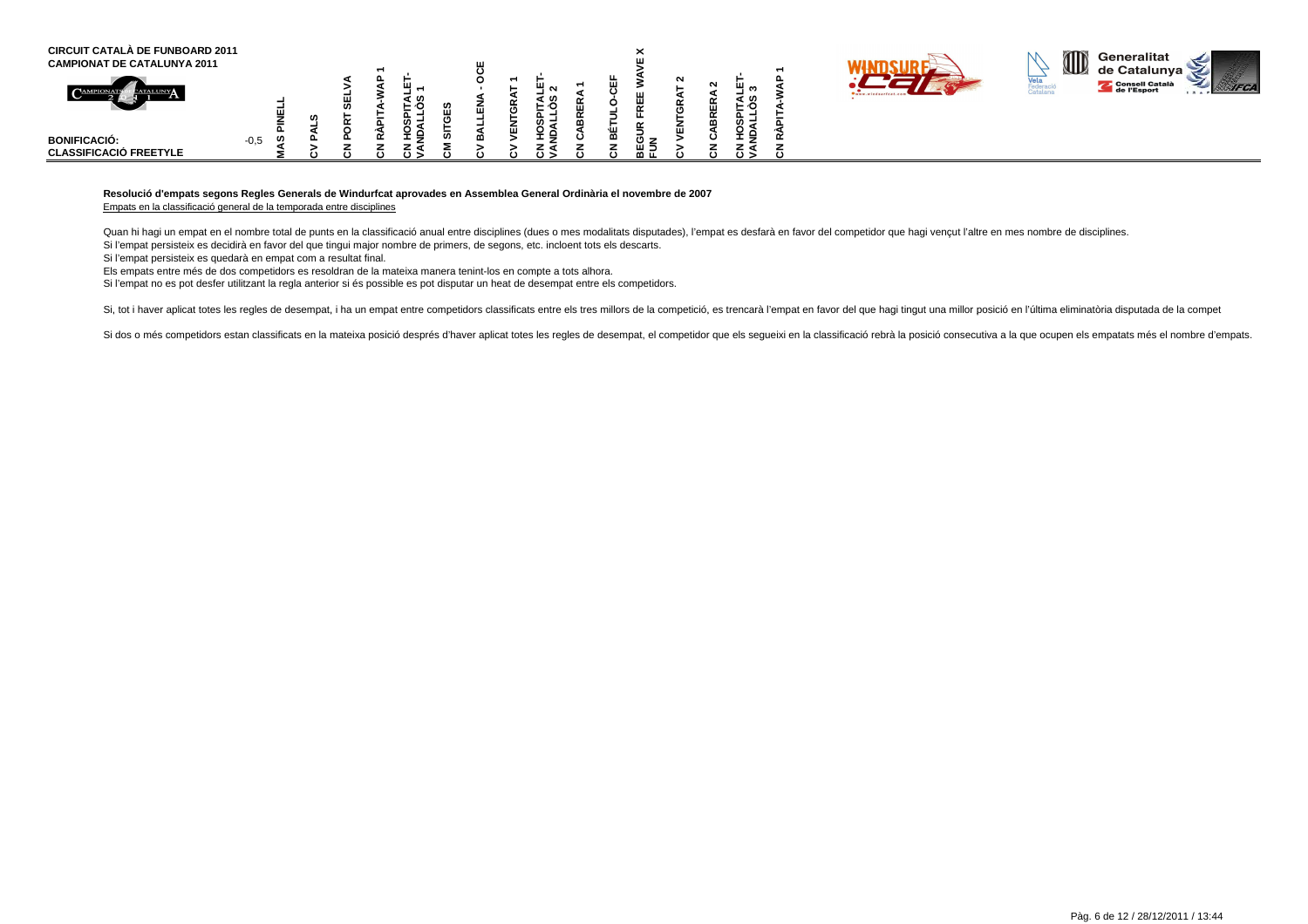| <b>CIRCUIT CATALÀ DE FUNBOARD 2011</b><br><b>CAMPIONAT DE CATALUNYA 2011</b> |             |   |  |                                   | ш |          |  | $\overline{\phantom{1}}$   |        |             |     |  |                        | ID | Generalitat<br>∴ de Catalunva <sup>≈</sup> |  |
|------------------------------------------------------------------------------|-------------|---|--|-----------------------------------|---|----------|--|----------------------------|--------|-------------|-----|--|------------------------|----|--------------------------------------------|--|
| $\mathbf{C}^{\text{AMPIC}}$<br><b><i>PATALUNY</i></b>                        |             | w |  | ഗ                                 | ໋ | N<br>- ဟ |  | ш<br>ш                     | $\sim$ | $\sim$<br>ш | : ທ |  | <b>Suuu</b> , windsart |    | Consell Català                             |  |
| <b>BONIFICACIÓ:</b><br><b>CLASSIFICACIÓ FREETYLE</b>                         | ທ<br>$-0,5$ |   |  | _ =<br>- - -<br>$\leftrightarrow$ | ш | ᅩラ       |  | $\rightarrow$<br>ய ⊸<br>血正 |        |             | ്   |  |                        |    |                                            |  |

# **Resolució d'empats segons Regles Generals de Windurfcat aprovades en Assemblea General Ordinària el novembre de 2007**

Empats en la classificació general de la temporada entre disciplines

Quan hi hagi un empat en el nombre total de punts en la classificació anual entre disciplines (dues o mes modalitats disputades), l'empat es desfarà en favor del competidor que hagi vençut l'altre en mes nombre de discipli Si l'empat persisteix es decidirà en favor del que tingui major nombre de primers, de segons, etc. incloent tots els descarts.

Si l'empat persisteix es quedarà en empat com a resultat final.

Els empats entre més de dos competidors es resoldran de la mateixa manera tenint-los en compte a tots alhora.

Si l'empat no es pot desfer utilitzant la regla anterior si és possible es pot disputar un heat de desempat entre els competidors.

Si, tot i haver aplicat totes les regles de desempat, i ha un empat entre competidors classificats entre els tres millors de la competició, es trencarà l'empat en favor del que hagi tingut una millor posició en l'última el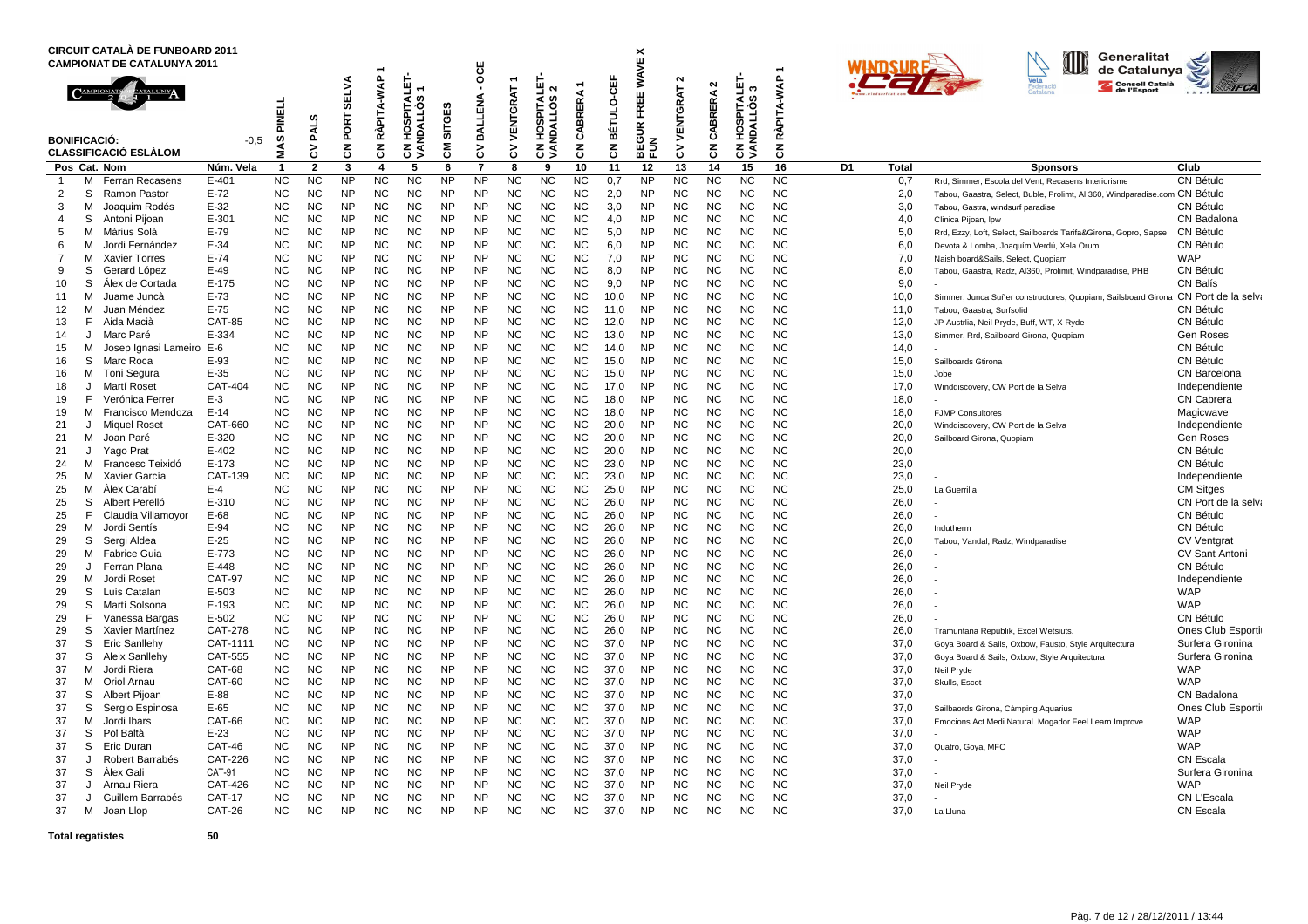|                   |        | CIRCUIT CATALÀ DE FUNBOARD 2011<br><b>CAMPIONAT DE CATALUNYA 2011</b> |                   |                        |                        |                        |                        |                                     |                        |                        |                        |                                                                       |                             |                              |                                         |                         |                        |                                       | $\overline{\phantom{a}}$ |    |              | Generalitat<br><b>AID</b><br>de Catalunya                                                                   |                                             |
|-------------------|--------|-----------------------------------------------------------------------|-------------------|------------------------|------------------------|------------------------|------------------------|-------------------------------------|------------------------|------------------------|------------------------|-----------------------------------------------------------------------|-----------------------------|------------------------------|-----------------------------------------|-------------------------|------------------------|---------------------------------------|--------------------------|----|--------------|-------------------------------------------------------------------------------------------------------------|---------------------------------------------|
|                   |        | <b>BONIFICACIÓ:</b><br><b>CLASSIFICACIÓ ESLÀLOM</b>                   | $-0.5$            | PINELL<br>MAS          | PALS<br>3              | SELVA<br>PORT<br>る     | RÀPITA-WAP<br>중        | HOSPITALET-<br>ဖ<br>NDALLÒ.<br>ह ड् | <b>SITGES</b><br>동     | OCE<br>BALLENA<br>š    | VENTGRAT<br>š          | <b>SPITALET</b><br>$\mathbf{\tilde{c}}$<br><b>NDALLOS</b><br>Ë<br>हुड | CABRERA 1<br>$\overline{5}$ | BÉTULO-CEF<br>$\overline{5}$ | FREE WAVE X<br><b>IEGUR</b><br>준이<br>문의 | $\sim$<br>VENTGRAT<br>3 | $\sim$<br>CABRERA<br>중 | <b>CN HOSPITALET-<br/>VANDALLÒS 3</b> | RÀPITA-WAP<br>중          |    |              | Consell Català                                                                                              | <b>IFCA</b>                                 |
|                   |        | Pos Cat. Nom                                                          | Núm. Vela         | -1                     | $\overline{2}$         | 3                      | 4                      | 5                                   | 6                      | $\overline{7}$         | 8                      | 9                                                                     | 10                          | 11                           | 12                                      | 13                      | 14                     | 15                                    | 16                       | D1 | <b>Total</b> | <b>Sponsors</b>                                                                                             | Club                                        |
| $\overline{1}$    | М      | <b>Ferran Recasens</b>                                                | $E - 401$         | <b>NC</b>              | <b>NC</b>              | <b>NP</b>              | <b>NC</b>              | <b>NC</b>                           | <b>NP</b>              | <b>NP</b>              | <b>NC</b>              | К                                                                     | <b>NC</b>                   | 0,7                          | <b>NP</b>                               | <b>NC</b>               | <b>NC</b>              | <b>NC</b>                             | <b>NC</b>                |    | 0,7          | Rrd, Simmer, Escola del Vent, Recasens Interiorisme                                                         | CN Bétulo                                   |
| $\overline{2}$    | S      | Ramon Pastor                                                          | $E-72$            | <b>NC</b>              | <b>NC</b>              | <b>NP</b>              | <b>NC</b>              | <b>NC</b>                           | <b>NP</b>              | <b>NP</b>              | <b>NC</b>              | <b>NC</b>                                                             | <b>NC</b>                   | 2.0                          | <b>NP</b>                               | <b>NC</b>               | <b>NC</b>              | <b>NC</b>                             | <b>NC</b>                |    | 2.0          | Tabou, Gaastra, Select, Buble, Prolimt, AI 360, Windparadise.com CN Bétulo                                  |                                             |
| 3                 | м      | Joaquim Rodés                                                         | $E-32$            | <b>NC</b>              | <b>NC</b>              | <b>NP</b>              | <b>NC</b>              | <b>NC</b>                           | <b>NP</b>              | <b>NP</b>              | <b>NC</b>              | <b>NC</b>                                                             | <b>NC</b>                   | 3.0                          | <b>NP</b>                               | <b>NC</b>               | <b>NC</b>              | <b>NC</b>                             | <b>NC</b>                |    | 3,0          | Tabou, Gastra, windsurf paradise                                                                            | CN Bétulo                                   |
| 4<br>5            | S      | Antoni Pijoan                                                         | $E-301$<br>$E-79$ | <b>NC</b><br><b>NC</b> | <b>NC</b><br><b>NC</b> | <b>NP</b><br><b>NP</b> | <b>NC</b><br><b>NC</b> | <b>NC</b><br><b>NC</b>              | <b>NP</b><br><b>NP</b> | <b>NP</b><br><b>NP</b> | <b>NC</b><br><b>NC</b> | <b>NC</b><br><b>NC</b>                                                | <b>NC</b><br><b>NC</b>      | 4,0                          | <b>NP</b><br><b>NP</b>                  | <b>NC</b><br><b>NC</b>  | <b>NC</b><br><b>NC</b> | <b>NC</b><br><b>NC</b>                | <b>NC</b><br><b>NC</b>   |    | 4,0          | Clinica Pijoan, Ipw                                                                                         | CN Badalona<br>CN Bétulo                    |
| 6                 | м<br>м | Màrius Solà<br>Jordi Fernández                                        | $E-34$            | <b>NC</b>              | <b>NC</b>              | <b>NP</b>              | <b>NC</b>              | <b>NC</b>                           | <b>NP</b>              | <b>NP</b>              | <b>NC</b>              | NC                                                                    | <b>NC</b>                   | 5,0<br>6.0                   | <b>NP</b>                               | <b>NC</b>               | <b>NC</b>              | <b>NC</b>                             | <b>NC</b>                |    | 5,0<br>6,0   | Rrd, Ezzy, Loft, Select, Sailboards Tarifa&Girona, Gopro, Sapse<br>Devota & Lomba, Joaquím Verdú, Xela Orum | CN Bétulo                                   |
| 7                 | м      | <b>Xavier Torres</b>                                                  | $E-74$            | <b>NC</b>              | <b>NC</b>              | <b>NP</b>              | <b>NC</b>              | <b>NC</b>                           | <b>NP</b>              | <b>NP</b>              | <b>NC</b>              | <b>NC</b>                                                             | <b>NC</b>                   | 7,0                          | <b>NP</b>                               | <b>NC</b>               | <b>NC</b>              | <b>NC</b>                             | <b>NC</b>                |    | 7,0          | Naish board&Sails, Select, Quopiam                                                                          | <b>WAP</b>                                  |
| 9                 | S      | Gerard López                                                          | $E-49$            | <b>NC</b>              | <b>NC</b>              | <b>NP</b>              | <b>NC</b>              | <b>NC</b>                           | <b>NP</b>              | <b>NP</b>              | <b>NC</b>              | <b>NC</b>                                                             | <b>NC</b>                   | 8,0                          | <b>NP</b>                               | <b>NC</b>               | <b>NC</b>              | <b>NC</b>                             | <b>NC</b>                |    | 8,0          | Tabou, Gaastra, Radz, Al360, Prolimit, Windparadise, PHB                                                    | CN Bétulo                                   |
| 10                | S      | Alex de Cortada                                                       | $E-175$           | <b>NC</b>              | <b>NC</b>              | <b>NP</b>              | <b>NC</b>              | <b>NC</b>                           | <b>NP</b>              | <b>NP</b>              | <b>NC</b>              | <b>NC</b>                                                             | <b>NC</b>                   | 9,0                          | <b>NP</b>                               | <b>NC</b>               | <b>NC</b>              | <b>NC</b>                             | <b>NC</b>                |    | 9,0          |                                                                                                             | CN Balís                                    |
| 11                | м      | Juame Juncà                                                           | $E-73$            | <b>NC</b>              | NC                     | <b>NP</b>              | <b>NC</b>              | <b>NC</b>                           | <b>NP</b>              | <b>NP</b>              | <b>NC</b>              | <b>NC</b>                                                             | <b>NC</b>                   | 10,0                         | <b>NP</b>                               | <b>NC</b>               | <b>NC</b>              | <b>NC</b>                             | <b>NC</b>                |    | 10,0         | Simmer, Junca Suñer constructores, Quopiam, Sailsboard Girona CN Port de la selva                           |                                             |
| $12 \overline{ }$ | м      | Juan Méndez                                                           | $E-75$            | <b>NC</b>              | <b>NC</b>              | <b>NP</b>              | <b>NC</b>              | <b>NC</b>                           | <b>NP</b>              | <b>NP</b>              | <b>NC</b>              | NC.                                                                   | <b>NC</b>                   | 11.0                         | <b>NP</b>                               | <b>NC</b>               | <b>NC</b>              | <b>NC</b>                             | <b>NC</b>                |    | 11.0         | Tabou, Gaastra, Surfsolid                                                                                   | CN Bétulo                                   |
| 13                | F.     | Aida Macià                                                            | <b>CAT-85</b>     | <b>NC</b>              | <b>NC</b>              | <b>NP</b>              | <b>NC</b>              | <b>NC</b>                           | <b>NP</b>              | <b>NP</b>              | <b>NC</b>              | ΝC                                                                    | <b>NC</b>                   | 12.0                         | <b>NP</b>                               | <b>NC</b>               | <b>NC</b>              | <b>NC</b>                             | <b>NC</b>                |    | 12,0         | JP Austrlia, Neil Pryde, Buff, WT, X-Ryde                                                                   | CN Bétulo                                   |
| 14                | J      | Marc Paré                                                             | E-334             | <b>NC</b>              | <b>NC</b>              | <b>NP</b>              | <b>NC</b>              | <b>NC</b>                           | <b>NP</b>              | <b>NP</b>              | <b>NC</b>              | <b>NC</b>                                                             | <b>NC</b>                   | 13.0                         | <b>NP</b>                               | <b>NC</b>               | <b>NC</b>              | <b>NC</b>                             | <b>NC</b>                |    | 13,0         | Simmer, Rrd, Sailboard Girona, Quopiam                                                                      | <b>Gen Roses</b>                            |
| 15                | м      | Josep Ignasi Lameiro                                                  | E-6               | <b>NC</b>              | <b>NC</b>              | <b>NP</b>              | <b>NC</b>              | <b>NC</b>                           | <b>NP</b>              | <b>NP</b>              | <b>NC</b>              | <b>NC</b>                                                             | <b>NC</b>                   | 14,0                         | <b>NP</b>                               | <b>NC</b>               | <b>NC</b>              | <b>NC</b>                             | <b>NC</b>                |    | 14,0         |                                                                                                             | CN Bétulo                                   |
| 16                | S      | Marc Roca                                                             | E-93              | <b>NC</b>              | <b>NC</b>              | <b>NP</b>              | <b>NC</b>              | <b>NC</b>                           | <b>NP</b>              | <b>NP</b>              | <b>NC</b>              | <b>NC</b>                                                             | <b>NC</b>                   | 15,0                         | <b>NP</b>                               | <b>NC</b>               | <b>NC</b>              | <b>NC</b>                             | <b>NC</b>                |    | 15,0         | Sailboards Gtirona                                                                                          | CN Bétulo                                   |
| 16                | м      | Toni Segura                                                           | $E-35$            | <b>NC</b>              | NC                     | <b>NP</b>              | <b>NC</b>              | <b>NC</b>                           | <b>NP</b>              | <b>NP</b>              | <b>NC</b>              | NC                                                                    | <b>NC</b>                   | 15.0                         | <b>NP</b>                               | <b>NC</b>               | <b>NC</b>              | <b>NC</b>                             | <b>NC</b>                |    | 15,0         | Jobe                                                                                                        | CN Barcelona                                |
| 18                | IJ     | Martí Roset                                                           | CAT-404           | <b>NC</b>              | <b>NC</b>              | <b>NP</b>              | <b>NC</b>              | <b>NC</b>                           | <b>NP</b>              | <b>NP</b>              | <b>NC</b>              | <b>NC</b>                                                             | <b>NC</b>                   | 17,0                         | <b>NP</b>                               | <b>NC</b>               | <b>NC</b>              | <b>NC</b>                             | <b>NC</b>                |    | 17,0         | Winddiscovery, CW Port de la Selva                                                                          | Independiente                               |
| 19                | F      | Verónica Ferrer                                                       | $E-3$             | <b>NC</b>              | <b>NC</b>              | <b>NP</b>              | <b>NC</b>              | <b>NC</b>                           | <b>NP</b>              | <b>NP</b>              | <b>NC</b>              | <b>NC</b>                                                             | <b>NC</b>                   | 18,0                         | <b>NP</b>                               | <b>NC</b>               | <b>NC</b>              | <b>NC</b>                             | <b>NC</b>                |    | 18,0         |                                                                                                             | <b>CN Cabrera</b>                           |
| 19                | м      | Francisco Mendoza                                                     | $E-14$            | <b>NC</b>              | NC                     | <b>NP</b>              | <b>NC</b>              | <b>NC</b>                           | <b>NP</b>              | <b>NP</b>              | <b>NC</b>              | <b>NC</b>                                                             | <b>NC</b>                   | 18,0                         | <b>NP</b>                               | <b>NC</b>               | <b>NC</b>              | <b>NC</b>                             | <b>NC</b>                |    | 18,0         | <b>FJMP Consultores</b>                                                                                     | Magicwave                                   |
| 21                | J      | <b>Miquel Roset</b>                                                   | CAT-660           | <b>NC</b>              | <b>NC</b>              | <b>NP</b>              | <b>NC</b>              | <b>NC</b>                           | <b>NP</b>              | <b>NP</b>              | <b>NC</b>              | <b>NC</b>                                                             | <b>NC</b>                   | 20,0                         | <b>NP</b>                               | <b>NC</b>               | <b>NC</b>              | <b>NC</b>                             | <b>NC</b>                |    | 20,0         | Winddiscovery, CW Port de la Selva                                                                          | Independiente                               |
| 21                | м      | Joan Paré                                                             | $E - 320$         | <b>NC</b>              | <b>NC</b>              | <b>NP</b>              | <b>NC</b>              | <b>NC</b>                           | <b>NP</b>              | <b>NP</b>              | <b>NC</b>              | N <sub>C</sub>                                                        | <b>NC</b>                   | 20.0                         | <b>NP</b>                               | <b>NC</b>               | <b>NC</b>              | <b>NC</b>                             | <b>NC</b>                |    | 20,0         | Sailboard Girona, Quopiam                                                                                   | Gen Roses                                   |
| 21                | J      | Yago Prat                                                             | E-402             | <b>NC</b>              | <b>NC</b>              | <b>NP</b>              | <b>NC</b>              | <b>NC</b>                           | <b>NP</b>              | <b>NP</b>              | <b>NC</b>              | ΝC                                                                    | <b>NC</b>                   | 20.0                         | <b>NP</b>                               | <b>NC</b>               | <b>NC</b>              | <b>NC</b>                             | <b>NC</b>                |    | 20.0         |                                                                                                             | CN Bétulo                                   |
| 24                | M      | Francesc Teixidó                                                      | E-173             | <b>NC</b>              | <b>NC</b>              | <b>NP</b>              | <b>NC</b>              | <b>NC</b>                           | <b>NP</b>              | <b>NP</b>              | <b>NC</b>              | <b>NC</b>                                                             | <b>NC</b>                   | 23,0                         | <b>NP</b>                               | <b>NC</b>               | <b>NC</b>              | <b>NC</b>                             | <b>NC</b>                |    | 23,0         |                                                                                                             | CN Bétulo                                   |
| 25                | M      | Xavier García                                                         | CAT-139           | <b>NC</b>              | <b>NC</b>              | <b>NP</b>              | <b>NC</b>              | <b>NC</b>                           | <b>NP</b>              | <b>NP</b>              | <b>NC</b>              | <b>NC</b>                                                             | <b>NC</b>                   | 23,0                         | <b>NP</b>                               | <b>NC</b>               | <b>NC</b>              | <b>NC</b>                             | <b>NC</b>                |    | 23,0         |                                                                                                             | Independiente                               |
| 25                | M      | Alex Carabí                                                           | $E-4$             | <b>NC</b>              | ΝC                     | <b>NP</b>              | <b>NC</b>              | <b>NC</b>                           | <b>NP</b>              | <b>NP</b>              | <b>NC</b>              | <b>NC</b>                                                             | <b>NC</b>                   | 25,0                         | <b>NP</b>                               | <b>NC</b>               | <b>NC</b>              | <b>NC</b>                             | <b>NC</b>                |    | 25,0         | La Guerrilla                                                                                                | <b>CM Sitges</b>                            |
| 25                | S      | Albert Perelló                                                        | E-310             | <b>NC</b>              | NC                     | <b>NP</b>              | <b>NC</b>              | <b>NC</b>                           | <b>NP</b>              | <b>NP</b>              | <b>NC</b>              | NC                                                                    | <b>NC</b>                   | 26.0                         | <b>NP</b>                               | <b>NC</b>               | <b>NC</b>              | <b>NC</b>                             | <b>NC</b>                |    | 26.0         |                                                                                                             | CN Port de la selva                         |
| 25                | F      | Claudia Villamoyor                                                    | $E-68$            | <b>NC</b>              | NC                     | <b>NP</b>              | <b>NC</b>              | <b>NC</b>                           | <b>NP</b>              | <b>NP</b>              | <b>NC</b>              | <b>NC</b>                                                             | <b>NC</b>                   | 26,0                         | <b>NP</b>                               | <b>NC</b>               | <b>NC</b>              | <b>NC</b>                             | <b>NC</b>                |    | 26,0         |                                                                                                             | CN Bétulo                                   |
| 29                | м      | Jordi Sentís                                                          | E-94<br>$E-25$    | <b>NC</b><br><b>NC</b> | <b>NC</b><br>NC        | <b>NP</b><br><b>NP</b> | <b>NC</b><br><b>NC</b> | <b>NC</b><br><b>NC</b>              | <b>NP</b><br><b>NP</b> | <b>NP</b><br><b>NP</b> | <b>NC</b><br><b>NC</b> | <b>NC</b><br><b>NC</b>                                                | <b>NC</b><br><b>NC</b>      | 26,0<br>26,0                 | <b>NP</b><br><b>NP</b>                  | <b>NC</b><br><b>NC</b>  | <b>NC</b><br><b>NC</b> | <b>NC</b><br><b>NC</b>                | <b>NC</b>                |    | 26,0         | Indutherm                                                                                                   | CN Bétulo                                   |
| 29<br>29          | S<br>м | Sergi Aldea<br>Fabrice Guia                                           | $E - 773$         | <b>NC</b>              | <b>NC</b>              | <b>NP</b>              | <b>NC</b>              | <b>NC</b>                           | <b>NP</b>              | <b>NP</b>              | <b>NC</b>              | <b>NC</b>                                                             | <b>NC</b>                   | 26.0                         | <b>NP</b>                               | <b>NC</b>               | <b>NC</b>              | <b>NC</b>                             | <b>NC</b><br><b>NC</b>   |    | 26,0<br>26,0 | Tabou, Vandal, Radz, Windparadise                                                                           | <b>CV Ventgrat</b><br><b>CV Sant Antoni</b> |
| 29                | J.     | Ferran Plana                                                          | $E - 448$         | <b>NC</b>              | <b>NC</b>              | <b>NP</b>              | <b>NC</b>              | <b>NC</b>                           | <b>NP</b>              | <b>NP</b>              | <b>NC</b>              | <b>NC</b>                                                             | <b>NC</b>                   | 26.0                         | <b>NP</b>                               | <b>NC</b>               | <b>NC</b>              | <b>NC</b>                             | <b>NC</b>                |    | 26.0         |                                                                                                             | CN Bétulo                                   |
| 29                | м      | Jordi Roset                                                           | <b>CAT-97</b>     | <b>NC</b>              | <b>NC</b>              | <b>NP</b>              | <b>NC</b>              | <b>NC</b>                           | <b>NP</b>              | <b>NP</b>              | <b>NC</b>              | <b>NC</b>                                                             | <b>NC</b>                   | 26,0                         | <b>NP</b>                               | <b>NC</b>               | <b>NC</b>              | <b>NC</b>                             | <b>NC</b>                |    | 26,0         |                                                                                                             | Independiente                               |
| 29                | S      | Luís Catalan                                                          | $E - 503$         | <b>NC</b>              | <b>NC</b>              | <b>NP</b>              | <b>NC</b>              | <b>NC</b>                           | <b>NP</b>              | <b>NP</b>              | <b>NC</b>              | <b>NC</b>                                                             | <b>NC</b>                   | 26.0                         | <b>NP</b>                               | <b>NC</b>               | <b>NC</b>              | <b>NC</b>                             | <b>NC</b>                |    | 26,0         |                                                                                                             | <b>WAP</b>                                  |
| 29                | S      | Martí Solsona                                                         | E-193             | <b>NC</b>              | <b>NC</b>              | <b>NP</b>              | <b>NC</b>              | <b>NC</b>                           | <b>NP</b>              | <b>NP</b>              | <b>NC</b>              | <b>NC</b>                                                             | <b>NC</b>                   | 26,0                         | <b>NP</b>                               | <b>NC</b>               | <b>NC</b>              | <b>NC</b>                             | <b>NC</b>                |    | 26,0         |                                                                                                             | <b>WAP</b>                                  |
| 29                | F      | Vanessa Bargas                                                        | $E-502$           | <b>NC</b>              | <b>NC</b>              | <b>NP</b>              | <b>NC</b>              | <b>NC</b>                           | <b>NP</b>              | <b>NP</b>              | <b>NC</b>              | <b>NC</b>                                                             | <b>NC</b>                   | 26,0                         | <b>NP</b>                               | <b>NC</b>               | <b>NC</b>              | <b>NC</b>                             | <b>NC</b>                |    | 26,0         |                                                                                                             | CN Bétulo                                   |
| 29                | S      | Xavier Martínez                                                       | <b>CAT-278</b>    | <b>NC</b>              | <b>NC</b>              | <b>NP</b>              | <b>NC</b>              | <b>NC</b>                           | <b>NP</b>              | <b>NP</b>              | <b>NC</b>              | NC                                                                    | <b>NC</b>                   | 26.0                         | <b>NP</b>                               | <b>NC</b>               | <b>NC</b>              | <b>NC</b>                             | <b>NC</b>                |    | 26,0         | Tramuntana Republik, Excel Wetsiuts                                                                         | Ones Club Esporti                           |
| 37                | S      | Eric Sanllehy                                                         | CAT-1111          | <b>NC</b>              | NC                     | <b>NP</b>              | <b>NC</b>              | <b>NC</b>                           | <b>NP</b>              | <b>NP</b>              | <b>NC</b>              | NC                                                                    | <b>NC</b>                   | 37,0                         | <b>NP</b>                               | <b>NC</b>               | <b>NC</b>              | <b>NC</b>                             | <b>NC</b>                |    | 37,0         | Goya Board & Sails, Oxbow, Fausto, Style Arquitectura                                                       | Surfera Gironina                            |
| 37                | S      | Aleix Sanllehy                                                        | <b>CAT-555</b>    | <b>NC</b>              | <b>NC</b>              | <b>NP</b>              | <b>NC</b>              | <b>NC</b>                           | <b>NP</b>              | <b>NP</b>              | <b>NC</b>              | <b>NC</b>                                                             | <b>NC</b>                   | 37,0                         | <b>NP</b>                               | <b>NC</b>               | <b>NC</b>              | <b>NC</b>                             | <b>NC</b>                |    | 37,0         | Goya Board & Sails, Oxbow, Style Arquitectura                                                               | Surfera Gironina                            |
| 37                | м      | Jordi Riera                                                           | CAT-68            | <b>NC</b>              | ΝC                     | <b>NP</b>              | <b>NC</b>              | <b>NC</b>                           | <b>NP</b>              | <b>NP</b>              | <b>NC</b>              | <b>NC</b>                                                             | <b>NC</b>                   | 37.0                         | <b>NP</b>                               | <b>NC</b>               | <b>NC</b>              | <b>NC</b>                             | <b>NC</b>                |    | 37,0         | Neil Pryde                                                                                                  | <b>WAP</b>                                  |
| 37                | м      | Oriol Arnau                                                           | CAT-60            | <b>NC</b>              | <b>NC</b>              | <b>NP</b>              | <b>NC</b>              | <b>NC</b>                           | <b>NP</b>              | <b>NP</b>              | <b>NC</b>              | <b>NC</b>                                                             | <b>NC</b>                   | 37.0                         | <b>NP</b>                               | <b>NC</b>               | <b>NC</b>              | <b>NC</b>                             | <b>NC</b>                |    | 37,0         | Skulls, Escot                                                                                               | <b>WAP</b>                                  |
| 37                | S      | Albert Pijoan                                                         | E-88              | <b>NC</b>              | <b>NC</b>              | <b>NP</b>              | <b>NC</b>              | <b>NC</b>                           | <b>NP</b>              | <b>NP</b>              | <b>NC</b>              | <b>NC</b>                                                             | <b>NC</b>                   | 37.0                         | <b>NP</b>                               | <b>NC</b>               | <b>NC</b>              | <b>NC</b>                             | <b>NC</b>                |    | 37.0         |                                                                                                             | CN Badalona                                 |
| 37                | S      | Sergio Espinosa                                                       | $E-65$            | <b>NC</b>              | <b>NC</b>              | <b>NP</b>              | <b>NC</b>              | <b>NC</b>                           | <b>NP</b>              | <b>NP</b>              | <b>NC</b>              | <b>NC</b>                                                             | <b>NC</b>                   | 37.0                         | <b>NP</b>                               | <b>NC</b>               | <b>NC</b>              | <b>NC</b>                             | <b>NC</b>                |    | 37,0         | Sailbaords Girona, Càmping Aquarius                                                                         | Ones Club Esporti                           |
| 37                | М      | Jordi Ibars                                                           | <b>CAT-66</b>     | <b>NC</b>              | <b>NC</b>              | <b>NP</b>              | <b>NC</b>              | <b>NC</b>                           | <b>NP</b>              | <b>NP</b>              | <b>NC</b>              | <b>NC</b>                                                             | <b>NC</b>                   | 37.0                         | <b>NP</b>                               | <b>NC</b>               | <b>NC</b>              | <b>NC</b>                             | <b>NC</b>                |    | 37,0         | Emocions Act Medi Natural. Mogador Feel Learn Improve                                                       | <b>WAP</b>                                  |
| 37                | S      | Pol Baltà                                                             | $E-23$            | <b>NC</b>              | ΝC                     | <b>NP</b>              | <b>NC</b>              | <b>NC</b>                           | <b>NP</b>              | <b>NP</b>              | <b>NC</b>              | <b>NC</b>                                                             | <b>NC</b>                   | 37.0                         | <b>NP</b>                               | <b>NC</b>               | <b>NC</b>              | <b>NC</b>                             | <b>NC</b>                |    | 37,0         |                                                                                                             | <b>WAP</b>                                  |
| 37                | S      | Eric Duran                                                            | <b>CAT-46</b>     | <b>NC</b>              | NC                     | <b>NP</b>              | <b>NC</b>              | <b>NC</b>                           | <b>NP</b>              | <b>NP</b>              | <b>NC</b>              | NC                                                                    | <b>NC</b>                   | 37.0                         | <b>NP</b>                               | <b>NC</b>               | <b>NC</b>              | <b>NC</b>                             | <b>NC</b>                |    | 37,0         | Quatro, Goya, MFC                                                                                           | <b>WAP</b>                                  |
| 37                | IJ     | Robert Barrabés                                                       | <b>CAT-226</b>    | <b>NC</b>              | NC                     | <b>NP</b>              | <b>NC</b>              | <b>NC</b>                           | <b>NP</b>              | <b>NP</b>              | <b>NC</b>              | NC                                                                    | <b>NC</b>                   | 37.0                         | <b>NP</b>                               | <b>NC</b>               | <b>NC</b>              | <b>NC</b>                             | <b>NC</b>                |    | 37.0         |                                                                                                             | <b>CN Escala</b>                            |
| 37                | S      | Alex Gali                                                             | <b>CAT-91</b>     | <b>NC</b>              | NC                     | <b>NP</b>              | <b>NC</b>              | <b>NC</b>                           | <b>NP</b>              | <b>NP</b>              | <b>NC</b>              | NC                                                                    | <b>NC</b>                   | 37,0                         | <b>NP</b>                               | <b>NC</b>               | <b>NC</b>              | <b>NC</b>                             | <b>NC</b>                |    | 37,0         |                                                                                                             | Surfera Gironina                            |
| 37                | IJ     | Arnau Riera                                                           | <b>CAT-426</b>    | <b>NC</b>              | NC                     | <b>NP</b>              | <b>NC</b>              | <b>NC</b>                           | NΡ                     | <b>NP</b>              | <b>NC</b>              | <b>NC</b>                                                             | <b>NC</b>                   | 37,0                         | <b>NP</b>                               | <b>NC</b>               | NC                     | <b>NC</b>                             | <b>NC</b>                |    | 37,0         | Neil Pryde                                                                                                  | <b>WAP</b>                                  |
| 37                | IJ     | Guillem Barrabés                                                      | <b>CAT-17</b>     | <b>NC</b>              | <b>NC</b>              | <b>NP</b>              | <b>NC</b>              | <b>NC</b>                           | <b>NP</b>              | <b>NP</b>              | <b>NC</b>              | <b>NC</b>                                                             | <b>NC</b>                   | 37.0                         | <b>NP</b>                               | <b>NC</b>               | <b>NC</b>              | <b>NC</b>                             | <b>NC</b>                |    | 37,0         |                                                                                                             | CN L'Escala                                 |
| 37                | M      | Joan Llop                                                             | CAT-26            | <b>NC</b>              | ΝC                     | <b>NP</b>              | <b>NC</b>              | <b>NC</b>                           | <b>NP</b>              | <b>NP</b>              | <b>NC</b>              | ΝC                                                                    | <b>NC</b>                   | 37.0                         | <b>NP</b>                               | <b>NC</b>               | <b>NC</b>              | <b>NC</b>                             | <b>NC</b>                |    | 37.0         | La Lluna                                                                                                    | CN Escala                                   |
|                   |        | <b>Total regatistes</b>                                               | 50                |                        |                        |                        |                        |                                     |                        |                        |                        |                                                                       |                             |                              |                                         |                         |                        |                                       |                          |    |              |                                                                                                             |                                             |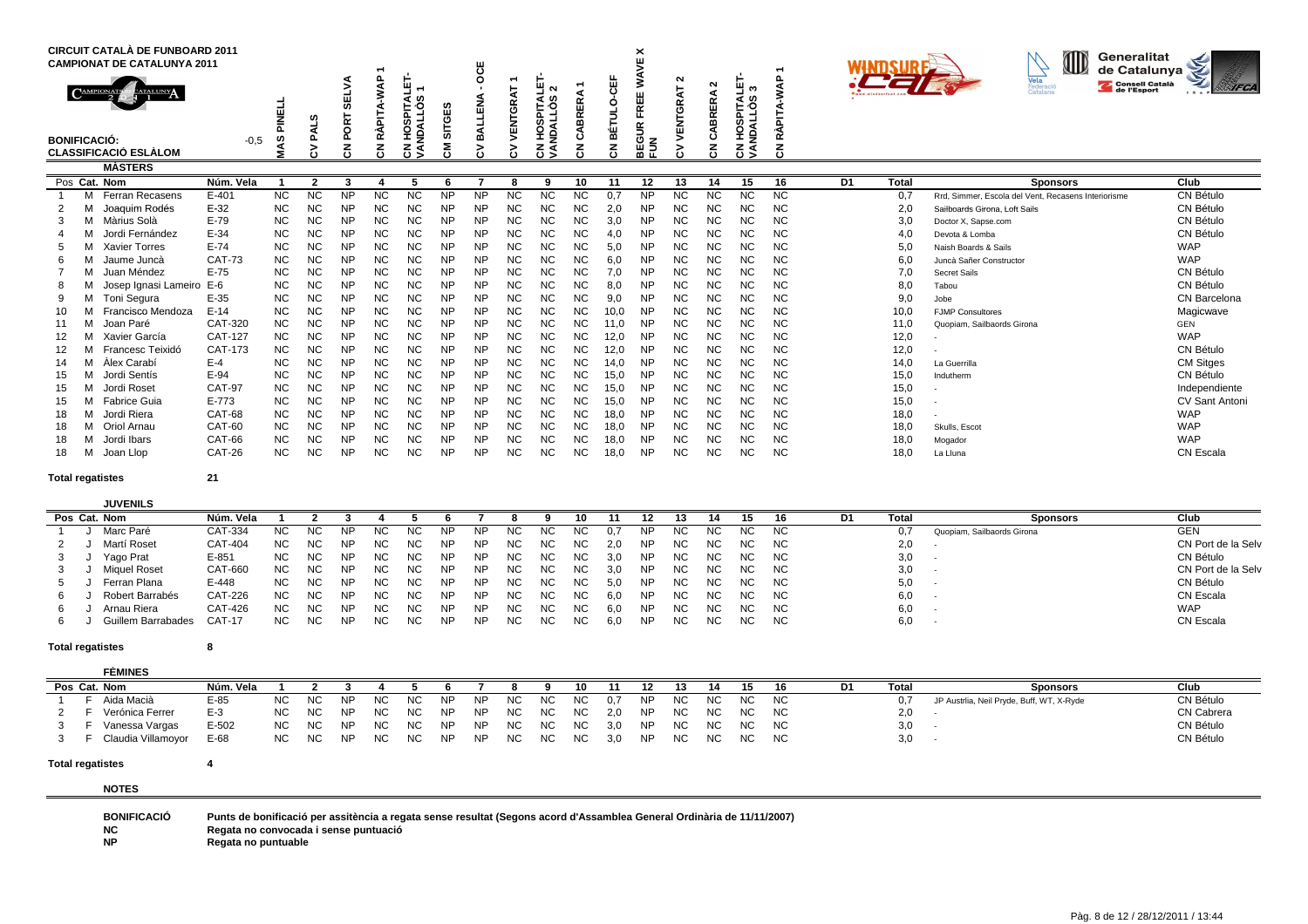|                     | <b>CIRCUIT CATALÀ DE FUNBOARD 2011</b><br><b>CAMPIONAT DE CATALUNYA 2011</b><br><b>EATALUNY</b><br>CAMPIONATS |                     | <b>FINELI</b>          | ഗ                      | <b>SELV</b><br>PORT    | $\Omega$<br>RÀPITA-WA  | Ч<br>$\mathbf$<br>SPITAI<br>ILLÓS<br>Ē | <b>SITGES</b>          | Ö<br>∢<br><b>REA</b>   | VENTGRAT               | $\sim$<br><b>ROALLOS</b><br>m | 띥<br>욺<br>₫            | 出          | ×<br>¥.<br>⋖<br>≳<br>빠<br>훈<br>š | ີ<br><b>ENTGR</b> | $\sim$<br>ABRERA | ் க<br>SPITAI<br>IALOS | <b>AP</b><br>RÀPIT,    |    |              | ID<br>Generalitat<br>de Catalunya<br>Vela<br>Federació<br><b>Consell Català</b><br>de l'Esport<br>Catalana | <b>IFCA</b><br>1.5     |
|---------------------|---------------------------------------------------------------------------------------------------------------|---------------------|------------------------|------------------------|------------------------|------------------------|----------------------------------------|------------------------|------------------------|------------------------|-------------------------------|------------------------|------------|----------------------------------|-------------------|------------------|------------------------|------------------------|----|--------------|------------------------------------------------------------------------------------------------------------|------------------------|
| <b>BONIFICACIÓ:</b> | <b>CLASSIFICACIÓ ESLÀLOM</b>                                                                                  | $-0.5$              | w<br>∢<br>ś            | ₫<br>മ<br>5<br>č١      | $\overline{5}$         | 중                      | ğ<br>g<br>z<br>ธี≶                     | δ                      | 묗<br>δ١                | ><br>ن                 | 오<br>ธี≶                      | ذ٤<br>ŕ١               | 햘<br>중     | ō<br>요<br>분준                     |                   | ت<br>중           | <b>SPA</b><br>ह ड्र    | 중                      |    |              |                                                                                                            |                        |
|                     | <b>MASTERS</b>                                                                                                |                     |                        |                        |                        |                        |                                        |                        |                        |                        |                               |                        |            |                                  |                   |                  |                        |                        |    |              |                                                                                                            |                        |
|                     | Pos Cat. Nom                                                                                                  | Núm. Vela           |                        | າ                      | 3                      |                        | 5                                      |                        |                        | 8                      | 9                             | 10                     | 11         | 12                               | 13                | 14               | 15                     | 16                     | D1 | <b>Total</b> | <b>Sponsors</b>                                                                                            | Club                   |
|                     | Ferran Recasens                                                                                               | $E - 401$<br>$E-32$ | <b>NC</b>              | <b>NC</b>              | <b>NP</b>              | <b>NC</b>              | <b>NC</b>                              | <b>NP</b>              | <b>NP</b>              | <b>NC</b>              | <b>NC</b>                     | <b>NC</b><br><b>NC</b> | 0.7        | <b>NP</b>                        | <b>NC</b>         | ΝC               | <b>NC</b>              | <b>NC</b>              |    | 0,7          | Rrd. Simmer. Escola del Vent. Recasens Interiorisme                                                        | CN Bétulo              |
|                     | Joaquim Rodés<br>M Màrius Solà                                                                                | $E-79$              | <b>NC</b><br><b>NC</b> | <b>NC</b><br><b>NC</b> | <b>NP</b><br><b>NP</b> | <b>NC</b><br><b>NC</b> | NC<br><b>NC</b>                        | <b>NP</b><br><b>NP</b> | <b>NP</b><br><b>NP</b> | <b>NC</b><br><b>NC</b> | <b>NC</b><br><b>NC</b>        | <b>NC</b>              | 2,0<br>3,0 | <b>NP</b><br><b>NP</b>           | NC<br>NC          | NC<br>NC.        | <b>NC</b><br>NC.       | <b>NC</b><br><b>NC</b> |    | 2,0<br>3,0   | Sailboards Girona, Loft Sails                                                                              | CN Bétulo<br>CN Bétulo |
|                     | Jordi Fernández                                                                                               | $E-34$              | <b>NC</b>              | <b>NC</b>              | <b>NP</b>              | <b>NC</b>              | <b>NC</b>                              | <b>NP</b>              | <b>NP</b>              | <b>NC</b>              | <b>NC</b>                     | <b>NC</b>              | 4,0        | <b>NP</b>                        | NC                | NC.              | <b>NC</b>              | <b>NC</b>              |    | 4,0          | Doctor X, Sapse.com<br>Devota & Lomba                                                                      | CN Bétulo              |
|                     | <b>Xavier Torres</b>                                                                                          | $E-74$              | <b>NC</b>              | <b>NC</b>              | <b>NP</b>              | <b>NC</b>              | <b>NC</b>                              | NΡ                     | <b>NP</b>              | <b>NC</b>              | <b>NC</b>                     | <b>NC</b>              | 5,0        | <b>NP</b>                        | NC                | NC               | <b>NC</b>              | <b>NC</b>              |    | 5,0          | Naish Boards & Sails                                                                                       | <b>WAP</b>             |
|                     | Jaume Juncà                                                                                                   | <b>CAT-73</b>       | <b>NC</b>              | <b>NC</b>              | <b>NP</b>              | <b>NC</b>              | <b>NC</b>                              | <b>NP</b>              | <b>NP</b>              | <b>NC</b>              | <b>NC</b>                     | <b>NC</b>              | 6,0        | <b>NP</b>                        | <b>NC</b>         | <b>NC</b>        | <b>NC</b>              | <b>NC</b>              |    | 6,0          | Juncà Sañer Constructor                                                                                    | <b>WAP</b>             |
|                     | Juan Méndez                                                                                                   | $E-75$              | <b>NC</b>              | <b>NC</b>              | <b>NP</b>              | <b>NC</b>              | NC                                     | <b>NP</b>              | <b>NP</b>              | <b>NC</b>              | <b>NC</b>                     | <b>NC</b>              | 7,0        | <b>NP</b>                        | NC                | ΝC               | <b>NC</b>              | <b>NC</b>              |    | 7,0          | <b>Secret Sails</b>                                                                                        | CN Bétulo              |
|                     | Josep Ignasi Lameiro E-6                                                                                      |                     | <b>NC</b>              | <b>NC</b>              | <b>NP</b>              | NC                     | <b>NC</b>                              | NΡ                     | <b>NP</b>              | <b>NC</b>              | <b>NC</b>                     | <b>NC</b>              | 8,0        | <b>NP</b>                        | NC                | <b>NC</b>        | <b>NC</b>              | <b>NC</b>              |    | 8,0          | Tabou                                                                                                      | CN Bétulo              |
|                     | Toni Segura                                                                                                   | $E-35$              | <b>NC</b>              | <b>NC</b>              | <b>NP</b>              | <b>NC</b>              | <b>NC</b>                              | <b>NP</b>              | <b>NP</b>              | <b>NC</b>              | <b>NC</b>                     | <b>NC</b>              | 9,0        | <b>NP</b>                        | <b>NC</b>         | <b>NC</b>        | <b>NC</b>              | <b>NC</b>              |    | 9,0          | Jobe                                                                                                       | CN Barcelona           |
|                     | Francisco Mendoza                                                                                             | $E-14$              | <b>NC</b>              | <b>NC</b>              | <b>NP</b>              | <b>NC</b>              | <b>NC</b>                              | <b>NP</b>              | <b>NP</b>              | <b>NC</b>              | <b>NC</b>                     | <b>NC</b>              | 10,0       | <b>NP</b>                        | NC                | ΝC               | <b>NC</b>              | NC.                    |    | 10,0         | <b>FJMP Consultores</b>                                                                                    | Magicwave              |
|                     | Joan Paré                                                                                                     | CAT-320             | <b>NC</b>              | <b>NC</b>              | <b>NP</b>              | <b>NC</b>              | NC                                     | <b>NP</b>              | <b>NP</b>              | <b>NC</b>              | <b>NC</b>                     | <b>NC</b>              | 11,0       | <b>NP</b>                        | NC                | ΝC               | <b>NC</b>              | <b>NC</b>              |    | 11,0         | Quopiam, Sailbaords Girona                                                                                 | <b>GEN</b>             |
|                     | Xavier García                                                                                                 | <b>CAT-127</b>      | <b>NC</b>              | <b>NC</b>              | <b>NP</b>              | <b>NC</b>              | <b>NC</b>                              | <b>NP</b>              | <b>NP</b>              | <b>NC</b>              | <b>NC</b>                     | <b>NC</b>              | 12,0       | <b>NP</b>                        | NC                | <b>NC</b>        | <b>NC</b>              | <b>NC</b>              |    | 12,0         |                                                                                                            | <b>WAP</b>             |
| 12                  | Francesc Teixidó                                                                                              | CAT-173             | <b>NC</b>              | <b>NC</b>              | <b>NP</b>              | <b>NC</b>              | NC                                     | <b>NP</b>              | <b>NP</b>              | <b>NC</b>              | <b>NC</b>                     | <b>NC</b>              | 12,0       | <b>NP</b>                        | <b>NC</b>         | <b>NC</b>        | <b>NC</b>              | <b>NC</b>              |    | 12,0         |                                                                                                            | CN Bétulo              |
|                     | Àlex Carabí                                                                                                   | $E-4$               | <b>NC</b>              | <b>NC</b>              | <b>NP</b>              | <b>NC</b>              | <b>NC</b>                              | <b>NP</b>              | <b>NP</b>              | <b>NC</b>              | <b>NC</b>                     | <b>NC</b>              | 14,0       | <b>NP</b>                        | NC                | NC               | <b>NC</b>              | <b>NC</b>              |    | 14,0         | La Guerrilla                                                                                               | <b>CM Sitges</b>       |
| 15                  | Jordi Sentís                                                                                                  | $E-94$              | <b>NC</b>              | <b>NC</b>              | <b>NP</b>              | NC                     | NC                                     | NP                     | <b>NP</b>              | <b>NC</b>              | <b>NC</b>                     | <b>NC</b>              | 15,0       | <b>NP</b>                        | NC                | ΝC               | <b>NC</b>              | <b>NC</b>              |    | 15,0         | Indutherm                                                                                                  | CN Bétulo              |
| 15                  | Jordi Roset                                                                                                   | <b>CAT-97</b>       | <b>NC</b>              | <b>NC</b>              | <b>NP</b>              | <b>NC</b>              | <b>NC</b>                              | <b>NP</b>              | <b>NP</b>              | <b>NC</b>              | <b>NC</b>                     | <b>NC</b>              | 15,0       | <b>NP</b>                        | <b>NC</b>         | <b>NC</b>        | NC.                    | <b>NC</b>              |    | 15,0         |                                                                                                            | Independiente          |
| 15                  | M Fabrice Guia                                                                                                | $E - 773$           | <b>NC</b>              | <b>NC</b>              | <b>NP</b>              | <b>NC</b>              | NC                                     | <b>NP</b>              | <b>NP</b>              | <b>NC</b>              | <b>NC</b>                     | <b>NC</b>              | 15,0       | <b>NP</b>                        | NC                | NC               | <b>NC</b>              | <b>NC</b>              |    | 15,0         |                                                                                                            | <b>CV Sant Antoni</b>  |
| 18                  | Jordi Riera                                                                                                   | CAT-68              | <b>NC</b>              | <b>NC</b>              | <b>NP</b>              | <b>NC</b>              | NC                                     | NP                     | <b>NP</b>              | <b>NC</b>              | <b>NC</b>                     | <b>NC</b>              | 18,0       | <b>NP</b>                        | <b>NC</b>         | ΝC               | <b>NC</b>              | <b>NC</b>              |    | 18,0         |                                                                                                            | <b>WAP</b>             |
| 18                  | Oriol Arnau                                                                                                   | CAT-60              | <b>NC</b>              | <b>NC</b>              | <b>NP</b>              | NC                     | NC                                     | NP                     | <b>NP</b>              | <b>NC</b>              | <b>NC</b>                     | <b>NC</b>              | 18,0       | <b>NP</b>                        | NC                | ΝC               | <b>NC</b>              | <b>NC</b>              |    | 18,0         | Skulls, Escot                                                                                              | <b>WAP</b>             |
| 18                  | Jordi Ibars                                                                                                   | CAT-66              | <b>NC</b>              | <b>NC</b>              | <b>NP</b>              | <b>NC</b>              | NC                                     | <b>NP</b>              | <b>NP</b>              | <b>NC</b>              | <b>NC</b>                     | <b>NC</b>              | 18,0       | <b>NP</b>                        | ΝC                | ΝC               | NC.                    | <b>NC</b>              |    | 18,0         | Mogador                                                                                                    | <b>WAP</b>             |
| 18                  | Joan Llop                                                                                                     | <b>CAT-26</b>       | <b>NC</b>              | NC                     | NΡ                     | NC                     | NC                                     | NΡ                     | <b>NP</b>              | <b>NC</b>              | <b>NC</b>                     | <b>NC</b>              | 18,0       | <b>NP</b>                        | NC                | NC               | <b>NC</b>              | <b>NC</b>              |    | 18,0         | La Lluna                                                                                                   | CN Escala              |

## **JUVENILS**

|  | Pos Cat. Nom       | Núm. Vela |           |           |           |           |     |           |           |     |     |     |     |     |     |     | 15   | 16  | D1. | Total | <b>Sponsors</b>            | Club               |
|--|--------------------|-----------|-----------|-----------|-----------|-----------|-----|-----------|-----------|-----|-----|-----|-----|-----|-----|-----|------|-----|-----|-------|----------------------------|--------------------|
|  | Marc Paré          | CAT-334   | <b>NC</b> | <b>NC</b> | ΝP        | <b>NC</b> | NC  | ΝP        | NF        | ΝC  |     |     |     | NP. | NC. | ΝC  | NC.  | NC. |     | 0,7   | Quopiam, Sailbaords Girona | <b>GEN</b>         |
|  | Martí Roset        | CAT-404   | <b>NC</b> | NC.       | <b>NP</b> | NC        | NC. | <b>NP</b> | <b>NP</b> | ΝC  | NC. | NC. | 2.0 | NP. | NC. | NC. | NC.  | NC. |     | 2,0   |                            | CN Port de la Selv |
|  | Yago Prat          | $E - 851$ | NC.       | <b>NC</b> | NP        | <b>NC</b> | NC. | <b>NP</b> | <b>NP</b> | ΝC  | NC. | NC. | 3.0 | NP. | NC. | NC. | NC . | NC. |     | 3,0   |                            | CN Bétulo          |
|  | Miguel Roset       | CAT-660   | <b>NC</b> | NC.       | NP        | NC.       | NC. | <b>NP</b> | NP        | NC. | ΝC  | NC. | 3.0 | NP. | NC. | NC. | NC . | NC. |     | 3,0   |                            | CN Port de la Selv |
|  | Ferran Plana       | E-448     | NC.       | <b>NC</b> | <b>NP</b> | NC        | NC. | NP        | <b>NP</b> | NC. | NC. | NC. | 5.0 | NP. | NC. | NC. | NC . | NC. |     | 5,0   | . .                        | CN Bétulo          |
|  | Robert Barrabés    | CAT-226   | <b>NC</b> | ΝC        | NP        | NC.       | NC. | <b>NP</b> | NP        | NC  | NC  | NC. | 6.0 | NP. | NC. | NC. | NC . | NC. |     | 6,0   |                            | CN Escala          |
|  | Arnau Riera        | CAT-426   | <b>NC</b> | <b>NC</b> | <b>NP</b> | NC        | NC. | NP        | <b>NP</b> | NC. | NC. | NC. | 6.0 | NP. | NC. | NC. | NC . | NC. |     | 6,0   |                            | <b>WAP</b>         |
|  | Guillem Barrabades | $CAT-17$  | NC.       | <b>NC</b> | NP        | <b>NC</b> | NC  | NP        | NP        | ΝC  | NC. | NC. | 6,0 | NP  | NC. | NC. | NC.  | NC. |     | 6,0   |                            | CN Escala          |

### **Total regatistes<sup>8</sup>**

#### **FÈMINESPos Cat. Nom Núm. Vela <sup>1</sup> <sup>2</sup> 3 <sup>4</sup> 5 6 <sup>7</sup> 8 9 10 <sup>11</sup> <sup>12</sup> 13 <sup>14</sup> 15 16 D1 Total Sponsors Club**CN Bétulo <sup>1</sup> F Aida Macià E-85 NC NC NP NC NC NP NP NC NC NC 0,7 NP NC NC NC NC 0,7 JP Austrlia, Neil Pryde, Buff, WT, X-Ryde CN Bétulo 2 F Verónica Ferrer E-3 NC NC NP NC NC NP NP NC NC NC 2,0 NP NC NC NC NC<br>3 F Vanessa Vargas E-502 NC NC NP NC NC NP NP NC NC NC 3,0 NP NC NC NC  $C$  NC  $2,0$  - CN Cabrera  $2,0$  - CN Cabrera  $C$ 3 <sup>F</sup> Vanessa Vargas E-502 NC NC NP NC NC NP NP NC NC NC 3,0 NP NC NC NC NC 3,0 - CN Bétulo 3 F Claudia Villamoyor E-68 NC NC NP NC NC NP NP NC NC NC 3,0 NP NCC NC NC NC 3,0 - CN Bétulo

### **Total regatistes<sup>4</sup>**

**NOTES**

**BONIFICACIÓPunts de bonificació per assitència a regata sense resultat (Segons acord d'Assamblea General Ordinària de 11/11/2007)**

**NCRegata no convocada i sense puntuació**

**NPRegata no puntuable**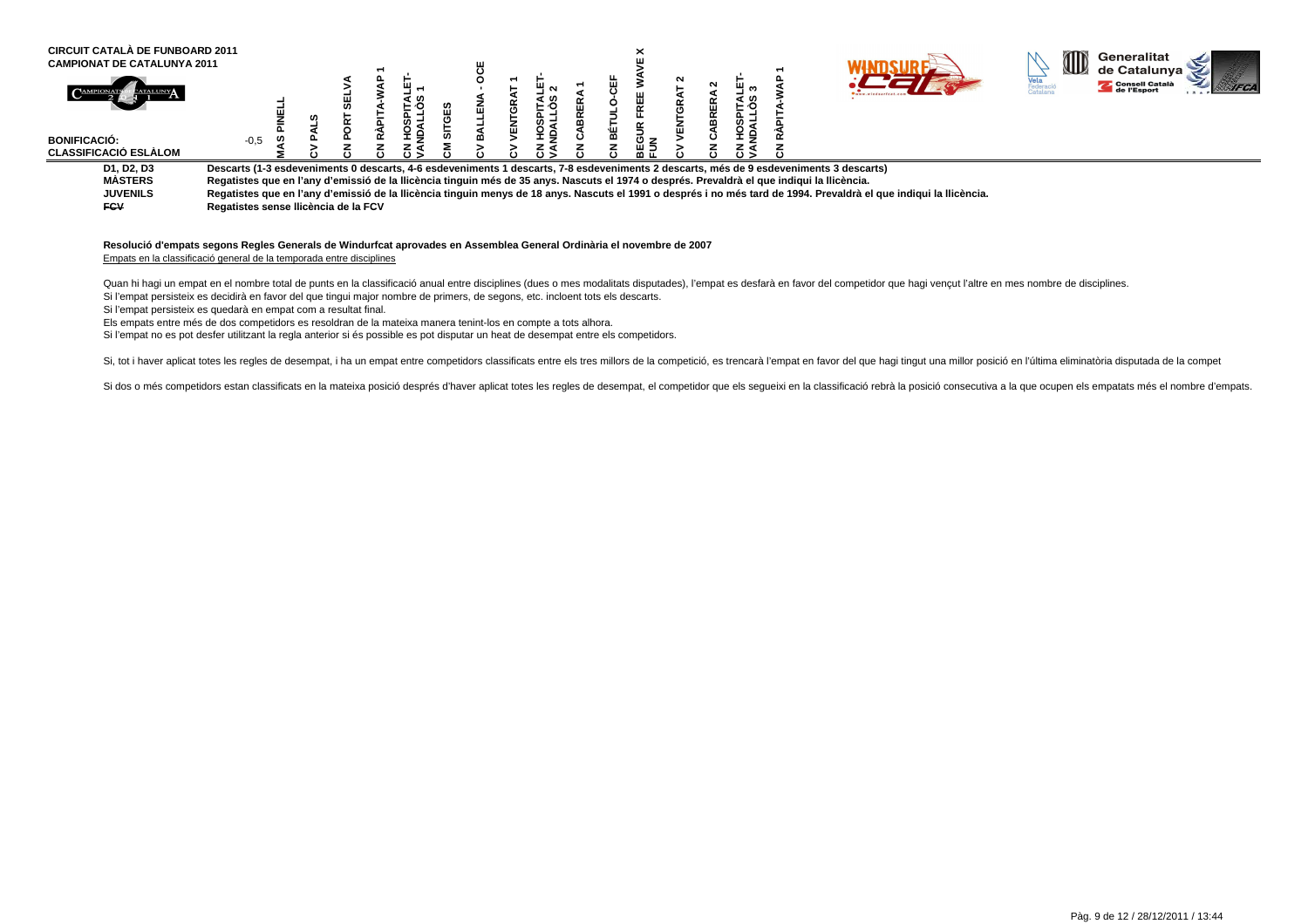| <b>CIRCUIT CATALÀ DE FUNBOARD 2011</b><br><b>CAMPIONAT DE CATALUNYA 2011</b> |                                                                                                                                             |  |  |  |   |        |  |    |        |                  |                                                                                                                                                                     | M | Generalitat<br>de Catalunya   |
|------------------------------------------------------------------------------|---------------------------------------------------------------------------------------------------------------------------------------------|--|--|--|---|--------|--|----|--------|------------------|---------------------------------------------------------------------------------------------------------------------------------------------------------------------|---|-------------------------------|
|                                                                              |                                                                                                                                             |  |  |  | π | $\sim$ |  | ш  | Ê<br>귵 | ົຕ<br>ৰ ග<br>⊢∙o |                                                                                                                                                                     |   | Consell Català<br>de l'Esport |
| <b>BONIFICACIÓ:</b><br><b>CLASSIFICACIÓ ESLÀLOM</b>                          | $-0,5$                                                                                                                                      |  |  |  |   |        |  | ᄖᄀ |        |                  |                                                                                                                                                                     |   |                               |
| D1, D2, D3                                                                   |                                                                                                                                             |  |  |  |   |        |  |    |        |                  | Descarts (1-3 esdeveniments 0 descarts, 4-6 esdeveniments 1 descarts, 7-8 esdeveniments 2 descarts, més de 9 esdeveniments 3 descarts)                              |   |                               |
| MÀSTERS                                                                      | Regatistes que en l'any d'emissió de la llicència tinguin més de 35 anys. Nascuts el 1974 o després. Prevaldrà el que indiqui la llicència. |  |  |  |   |        |  |    |        |                  |                                                                                                                                                                     |   |                               |
| <b>JUVENILS</b>                                                              |                                                                                                                                             |  |  |  |   |        |  |    |        |                  | Regatistes que en l'any d'emissió de la llicència tinguin menys de 18 anys. Nascuts el 1991 o després i no més tard de 1994. Prevaldrà el que indiqui la llicència. |   |                               |
| <b>FCV</b>                                                                   | Regatistes sense Ilicència de la FCV                                                                                                        |  |  |  |   |        |  |    |        |                  |                                                                                                                                                                     |   |                               |

### **Resolució d'empats segons Regles Generals de Windurfcat aprovades en Assemblea General Ordinària el novembre de 2007**Empats en la classificació general de la temporada entre disciplines

Quan hi hagi un empat en el nombre total de punts en la classificació anual entre disciplines (dues o mes modalitats disputades), l'empat es desfarà en favor del competidor que hagi vencut l'altre en mes nombre de discipli Si l'empat persisteix es decidirà en favor del que tingui major nombre de primers, de segons, etc. incloent tots els descarts.

Si l'empat persisteix es quedarà en empat com a resultat final.

Els empats entre més de dos competidors es resoldran de la mateixa manera tenint-los en compte a tots alhora.

Si l'empat no es pot desfer utilitzant la regla anterior si és possible es pot disputar un heat de desempat entre els competidors.

Si, tot i haver aplicat totes les regles de desempat, i ha un empat entre competidors classificats entre els tres millors de la competició, es trencarà l'empat en favor del que hagi tingut una millor posició en l'última el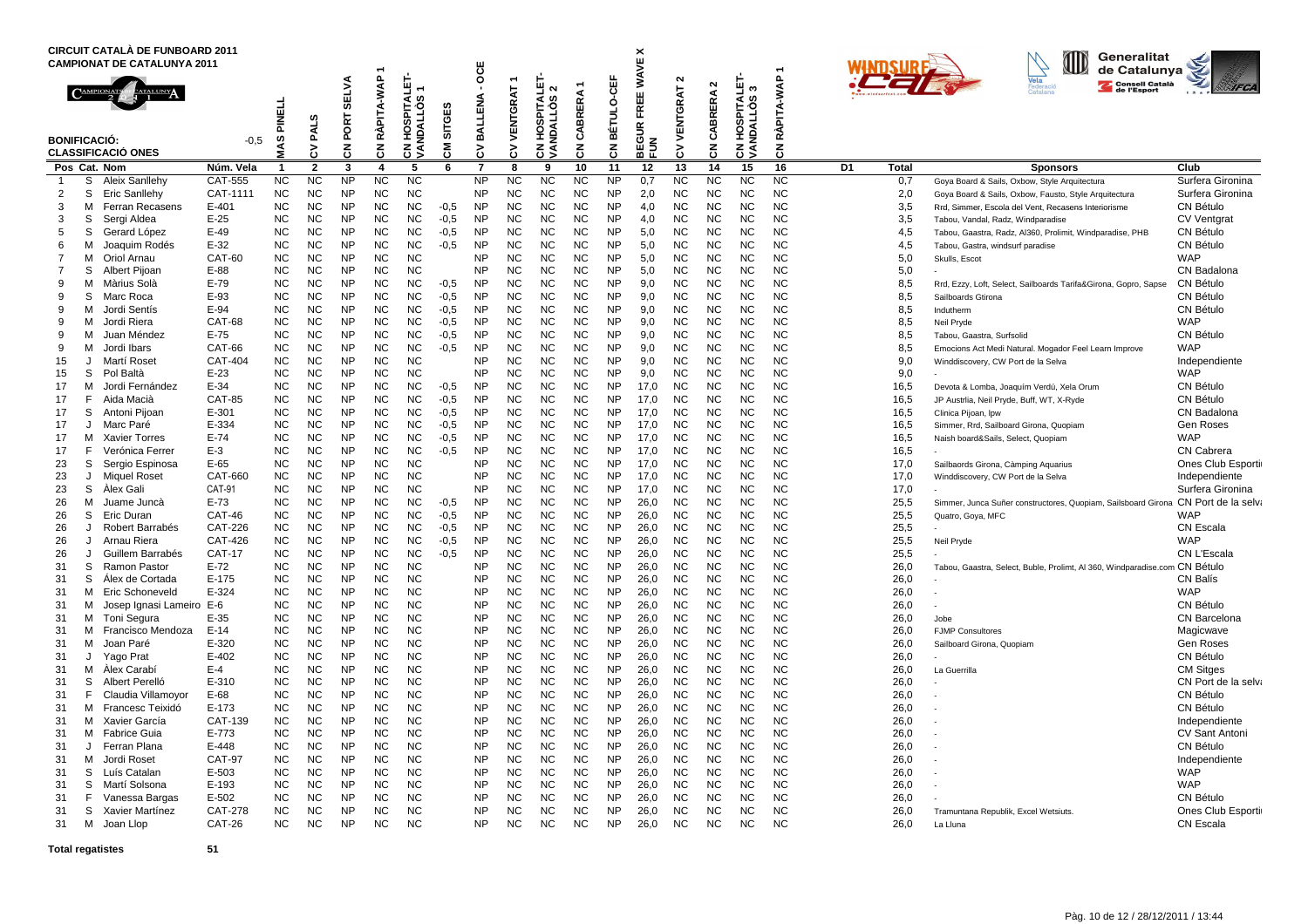| <b>CIRCUIT CATALA DE FUNBOARD 2011</b><br><b>CAMPIONAT DE CATALUNYA 2011</b>                                                                                                                                                                                                                                                                                                                                                                                                                                                                                                                                                                                                                                                                                                                                                                                                                                                                                                                                                                                                                            |                                                                                                                                                                                                                                                                                                                                                                                                                |                                                                                                                                                                                                                                                                                                                                                                                                                                                                                                            |                                                                                                                                                                                                                                                                                                                             |                                                                                                                                                                                                                                                                                                                                                                                                                                                                                                            | ٠                                                                                                                                                                                                                                                                                                                                                                                                                                                                                                          |                                                                                                                                                                                                                                                                                                                                                                                                                                                                                                            |                                                                                                                                                                                                                | ö                                                                                                                                                                                                                                                                                                                                                                                          |                                                                                                                                                                                                                                                                                                                                                                                                                                                                                              |                                                                                                                                                                                                                                                                                                                                                                                                                                                                                                            |                                                                                                                                                                                                                                                                                                                                                                                                                                                                                                            |                                                                                                                                                                                                                                                                                                                                                                                                                                                                                              | ×<br>ш                                                                                                                                                                                                                                                                                       |                                                                                                                                                                                                                                                                                                                                                                                                                                                                                   |                                                                                                                                                                                                                                                                                                                                                                                                                                                                                                            |                                                                                                                                                                                                                                                                                                                                                                                                                                                                                                            |                                                                                                                                                                                                                                                              |    |                                                                                                                                                                                                                                                                                              | Generalitat<br>de Catalunya                                                                                                                                                                                                                                                                                                                                                                                                                                                                                                                                                                                                                                                                                                                                                                                                                                                                                                                                                                                                                                                                        |                                                                                                                                                                                                                                                                                                                                                                                                                                                                                                                                                                                                    |
|---------------------------------------------------------------------------------------------------------------------------------------------------------------------------------------------------------------------------------------------------------------------------------------------------------------------------------------------------------------------------------------------------------------------------------------------------------------------------------------------------------------------------------------------------------------------------------------------------------------------------------------------------------------------------------------------------------------------------------------------------------------------------------------------------------------------------------------------------------------------------------------------------------------------------------------------------------------------------------------------------------------------------------------------------------------------------------------------------------|----------------------------------------------------------------------------------------------------------------------------------------------------------------------------------------------------------------------------------------------------------------------------------------------------------------------------------------------------------------------------------------------------------------|------------------------------------------------------------------------------------------------------------------------------------------------------------------------------------------------------------------------------------------------------------------------------------------------------------------------------------------------------------------------------------------------------------------------------------------------------------------------------------------------------------|-----------------------------------------------------------------------------------------------------------------------------------------------------------------------------------------------------------------------------------------------------------------------------------------------------------------------------|------------------------------------------------------------------------------------------------------------------------------------------------------------------------------------------------------------------------------------------------------------------------------------------------------------------------------------------------------------------------------------------------------------------------------------------------------------------------------------------------------------|------------------------------------------------------------------------------------------------------------------------------------------------------------------------------------------------------------------------------------------------------------------------------------------------------------------------------------------------------------------------------------------------------------------------------------------------------------------------------------------------------------|------------------------------------------------------------------------------------------------------------------------------------------------------------------------------------------------------------------------------------------------------------------------------------------------------------------------------------------------------------------------------------------------------------------------------------------------------------------------------------------------------------|----------------------------------------------------------------------------------------------------------------------------------------------------------------------------------------------------------------|--------------------------------------------------------------------------------------------------------------------------------------------------------------------------------------------------------------------------------------------------------------------------------------------------------------------------------------------------------------------------------------------|----------------------------------------------------------------------------------------------------------------------------------------------------------------------------------------------------------------------------------------------------------------------------------------------------------------------------------------------------------------------------------------------------------------------------------------------------------------------------------------------|------------------------------------------------------------------------------------------------------------------------------------------------------------------------------------------------------------------------------------------------------------------------------------------------------------------------------------------------------------------------------------------------------------------------------------------------------------------------------------------------------------|------------------------------------------------------------------------------------------------------------------------------------------------------------------------------------------------------------------------------------------------------------------------------------------------------------------------------------------------------------------------------------------------------------------------------------------------------------------------------------------------------------|----------------------------------------------------------------------------------------------------------------------------------------------------------------------------------------------------------------------------------------------------------------------------------------------------------------------------------------------------------------------------------------------------------------------------------------------------------------------------------------------|----------------------------------------------------------------------------------------------------------------------------------------------------------------------------------------------------------------------------------------------------------------------------------------------|-----------------------------------------------------------------------------------------------------------------------------------------------------------------------------------------------------------------------------------------------------------------------------------------------------------------------------------------------------------------------------------------------------------------------------------------------------------------------------------|------------------------------------------------------------------------------------------------------------------------------------------------------------------------------------------------------------------------------------------------------------------------------------------------------------------------------------------------------------------------------------------------------------------------------------------------------------------------------------------------------------|------------------------------------------------------------------------------------------------------------------------------------------------------------------------------------------------------------------------------------------------------------------------------------------------------------------------------------------------------------------------------------------------------------------------------------------------------------------------------------------------------------|--------------------------------------------------------------------------------------------------------------------------------------------------------------------------------------------------------------------------------------------------------------|----|----------------------------------------------------------------------------------------------------------------------------------------------------------------------------------------------------------------------------------------------------------------------------------------------|----------------------------------------------------------------------------------------------------------------------------------------------------------------------------------------------------------------------------------------------------------------------------------------------------------------------------------------------------------------------------------------------------------------------------------------------------------------------------------------------------------------------------------------------------------------------------------------------------------------------------------------------------------------------------------------------------------------------------------------------------------------------------------------------------------------------------------------------------------------------------------------------------------------------------------------------------------------------------------------------------------------------------------------------------------------------------------------------------|----------------------------------------------------------------------------------------------------------------------------------------------------------------------------------------------------------------------------------------------------------------------------------------------------------------------------------------------------------------------------------------------------------------------------------------------------------------------------------------------------------------------------------------------------------------------------------------------------|
| <b>BONIFICACIÓ:</b><br><b>CLASSIFICACIÓ ONES</b>                                                                                                                                                                                                                                                                                                                                                                                                                                                                                                                                                                                                                                                                                                                                                                                                                                                                                                                                                                                                                                                        | $-0.5$                                                                                                                                                                                                                                                                                                                                                                                                         | PINELI<br>9y<br>Σ                                                                                                                                                                                                                                                                                                                                                                                                                                                                                          | ဖာ<br>PAL <sup>3</sup><br>><br>ن                                                                                                                                                                                                                                                                                            | <b>SELVA</b><br>PORT<br>중                                                                                                                                                                                                                                                                                                                                                                                                                                                                                  | RÀPITA-WAP<br>중                                                                                                                                                                                                                                                                                                                                                                                                                                                                                            | PITALET<br>s<br>۰O<br>ဖာ<br>⊼<br>S<br>웊<br>중<br>⋖                                                                                                                                                                                                                                                                                                                                                                                                                                                          | SITGES<br>ξ                                                                                                                                                                                                    | BALLENA<br>3                                                                                                                                                                                                                                                                                                                                                                               | VENTGRAT<br>3                                                                                                                                                                                                                                                                                                                                                                                                                                                                                | ⊡<br>٤<br>PITA<br>ဖာ<br>۰O<br><b>NDALL</b><br>U.<br>ğ<br>ह ड्र                                                                                                                                                                                                                                                                                                                                                                                                                                             | ERA<br>岛<br>రే<br>$\overline{5}$                                                                                                                                                                                                                                                                                                                                                                                                                                                                           | $-0.55$<br>BÉTUL<br>$\overline{5}$                                                                                                                                                                                                                                                                                                                                                                                                                                                           | Š<br>ш<br>画<br>Ē<br>ĸ<br>3<br>$\frac{2}{5}$<br>ц<br>w                                                                                                                                                                                                                                        | $\sim$<br><b>NTGRAT</b><br>₽<br>3                                                                                                                                                                                                                                                                                                                                                                                                                                                 | N<br>CABRERA<br>중                                                                                                                                                                                                                                                                                                                                                                                                                                                                                          | 9<br>S<br>∢ ທ<br>호크<br>인<br>w<br>es<br>≌<br>z<br>हुडू                                                                                                                                                                                                                                                                                                                                                                                                                                                      | PITA-WAP<br>ৰূ<br>중                                                                                                                                                                                                                                          |    |                                                                                                                                                                                                                                                                                              | Vela<br>Consell Català<br>de l'Esport                                                                                                                                                                                                                                                                                                                                                                                                                                                                                                                                                                                                                                                                                                                                                                                                                                                                                                                                                                                                                                                              | <b>AFCA</b>                                                                                                                                                                                                                                                                                                                                                                                                                                                                                                                                                                                        |
| Pos Cat. Nom                                                                                                                                                                                                                                                                                                                                                                                                                                                                                                                                                                                                                                                                                                                                                                                                                                                                                                                                                                                                                                                                                            | Núm. Vela                                                                                                                                                                                                                                                                                                                                                                                                      | -1                                                                                                                                                                                                                                                                                                                                                                                                                                                                                                         | $\overline{2}$                                                                                                                                                                                                                                                                                                              | 3                                                                                                                                                                                                                                                                                                                                                                                                                                                                                                          | 4                                                                                                                                                                                                                                                                                                                                                                                                                                                                                                          | 5                                                                                                                                                                                                                                                                                                                                                                                                                                                                                                          | 6                                                                                                                                                                                                              | $\overline{7}$                                                                                                                                                                                                                                                                                                                                                                             | -8                                                                                                                                                                                                                                                                                                                                                                                                                                                                                           | 9                                                                                                                                                                                                                                                                                                                                                                                                                                                                                                          | 10                                                                                                                                                                                                                                                                                                                                                                                                                                                                                                         | 11                                                                                                                                                                                                                                                                                                                                                                                                                                                                                           | 12                                                                                                                                                                                                                                                                                           | 13                                                                                                                                                                                                                                                                                                                                                                                                                                                                                | 14                                                                                                                                                                                                                                                                                                                                                                                                                                                                                                         | 15                                                                                                                                                                                                                                                                                                                                                                                                                                                                                                         | 16                                                                                                                                                                                                                                                           | D1 | Total                                                                                                                                                                                                                                                                                        | <b>Sponsors</b>                                                                                                                                                                                                                                                                                                                                                                                                                                                                                                                                                                                                                                                                                                                                                                                                                                                                                                                                                                                                                                                                                    | Club                                                                                                                                                                                                                                                                                                                                                                                                                                                                                                                                                                                               |
| S<br>$\overline{1}$<br>Aleix Sanllehy<br>2<br>S<br>Eric Sanllehy<br>3<br>Ferran Recasens<br>м<br>3<br>S<br>Sergi Aldea<br>5<br>S<br>Gerard López<br>6<br>Joaquim Rodés<br>м<br>м<br>Oriol Arnau<br>7<br>$\overline{7}$<br>S<br>Albert Pijoan<br>9<br>м<br>Màrius Solà<br>S<br>Marc Roca<br>9<br>9<br>Jordi Sentís<br>м<br>Jordi Riera<br>9<br>м<br>9<br>Juan Méndez<br>M<br>9<br>м<br>Jordi Ibars<br>15<br>Martí Roset<br>J<br>S<br>Pol Baltà<br>15<br>17<br>M<br>Jordi Fernández<br>F.<br>Aida Macià<br>17<br>17<br>S<br>Antoni Pijoan<br>Marc Paré<br>17<br>J<br>17<br>м<br><b>Xavier Torres</b><br>17<br>F<br>Verónica Ferrer<br>23<br>S<br>Sergio Espinosa<br>23<br><b>Miguel Roset</b><br>J<br>S<br>Alex Gali<br>23<br>26<br>м<br>Juame Juncà<br>26<br>S<br>Eric Duran<br>Robert Barrabés<br>26<br>J<br>Arnau Riera<br>26<br>J<br>Guillem Barrabés<br>26<br>J<br>S<br>Ramon Pastor<br>31<br>S<br>Alex de Cortada<br>31<br>M Eric Schoneveld<br>31<br>Josep Ignasi Lameiro E-6<br>31<br>м<br>м<br>Toni Segura<br>31<br>Francisco Mendoza<br>31<br>м<br>Joan Paré<br>31<br>м<br>Yago Prat<br>31<br>J | CAT-555<br>CAT-1111<br>E-401<br>$E-25$<br>$E-49$<br>$E-32$<br>CAT-60<br>E-88<br>E-79<br>E-93<br>$E-94$<br>CAT-68<br>E-75<br>CAT-66<br>CAT-404<br>$E-23$<br>$E-34$<br><b>CAT-85</b><br>$E - 301$<br>E-334<br>$E-74$<br>$E-3$<br>$E-65$<br>CAT-660<br><b>CAT-91</b><br>$E-73$<br><b>CAT-46</b><br>CAT-226<br><b>CAT-426</b><br><b>CAT-17</b><br>$E-72$<br>E-175<br>E-324<br>$E-35$<br>$E-14$<br>E-320<br>$E-402$ | <b>NC</b><br><b>NC</b><br><b>NC</b><br><b>NC</b><br><b>NC</b><br><b>NC</b><br><b>NC</b><br><b>NC</b><br><b>NC</b><br><b>NC</b><br><b>NC</b><br><b>NC</b><br><b>NC</b><br><b>NC</b><br><b>NC</b><br><b>NC</b><br><b>NC</b><br><b>NC</b><br><b>NC</b><br><b>NC</b><br><b>NC</b><br><b>NC</b><br><b>NC</b><br><b>NC</b><br><b>NC</b><br><b>NC</b><br><b>NC</b><br><b>NC</b><br><b>NC</b><br><b>NC</b><br><b>NC</b><br><b>NC</b><br><b>NC</b><br><b>NC</b><br><b>NC</b><br><b>NC</b><br><b>NC</b><br><b>NC</b> | <b>NC</b><br><b>NC</b><br>NC<br>NC<br>ΝC<br><b>NC</b><br>ΝC<br>ΝC<br><b>NC</b><br>NC<br><b>NC</b><br>NC<br>ΝC<br><b>NC</b><br>ΝC<br>NC<br><b>NC</b><br>NC<br><b>NC</b><br>NC<br>NC<br><b>NC</b><br>NC<br>ΝC<br>NC<br>ΝC<br><b>NC</b><br>ΝC<br>NC<br><b>NC</b><br>NC<br>ΝC<br>NC<br>ΝC<br><b>NC</b><br>ΝC<br>NC<br><b>NC</b> | <b>NP</b><br><b>NP</b><br><b>NP</b><br><b>NP</b><br><b>NP</b><br><b>NP</b><br><b>NP</b><br><b>NP</b><br><b>NP</b><br><b>NP</b><br><b>NP</b><br><b>NP</b><br><b>NP</b><br><b>NP</b><br><b>NP</b><br><b>NP</b><br><b>NP</b><br><b>NP</b><br><b>NP</b><br><b>NP</b><br><b>NP</b><br><b>NP</b><br><b>NP</b><br><b>NP</b><br><b>NP</b><br><b>NP</b><br><b>NP</b><br><b>NP</b><br><b>NP</b><br><b>NP</b><br><b>NP</b><br><b>NP</b><br><b>NP</b><br><b>NP</b><br><b>NP</b><br><b>NP</b><br><b>NP</b><br><b>NP</b> | <b>NC</b><br><b>NC</b><br><b>NC</b><br><b>NC</b><br><b>NC</b><br><b>NC</b><br><b>NC</b><br><b>NC</b><br><b>NC</b><br><b>NC</b><br><b>NC</b><br><b>NC</b><br><b>NC</b><br><b>NC</b><br><b>NC</b><br><b>NC</b><br><b>NC</b><br><b>NC</b><br><b>NC</b><br><b>NC</b><br><b>NC</b><br><b>NC</b><br><b>NC</b><br><b>NC</b><br><b>NC</b><br><b>NC</b><br><b>NC</b><br><b>NC</b><br><b>NC</b><br><b>NC</b><br><b>NC</b><br><b>NC</b><br><b>NC</b><br><b>NC</b><br><b>NC</b><br><b>NC</b><br><b>NC</b><br><b>NC</b> | <b>NC</b><br><b>NC</b><br><b>NC</b><br><b>NC</b><br><b>NC</b><br><b>NC</b><br><b>NC</b><br><b>NC</b><br><b>NC</b><br><b>NC</b><br><b>NC</b><br><b>NC</b><br><b>NC</b><br><b>NC</b><br><b>NC</b><br><b>NC</b><br><b>NC</b><br><b>NC</b><br><b>NC</b><br><b>NC</b><br><b>NC</b><br><b>NC</b><br><b>NC</b><br><b>NC</b><br><b>NC</b><br><b>NC</b><br><b>NC</b><br><b>NC</b><br><b>NC</b><br><b>NC</b><br><b>NC</b><br><b>NC</b><br><b>NC</b><br><b>NC</b><br><b>NC</b><br><b>NC</b><br><b>NC</b><br><b>NC</b> | $-0.5$<br>$-0.5$<br>$-0.5$<br>$-0,5$<br>$-0.5$<br>$-0.5$<br>$-0.5$<br>$-0,5$<br>$-0.5$<br>$-0,5$<br>$-0.5$<br>$-0.5$<br>$-0,5$<br>$-0.5$<br>$-0.5$<br>$-0,5$<br>$-0.5$<br>$-0.5$<br>$-0.5$<br>$-0.5$<br>$-0.5$ | <b>NP</b><br><b>NP</b><br>NP<br>NP<br><b>NP</b><br><b>NP</b><br>NP<br>NP<br><b>NP</b><br><b>NP</b><br>NP<br>NP<br><b>NP</b><br><b>NP</b><br>NP<br><b>NP</b><br><b>NP</b><br><b>NP</b><br>NP<br><b>NP</b><br>NP<br>NP<br><b>NP</b><br>NP<br><b>NP</b><br><b>NP</b><br><b>NP</b><br>NP<br>NP<br>NP<br><b>NP</b><br>NP<br><b>NP</b><br>NP<br><b>NP</b><br><b>NP</b><br><b>NP</b><br><b>NP</b> | <b>NC</b><br><b>NC</b><br><b>NC</b><br><b>NC</b><br><b>NC</b><br><b>NC</b><br><b>NC</b><br><b>NC</b><br><b>NC</b><br><b>NC</b><br><b>NC</b><br><b>NC</b><br><b>NC</b><br><b>NC</b><br><b>NC</b><br>ΝC<br><b>NC</b><br><b>NC</b><br><b>NC</b><br><b>NC</b><br><b>NC</b><br><b>NC</b><br><b>NC</b><br><b>NC</b><br><b>NC</b><br><b>NC</b><br><b>NC</b><br><b>NC</b><br><b>NC</b><br><b>NC</b><br><b>NC</b><br><b>NC</b><br><b>NC</b><br><b>NC</b><br><b>NC</b><br><b>NC</b><br>ΝC<br><b>NC</b> | <b>NC</b><br><b>NC</b><br><b>NC</b><br><b>NC</b><br><b>NC</b><br><b>NC</b><br><b>NC</b><br><b>NC</b><br><b>NC</b><br><b>NC</b><br><b>NC</b><br><b>NC</b><br><b>NC</b><br><b>NC</b><br><b>NC</b><br><b>NC</b><br><b>NC</b><br><b>NC</b><br><b>NC</b><br><b>NC</b><br><b>NC</b><br><b>NC</b><br><b>NC</b><br><b>NC</b><br><b>NC</b><br><b>NC</b><br><b>NC</b><br><b>NC</b><br><b>NC</b><br><b>NC</b><br><b>NC</b><br><b>NC</b><br><b>NC</b><br><b>NC</b><br><b>NC</b><br><b>NC</b><br><b>NC</b><br><b>NC</b> | <b>NC</b><br><b>NC</b><br><b>NC</b><br><b>NC</b><br><b>NC</b><br><b>NC</b><br><b>NC</b><br><b>NC</b><br><b>NC</b><br><b>NC</b><br><b>NC</b><br><b>NC</b><br><b>NC</b><br><b>NC</b><br><b>NC</b><br><b>NC</b><br><b>NC</b><br><b>NC</b><br><b>NC</b><br><b>NC</b><br><b>NC</b><br><b>NC</b><br><b>NC</b><br><b>NC</b><br><b>NC</b><br><b>NC</b><br><b>NC</b><br><b>NC</b><br><b>NC</b><br><b>NC</b><br><b>NC</b><br><b>NC</b><br><b>NC</b><br><b>NC</b><br><b>NC</b><br><b>NC</b><br><b>NC</b><br><b>NC</b> | <b>NP</b><br><b>NP</b><br><b>NP</b><br><b>NP</b><br><b>NP</b><br><b>NP</b><br><b>NP</b><br><b>NP</b><br><b>NP</b><br><b>NP</b><br><b>NP</b><br>NP<br><b>NP</b><br><b>NP</b><br><b>NP</b><br><b>NP</b><br><b>NP</b><br><b>NP</b><br><b>NP</b><br>NP<br><b>NP</b><br><b>NP</b><br><b>NP</b><br><b>NP</b><br><b>NP</b><br><b>NP</b><br><b>NP</b><br><b>NP</b><br><b>NP</b><br><b>NP</b><br><b>NP</b><br><b>NP</b><br><b>NP</b><br><b>NP</b><br><b>NP</b><br><b>NP</b><br><b>NP</b><br><b>NP</b> | 0,7<br>2,0<br>4,0<br>4,0<br>5,0<br>5,0<br>5,0<br>5,0<br>9,0<br>9,0<br>9,0<br>9,0<br>9,0<br>9,0<br>9,0<br>9,0<br>17,0<br>17,0<br>17,0<br>17,0<br>17,0<br>17,0<br>17,0<br>17,0<br>17,0<br>26,0<br>26,0<br>26,0<br>26,0<br>26,0<br>26,0<br>26,0<br>26,0<br>26,0<br>26,0<br>26,0<br>26,0<br>26,0 | <b>NC</b><br><b>NC</b><br>NC.<br><b>NC</b><br><b>NC</b><br><b>NC</b><br><b>NC</b><br><b>NC</b><br><b>NC</b><br><b>NC</b><br>NC<br><b>NC</b><br><b>NC</b><br><b>NC</b><br><b>NC</b><br><b>NC</b><br><b>NC</b><br><b>NC</b><br><b>NC</b><br><b>NC</b><br><b>NC</b><br>NC.<br><b>NC</b><br><b>NC</b><br><b>NC</b><br>NC.<br><b>NC</b><br><b>NC</b><br><b>NC</b><br><b>NC</b><br><b>NC</b><br><b>NC</b><br><b>NC</b><br><b>NC</b><br><b>NC</b><br><b>NC</b><br><b>NC</b><br><b>NC</b> | <b>NC</b><br><b>NC</b><br><b>NC</b><br><b>NC</b><br><b>NC</b><br><b>NC</b><br><b>NC</b><br><b>NC</b><br><b>NC</b><br><b>NC</b><br><b>NC</b><br><b>NC</b><br><b>NC</b><br><b>NC</b><br><b>NC</b><br><b>NC</b><br><b>NC</b><br><b>NC</b><br><b>NC</b><br><b>NC</b><br><b>NC</b><br><b>NC</b><br><b>NC</b><br><b>NC</b><br><b>NC</b><br><b>NC</b><br><b>NC</b><br><b>NC</b><br><b>NC</b><br><b>NC</b><br><b>NC</b><br><b>NC</b><br><b>NC</b><br><b>NC</b><br><b>NC</b><br><b>NC</b><br><b>NC</b><br><b>NC</b> | <b>NC</b><br><b>NC</b><br><b>NC</b><br><b>NC</b><br><b>NC</b><br><b>NC</b><br><b>NC</b><br><b>NC</b><br><b>NC</b><br><b>NC</b><br><b>NC</b><br><b>NC</b><br><b>NC</b><br><b>NC</b><br><b>NC</b><br><b>NC</b><br><b>NC</b><br><b>NC</b><br><b>NC</b><br><b>NC</b><br><b>NC</b><br><b>NC</b><br><b>NC</b><br><b>NC</b><br><b>NC</b><br><b>NC</b><br><b>NC</b><br><b>NC</b><br><b>NC</b><br><b>NC</b><br><b>NC</b><br><b>NC</b><br><b>NC</b><br><b>NC</b><br><b>NC</b><br><b>NC</b><br><b>NC</b><br><b>NC</b> | <b>NC</b><br><b>NC</b><br><b>NC</b><br>NC<br>NC<br><b>NC</b><br>NC<br>NC<br>NC<br>NC<br>NC<br>NC<br>ΝC<br>NC<br>NC<br>NC<br>ΝC<br>NC<br>NC<br>NC<br>NC<br>NC<br>NC<br>ΝC<br>NC<br>ΝC<br>NC<br>NC<br>NC<br>NC<br>NC<br>NC<br>NC<br>ΝC<br>NC<br>NC<br>NC<br>NC |    | 0,7<br>2,0<br>3,5<br>3,5<br>4,5<br>4,5<br>5,0<br>5,0<br>8,5<br>8,5<br>8,5<br>8,5<br>8,5<br>8,5<br>9,0<br>9,0<br>16,5<br>16,5<br>16,5<br>16,5<br>16,5<br>16,5<br>17,0<br>17,0<br>17,0<br>25,5<br>25,5<br>25,5<br>25,5<br>25,5<br>26,0<br>26,0<br>26,0<br>26,0<br>26,0<br>26,0<br>26,0<br>26,0 | Goya Board & Sails, Oxbow, Style Arquitectura<br>Goya Board & Sails, Oxbow, Fausto, Style Arquitectura<br>Rrd, Simmer, Escola del Vent, Recasens Interiorisme<br>Tabou, Vandal, Radz, Windparadise<br>Tabou, Gaastra, Radz, Al360, Prolimit, Windparadise, PHB<br>Tabou, Gastra, windsurf paradise<br>Skulls, Escot<br>Rrd, Ezzy, Loft, Select, Sailboards Tarifa&Girona, Gopro, Sapse<br>Sailboards Gtirona<br>Indutherm<br>Neil Pryde<br>Tabou, Gaastra, Surfsolid<br>Emocions Act Medi Natural. Mogador Feel Learn Improve<br>Winddiscovery, CW Port de la Selva<br>Devota & Lomba, Joaquím Verdú, Xela Orum<br>JP Austrlia, Neil Pryde, Buff, WT, X-Ryde<br>Clinica Pijoan, Ipw<br>Simmer, Rrd, Sailboard Girona, Quopiam<br>Naish board&Sails, Select, Quopian<br>Sailbaords Girona, Càmping Aquarius<br>Winddiscovery, CW Port de la Selva<br>Simmer, Junca Suñer constructores, Quopiam, Sailsboard Girona<br>Quatro, Goya, MFC<br>Neil Pryde<br>Tabou, Gaastra, Select, Buble, Prolimt, AI 360, Windparadise.com CN Bétulc<br>Jobe<br><b>FJMP Consultores</b><br>Sailboard Girona, Quopiam | Surfera Gironina<br>Surfera Gironina<br>CN Bétulo<br><b>CV Ventgrat</b><br>CN Bétulo<br><b>CN Bétulo</b><br><b>WAP</b><br>CN Badalona<br><b>CN Bétulo</b><br>CN Bétulo<br>CN Bétulo<br><b>WAP</b><br>CN Bétulo<br><b>WAP</b><br>Independiente<br><b>WAP</b><br>CN Bétulo<br>CN Bétulo<br>CN Badalona<br>Gen Roses<br><b>WAP</b><br><b>CN Cabrera</b><br>Ones Club Esporti<br>Independiente<br>Surfera Gironina<br>CN Port de la selva<br><b>WAP</b><br>CN Escala<br><b>WAP</b><br>CN L'Escala<br><b>CN Balís</b><br><b>WAP</b><br>CN Bétulo<br>CN Barcelona<br>Magicwave<br>Gen Roses<br>CN Bétulo |
| м<br>Alex Carabí<br>31<br>S<br>Albert Perelló<br>31<br>Claudia Villamovor<br>31<br>F<br>Francesc Teixidó<br>31<br>м<br>м<br>Xavier García<br>31<br>Fabrice Guia<br>31<br>м<br>Ferran Plana<br>31<br>J<br>M Jordi Roset<br>31<br>S Luís Catalan<br>31<br>S Martí Solsona<br>31<br>F Vanessa Bargas<br>31<br>S Xavier Martínez<br>31<br>M Joan Llop<br>31                                                                                                                                                                                                                                                                                                                                                                                                                                                                                                                                                                                                                                                                                                                                                 | $E-4$<br>E-310<br>E-68<br>$E-173$<br>CAT-139<br>$E - 773$<br>E-448<br><b>CAT-97</b><br>E-503<br>E-193<br>E-502<br><b>CAT-278</b><br>CAT-26                                                                                                                                                                                                                                                                     | <b>NC</b><br><b>NC</b><br><b>NC</b><br><b>NC</b><br><b>NC</b><br>NC<br><b>NC</b><br><b>NC</b><br><b>NC</b><br><b>NC</b><br>NC<br><b>NC</b><br><b>NC</b>                                                                                                                                                                                                                                                                                                                                                    | NC<br><b>NC</b><br>NC<br>ΝC<br><b>NC</b><br>NC.<br>NC<br><b>NC</b><br><b>NC</b><br><b>NC</b><br>NC<br><b>NC</b><br>NC.                                                                                                                                                                                                      | <b>NP</b><br><b>NP</b><br><b>NP</b><br><b>NP</b><br><b>NP</b><br><b>NP</b><br><b>NP</b><br><b>NP</b><br><b>NP</b><br><b>NP</b><br><b>NP</b><br>NP<br><b>NP</b>                                                                                                                                                                                                                                                                                                                                             | <b>NC</b><br><b>NC</b><br><b>NC</b><br><b>NC</b><br><b>NC</b><br>NC.<br><b>NC</b><br><b>NC</b><br><b>NC</b><br><b>NC</b><br><b>NC</b><br>NC.<br>NC.                                                                                                                                                                                                                                                                                                                                                        | <b>NC</b><br><b>NC</b><br><b>NC</b><br><b>NC</b><br><b>NC</b><br>NC.<br><b>NC</b><br><b>NC</b><br><b>NC</b><br><b>NC</b><br><b>NC</b><br><b>NC</b><br><b>NC</b>                                                                                                                                                                                                                                                                                                                                            |                                                                                                                                                                                                                | <b>NP</b><br>NP<br>NP<br>NP<br><b>NP</b><br>NP<br><b>NP</b><br><b>NP</b><br>NP<br><b>NP</b><br>NP<br><b>NP</b><br>NP                                                                                                                                                                                                                                                                       | <b>NC</b><br><b>NC</b><br><b>NC</b><br><b>NC</b><br><b>NC</b><br>ΝC<br>NC<br><b>NC</b><br><b>NC</b><br><b>NC</b><br><b>NC</b><br>NC<br><b>NC</b>                                                                                                                                                                                                                                                                                                                                             | <b>NC</b><br><b>NC</b><br><b>NC</b><br><b>NC</b><br><b>NC</b><br><b>NC</b><br>NC.<br><b>NC</b><br><b>NC</b><br><b>NC</b><br><b>NC</b><br>NC.<br>NC.                                                                                                                                                                                                                                                                                                                                                        | <b>NC</b><br><b>NC</b><br><b>NC</b><br><b>NC</b><br><b>NC</b><br>NC<br>NC<br>NC<br>NC<br>NC<br>NC<br>NC<br>NC                                                                                                                                                                                                                                                                                                                                                                                              | <b>NP</b><br><b>NP</b><br><b>NP</b><br><b>NP</b><br><b>NP</b><br>NP.<br><b>NP</b><br><b>NP</b><br><b>NP</b><br><b>NP</b><br><b>NP</b><br><b>NP</b><br>NP                                                                                                                                                                                                                                                                                                                                     | 26,0<br>26,0<br>26,0<br>26,0<br>26,0<br>26,0<br>26,0<br>26,0<br>26,0<br>26,0<br>26,0<br>26,0<br>26,0                                                                                                                                                                                         | <b>NC</b><br><b>NC</b><br><b>NC</b><br>NC.<br><b>NC</b><br>NC.<br><b>NC</b><br><b>NC</b><br><b>NC</b><br><b>NC</b><br><b>NC</b><br>NC<br><b>NC</b>                                                                                                                                                                                                                                                                                                                                | <b>NC</b><br><b>NC</b><br><b>NC</b><br>NC<br><b>NC</b><br>NC<br><b>NC</b><br><b>NC</b><br><b>NC</b><br><b>NC</b><br>NC<br>NC<br>NC                                                                                                                                                                                                                                                                                                                                                                         | <b>NC</b><br><b>NC</b><br><b>NC</b><br><b>NC</b><br><b>NC</b><br><b>NC</b><br><b>NC</b><br><b>NC</b><br><b>NC</b><br><b>NC</b><br><b>NC</b><br><b>NC</b><br><b>NC</b>                                                                                                                                                                                                                                                                                                                                      | NC<br><b>NC</b><br>NC<br>ΝC<br>NC<br>NC.<br><b>NC</b><br><b>NC</b><br><b>NC</b><br><b>NC</b><br><b>NC</b><br>NC<br><b>NC</b>                                                                                                                                 |    | 26,0<br>26,0<br>26,0<br>26,0<br>26,0<br>26,0<br>26,0<br>26,0<br>26,0<br>26,0<br>26,0<br>26,0<br>26,0                                                                                                                                                                                         | La Guerrilla<br>Tramuntana Republik, Excel Wetsiuts.<br>La Lluna                                                                                                                                                                                                                                                                                                                                                                                                                                                                                                                                                                                                                                                                                                                                                                                                                                                                                                                                                                                                                                   | <b>CM Sitges</b><br>CN Port de la selva<br>CN Bétulo<br><b>CN Bétulo</b><br>Independiente<br>CV Sant Antoni<br>CN Bétulo<br>Independiente<br><b>WAP</b><br><b>WAP</b><br>CN Bétulo<br>Ones Club Esporti<br>CN Escala                                                                                                                                                                                                                                                                                                                                                                               |
| <b>Total regatistes</b>                                                                                                                                                                                                                                                                                                                                                                                                                                                                                                                                                                                                                                                                                                                                                                                                                                                                                                                                                                                                                                                                                 | 51                                                                                                                                                                                                                                                                                                                                                                                                             |                                                                                                                                                                                                                                                                                                                                                                                                                                                                                                            |                                                                                                                                                                                                                                                                                                                             |                                                                                                                                                                                                                                                                                                                                                                                                                                                                                                            |                                                                                                                                                                                                                                                                                                                                                                                                                                                                                                            |                                                                                                                                                                                                                                                                                                                                                                                                                                                                                                            |                                                                                                                                                                                                                |                                                                                                                                                                                                                                                                                                                                                                                            |                                                                                                                                                                                                                                                                                                                                                                                                                                                                                              |                                                                                                                                                                                                                                                                                                                                                                                                                                                                                                            |                                                                                                                                                                                                                                                                                                                                                                                                                                                                                                            |                                                                                                                                                                                                                                                                                                                                                                                                                                                                                              |                                                                                                                                                                                                                                                                                              |                                                                                                                                                                                                                                                                                                                                                                                                                                                                                   |                                                                                                                                                                                                                                                                                                                                                                                                                                                                                                            |                                                                                                                                                                                                                                                                                                                                                                                                                                                                                                            |                                                                                                                                                                                                                                                              |    |                                                                                                                                                                                                                                                                                              |                                                                                                                                                                                                                                                                                                                                                                                                                                                                                                                                                                                                                                                                                                                                                                                                                                                                                                                                                                                                                                                                                                    |                                                                                                                                                                                                                                                                                                                                                                                                                                                                                                                                                                                                    |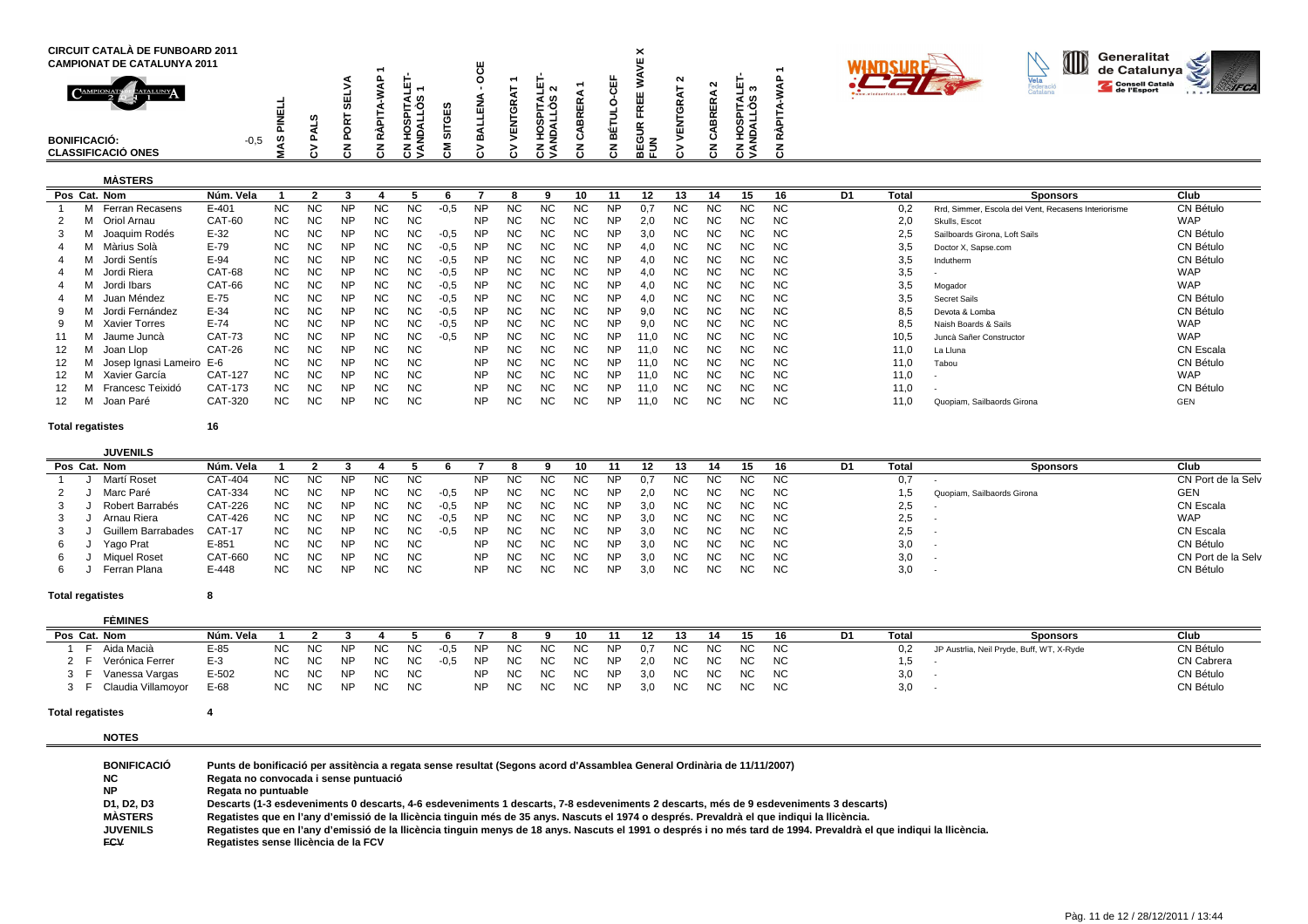| <b>CIRCUIT CATALÀ DE FUNBOARD 2011</b><br><b>CAMPIONAT DE CATALUNYA 2011</b><br>$\bigcap_{\text{AMP}}$<br>CATALUNY<br><b>BONIFICACIÓ:</b> | $-0,5$<br>ທ | u. | ⊢ ∿<br>- | -<br>ш<br>ш |   | ิ<br>ທ<br>ທ ≓<br>ᆂᄛ | ≃ | ۰ш<br>≃      | $\check{ }$<br>⌒<br>. . | $\sim$ | ш | - 67<br>. . | - |  | ID | Generalitat<br>de Catalunya<br>Consell Català | Ś<br>⋗ |  |
|-------------------------------------------------------------------------------------------------------------------------------------------|-------------|----|----------|-------------|---|---------------------|---|--------------|-------------------------|--------|---|-------------|---|--|----|-----------------------------------------------|--------|--|
| <b>CLASSIFICACIÓ ONES</b>                                                                                                                 |             |    | د ن      | ن           | ە | خ ن                 |   | $\mathbf{c}$ | ר ש<br>மட               |        |   | د ن         |   |  |    |                                               |        |  |

# **MÀSTERS**

| Pos Cat. Nom             | Núm. Vela     |           |           |           |     |           |        |           |           |           | 10        |           | 12   |           | 14   | 15        | 16        | D1 | <b>Total</b> | <b>Sponsors</b>                                     | Club       |
|--------------------------|---------------|-----------|-----------|-----------|-----|-----------|--------|-----------|-----------|-----------|-----------|-----------|------|-----------|------|-----------|-----------|----|--------------|-----------------------------------------------------|------------|
| Ferran Recasens          | E-401         | NC.       | <b>NC</b> | <b>NP</b> | NС  | NC.       | $-0.5$ | <b>NP</b> | <b>NC</b> | NС        | <b>NC</b> | <b>NP</b> |      | NC.       | NC.  | <b>NC</b> | NC.       |    | 0.2          | Rrd, Simmer, Escola del Vent, Recasens Interiorisme | CN Bétulo  |
| Oriol Arnau              | CAT-60        | NC.       | <b>NC</b> | <b>NP</b> | NC. | <b>NC</b> |        | NP        | <b>NC</b> | ΝC        | ΝC        | <b>NP</b> | 2.0  | ΝC        | ΝC   | ΝC        | NC.       |    | 2,0          | Skulls, Escot                                       | <b>WAP</b> |
| Joaquim Rodés            | $E-32$        | NC.       | <b>NC</b> | <b>NP</b> | NC. | NC.       | $-0.5$ | NP        | NC.       | ΝC        | ΝC        | <b>NP</b> | 3.0  | <b>NC</b> | NC.  | ΝC        | <b>NC</b> |    | 2.5          | Sailboards Girona, Loft Sails                       | CN Bétulo  |
| Màrius Solà              | $E-79$        | NC.       | <b>NC</b> | <b>NP</b> | NC. | NC.       | $-0.5$ | <b>NP</b> | <b>NC</b> | NC.       | NC.       | <b>NP</b> | 4,0  | <b>NC</b> | NC.  | ΝC        | NC.       |    | 3,5          | Doctor X, Sapse.com                                 | CN Bétulo  |
| Jordi Sentís             | $E-94$        | NC.       | <b>NC</b> | <b>NP</b> | NC. | NC.       | $-0.5$ | NP        | NC.       | NC.       | NC.       | <b>NP</b> | 4.0  | NC.       | NC.  | NC.       | NC.       |    | 3,5          | Indutherm                                           | CN Bétulo  |
| Jordi Riera              | CAT-68        | NC.       | <b>NC</b> | <b>NP</b> | NC. | NC.       | $-0.5$ | NP        | NC.       | <b>NC</b> | <b>NC</b> | NP        | 4.0  | NC.       | NC.  | ΝC        | NC.       |    | 3,5          |                                                     | <b>WAP</b> |
| Jordi Ibars              | CAT-66        | NC.       | <b>NC</b> | <b>NP</b> | NC. | NC.       | $-0.5$ | NP        | NC.       | NC.       | ΝC        | <b>NP</b> | 4.0  | NC.       | NC.  | ΝC        | NC.       |    | 3,5          | Mogador                                             | <b>WAP</b> |
| Juan Méndez              | $E-75$        | <b>NC</b> | <b>NC</b> | <b>NP</b> | NC. | <b>NC</b> | $-0.5$ | <b>NP</b> | NC.       | ΝC        | NC.       | <b>NP</b> | 4.0  | NC.       | NC.  | ΝC        | NC.       |    | 3,5          | <b>Secret Sails</b>                                 | CN Bétulo  |
| Jordi Fernández          | $E-34$        | NC.       | <b>NC</b> | <b>NP</b> | NC. | NC.       | $-0.5$ | <b>NP</b> | NC.       | ΝC        | NC.       | <b>NP</b> | 9.0  | NC.       | NC.  | NС        | NC.       |    | 8,5          | Devota & Lomba                                      | CN Bétulo  |
| <b>Xavier Torres</b>     | $E-74$        | NC.       | <b>NC</b> | <b>NP</b> | NC. | NC.       | $-0.5$ | NP        | NC.       | ΝC        | <b>NC</b> | <b>NP</b> | 9.0  | <b>NC</b> | ΝC   | ΝC        | <b>NC</b> |    | 8,5          | Naish Boards & Sails                                | <b>WAP</b> |
| Jaume Juncà              | <b>CAT-73</b> | <b>NC</b> | <b>NC</b> | <b>NP</b> | NC. | NC        | $-0.5$ | NP        | <b>NC</b> | NC.       | <b>NC</b> | <b>NP</b> | 11.0 | <b>NC</b> | NC.  | ΝC        | NC.       |    | 10,5         | Juncà Sañer Constructor                             | <b>WAP</b> |
| Joan Llop                | CAT-26        | NC.       | <b>NC</b> | <b>NP</b> | NC. | NC.       |        | NP.       | <b>NC</b> | NC.       | NC.       | <b>NP</b> | 11.0 | NC.       | NC.  | NC.       | NC.       |    | 11,0         | La Lluna                                            | CN Escala  |
| Josep Ignasi Lameiro E-6 |               | NC.       | <b>NC</b> | <b>NP</b> | NC. | NC.       |        | NP        | NC.       | NC.       | NC.       | <b>NP</b> | 11.0 | NC.       | NC . | ΝC        | NC.       |    | 11,0         | Tabou                                               | CN Bétulo  |
| Xavier García            | CAT-127       | NC.       | <b>NC</b> | <b>NP</b> | NC. | <b>NC</b> |        | <b>NP</b> | NC.       | ΝC        | ΝC        | <b>NP</b> | 11.0 | <b>NC</b> | NC.  | ΝC        | NC.       |    | 11,0         |                                                     | <b>WAP</b> |
| Francesc Teixidó         | CAT-173       | NC.       | <b>NC</b> | <b>NP</b> | NC. | NC.       |        | <b>NP</b> | NC.       | NC.       | ΝC        | <b>NP</b> | 11.0 | <b>NC</b> | NC.  | ΝC        | NC.       |    | 11,0         |                                                     | CN Bétulo  |
| Joan Paré                | CAT-320       | NC.       | <b>NC</b> | <b>NP</b> | ΝC  | <b>NC</b> |        | NP        | NC.       | NC        | <b>NC</b> | <b>NP</b> | 11,0 | <b>NC</b> | NC.  | ΝC        | <b>NC</b> |    | 11,0         | Quopiam, Sailbaords Girona                          | GEN        |

**Total regatistes**

**<sup>16</sup>**

|    | <b>JUVENILS</b>           |                |           |           |           |           |           |        |           |           |     |           |           |     |     |     |     |           |    |      |                            |                    |
|----|---------------------------|----------------|-----------|-----------|-----------|-----------|-----------|--------|-----------|-----------|-----|-----------|-----------|-----|-----|-----|-----|-----------|----|------|----------------------------|--------------------|
|    | Pos Cat. Nom              | Núm.<br>Vela   |           |           |           |           |           |        |           |           |     |           |           |     |     |     |     | 16.       | D1 | Tota | Sponsors                   | Club               |
|    | Martí Roset               | CAT-404        | <b>NC</b> | <b>NC</b> | ΝP        | NC.       | <b>NC</b> |        | NΡ        | NC.       | NC. | <b>NC</b> | NP.       | 0.7 | NC. | NC. | NC. | NC.       |    | 0,7  |                            | CN Port de la Selv |
|    | Marc Paré                 | CAT-334        | NC        | NC        | NP        | <b>NC</b> | NC.       | $-0,5$ | <b>NP</b> | NC.       | NC. | NC.       | NP        | 2.0 | NC. | NC. | NC. | NC.       |    |      | Quopiam, Sailbaords Girona | GEN                |
|    | Robert Barrabés           | <b>CAT-226</b> | <b>NC</b> | <b>NC</b> | ΝP        | NC        | NC.       | $-0.5$ | <b>NP</b> | NС        | NC. | NC.       | NP.       | 3.0 | NC. | ΝC  | NC. | NC.       |    | 2,5  |                            | CN Escala          |
| 3  | Arnau Riera               | CAT-426        | NC.       | <b>NC</b> | <b>NP</b> | NC.       | NC.       | $-0.5$ | NP.       | NС        | NC. | NC.       | NP.       | 3.0 | NC. | ΝC  | NC. | NC.       |    | 2,5  |                            | <b>WAP</b>         |
|    | <b>Guillem Barrabades</b> | <b>CAT-17</b>  | <b>NC</b> | <b>NC</b> | <b>NP</b> | <b>NC</b> | <b>NC</b> | $-0.5$ | <b>NP</b> | NC        | NC. | NC.       | <b>NP</b> | 3.0 | NC. | NC. | NC. | NC.       |    | 2,5  |                            | CN Escala          |
| 6. | Yago Prat                 | $E-851$        | NC.       | <b>NC</b> | <b>NP</b> | <b>NC</b> | NC        |        | NP        | NC.       | NC. | NC.       | NP.       | 3,0 | NC. | NС  | NC. | NC.       |    | 3,0  |                            | CN Bétulo          |
| 6. | Miquel Roset              | CAT-660        | <b>NC</b> | <b>NC</b> | <b>NP</b> | NC        | <b>NC</b> |        | NP        | <b>NC</b> | ΝC  |           | <b>NP</b> | 3.0 | NC. | NC. | NC. | <b>NC</b> |    | 3,0  |                            | CN Port de la Selv |
| b  | Ferran Plana              | E-448          | NC        | NC.       | <b>NP</b> | NC.       | NC        |        | NP        | NC        | NC. | NC.       | NP.       | 3,0 | NС  | NС  | NC. | NC.       |    | 3,0  |                            | CN Bétulo          |

### **Total regatistes<sup>8</sup>**

| <b>FÈMINES</b>       |           |           |           |           |           |           |        |           |     |     |     |           |     |           |     |     |           |       |                                           |                   |
|----------------------|-----------|-----------|-----------|-----------|-----------|-----------|--------|-----------|-----|-----|-----|-----------|-----|-----------|-----|-----|-----------|-------|-------------------------------------------|-------------------|
| Pos Cat. Nom         | Núm. Vela |           |           |           |           |           |        |           |     |     | 10  |           |     |           |     |     |           | Total | <b>Sponsors</b>                           | Club              |
| Aida Macià           | E-85      | <b>NC</b> | NC.       | NP        | NC.       | NC.       | $-0.5$ | NP.       | NC. | NC. | NC. | <b>NP</b> | 0.7 | NC        | NC. | NC. | <b>NC</b> |       | JP Austrlia, Neil Pryde, Buff, WT, X-Ryde | CN Bétulo         |
| Verónica Ferrer      | E-3       | <b>NC</b> | NC        | <b>NP</b> | NC.       | NC.       | -0.5   | <b>NP</b> | NC. | NC. | NC. | <b>NP</b> |     | NC.       | NC. | NC. | <b>NC</b> |       |                                           | <b>CN Cabrera</b> |
| Vanessa Vargas       | $E-502$   | <b>NC</b> | <b>NC</b> | NP        | NC.       | <b>NC</b> |        | <b>NP</b> | NC. | NC. | NC. | <b>NP</b> | 3.0 | <b>NC</b> | NC. | NC. | <b>NC</b> | 3,0   |                                           | CN Bétulo         |
| F Claudia Villamoyor | E-68      | <b>NC</b> | <b>NC</b> | <b>NP</b> | <b>NC</b> | NC.       |        | <b>NP</b> | NC. | NC. | NC. | NP        | 3.0 | NC        | NC. | NC. | <b>NC</b> | 3,0   |                                           | CN Bétulo         |

### **Total regatistes<sup>4</sup>**

**NOTES**

| <b>BONIFICACIÓ</b> | Punts de bonificació per assitència a regata sense resultat (Segons acord d'Assamblea General Ordinària de 11/11/2007)                                              |
|--------------------|---------------------------------------------------------------------------------------------------------------------------------------------------------------------|
| NC.                | Regata no convocada i sense puntuació                                                                                                                               |
| ΝP                 | Regata no puntuable                                                                                                                                                 |
| D1, D2, D3         | Descarts (1-3 esdeveniments 0 descarts, 4-6 esdeveniments 1 descarts, 7-8 esdeveniments 2 descarts, més de 9 esdeveniments 3 descarts)                              |
| <b>MASTERS</b>     | Regatistes que en l'any d'emissió de la Ilicència tinguin més de 35 anys. Nascuts el 1974 o després. Prevaldrà el que indigui la Ilicència.                         |
| <b>JUVENILS</b>    | Regatistes que en l'any d'emissió de la Ilicència tinguin menys de 18 anys. Nascuts el 1991 o després i no més tard de 1994. Prevaldrà el que indiqui la Ilicència. |
| <b>FCV</b>         | Regatistes sense Ilicència de la FCV                                                                                                                                |